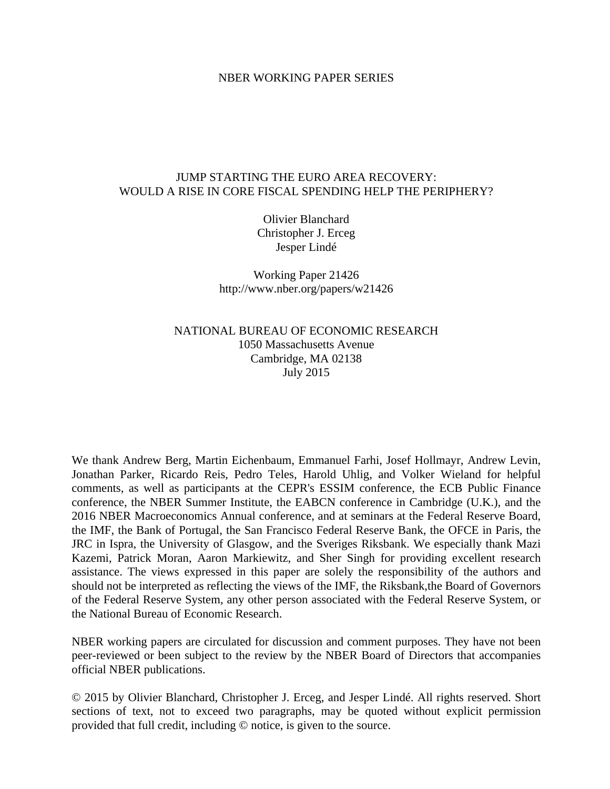# NBER WORKING PAPER SERIES

# JUMP STARTING THE EURO AREA RECOVERY: WOULD A RISE IN CORE FISCAL SPENDING HELP THE PERIPHERY?

Olivier Blanchard Christopher J. Erceg Jesper Lindé

Working Paper 21426 http://www.nber.org/papers/w21426

NATIONAL BUREAU OF ECONOMIC RESEARCH 1050 Massachusetts Avenue Cambridge, MA 02138 July 2015

We thank Andrew Berg, Martin Eichenbaum, Emmanuel Farhi, Josef Hollmayr, Andrew Levin, Jonathan Parker, Ricardo Reis, Pedro Teles, Harold Uhlig, and Volker Wieland for helpful comments, as well as participants at the CEPR's ESSIM conference, the ECB Public Finance conference, the NBER Summer Institute, the EABCN conference in Cambridge (U.K.), and the 2016 NBER Macroeconomics Annual conference, and at seminars at the Federal Reserve Board, the IMF, the Bank of Portugal, the San Francisco Federal Reserve Bank, the OFCE in Paris, the JRC in Ispra, the University of Glasgow, and the Sveriges Riksbank. We especially thank Mazi Kazemi, Patrick Moran, Aaron Markiewitz, and Sher Singh for providing excellent research assistance. The views expressed in this paper are solely the responsibility of the authors and should not be interpreted as reflecting the views of the IMF, the Riksbank,the Board of Governors of the Federal Reserve System, any other person associated with the Federal Reserve System, or the National Bureau of Economic Research.

NBER working papers are circulated for discussion and comment purposes. They have not been peer-reviewed or been subject to the review by the NBER Board of Directors that accompanies official NBER publications.

© 2015 by Olivier Blanchard, Christopher J. Erceg, and Jesper Lindé. All rights reserved. Short sections of text, not to exceed two paragraphs, may be quoted without explicit permission provided that full credit, including © notice, is given to the source.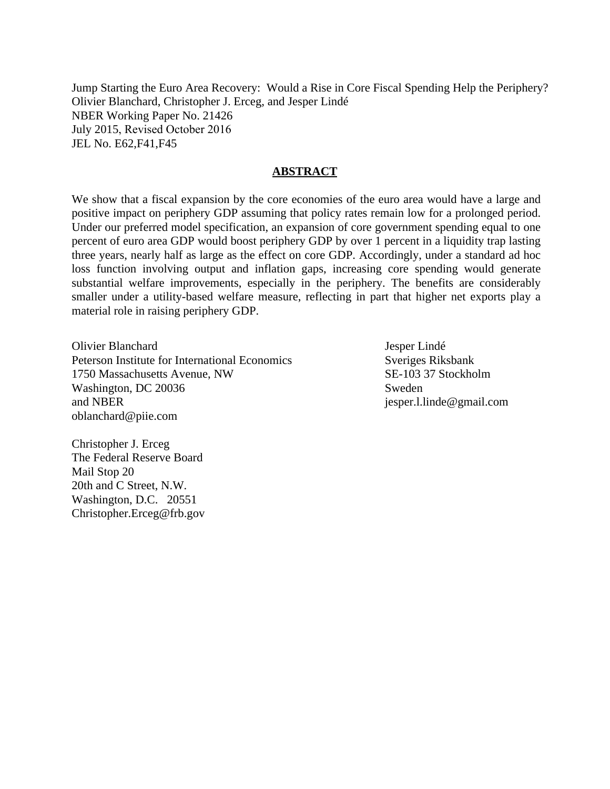Jump Starting the Euro Area Recovery: Would a Rise in Core Fiscal Spending Help the Periphery? Olivier Blanchard, Christopher J. Erceg, and Jesper Lindé NBER Working Paper No. 21426 July 2015, Revised October 2016 JEL No. E62,F41,F45

# **ABSTRACT**

We show that a fiscal expansion by the core economies of the euro area would have a large and positive impact on periphery GDP assuming that policy rates remain low for a prolonged period. Under our preferred model specification, an expansion of core government spending equal to one percent of euro area GDP would boost periphery GDP by over 1 percent in a liquidity trap lasting three years, nearly half as large as the effect on core GDP. Accordingly, under a standard ad hoc loss function involving output and inflation gaps, increasing core spending would generate substantial welfare improvements, especially in the periphery. The benefits are considerably smaller under a utility-based welfare measure, reflecting in part that higher net exports play a material role in raising periphery GDP.

Olivier Blanchard Peterson Institute for International Economics 1750 Massachusetts Avenue, NW Washington, DC 20036 and NBER oblanchard@piie.com

Jesper Lindé Sveriges Riksbank SE-103 37 Stockholm Sweden jesper.l.linde@gmail.com

Christopher J. Erceg The Federal Reserve Board Mail Stop 20 20th and C Street, N.W. Washington, D.C. 20551 Christopher.Erceg@frb.gov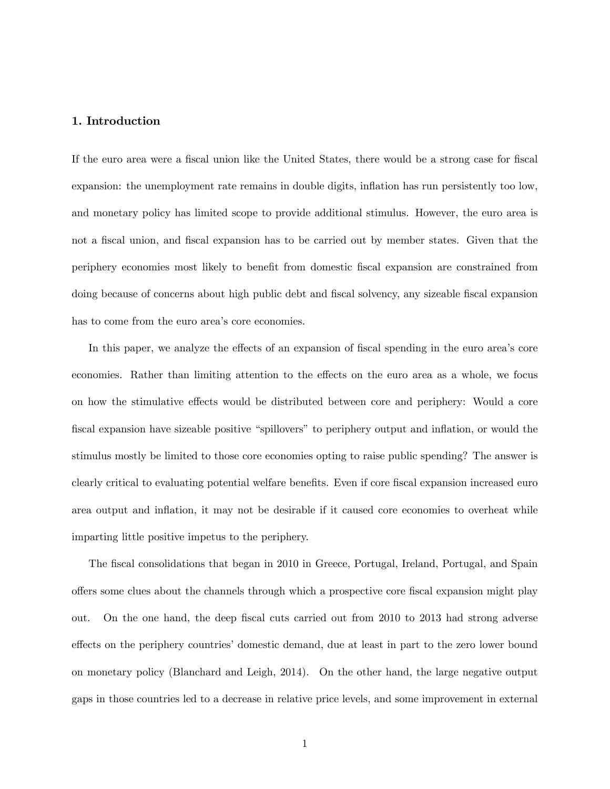# 1. Introduction

If the euro area were a fiscal union like the United States, there would be a strong case for fiscal expansion: the unemployment rate remains in double digits, inflation has run persistently too low, and monetary policy has limited scope to provide additional stimulus. However, the euro area is not a fiscal union, and fiscal expansion has to be carried out by member states. Given that the periphery economies most likely to beneÖt from domestic Öscal expansion are constrained from doing because of concerns about high public debt and fiscal solvency, any sizeable fiscal expansion has to come from the euro area's core economies.

In this paper, we analyze the effects of an expansion of fiscal spending in the euro area's core economies. Rather than limiting attention to the effects on the euro area as a whole, we focus on how the stimulative effects would be distributed between core and periphery: Would a core fiscal expansion have sizeable positive "spillovers" to periphery output and inflation, or would the stimulus mostly be limited to those core economies opting to raise public spending? The answer is clearly critical to evaluating potential welfare benefits. Even if core fiscal expansion increased euro area output and inflation, it may not be desirable if it caused core economies to overheat while imparting little positive impetus to the periphery.

The fiscal consolidations that began in 2010 in Greece, Portugal, Ireland, Portugal, and Spain offers some clues about the channels through which a prospective core fiscal expansion might play out. On the one hand, the deep fiscal cuts carried out from 2010 to 2013 had strong adverse effects on the periphery countries' domestic demand, due at least in part to the zero lower bound on monetary policy (Blanchard and Leigh, 2014). On the other hand, the large negative output gaps in those countries led to a decrease in relative price levels, and some improvement in external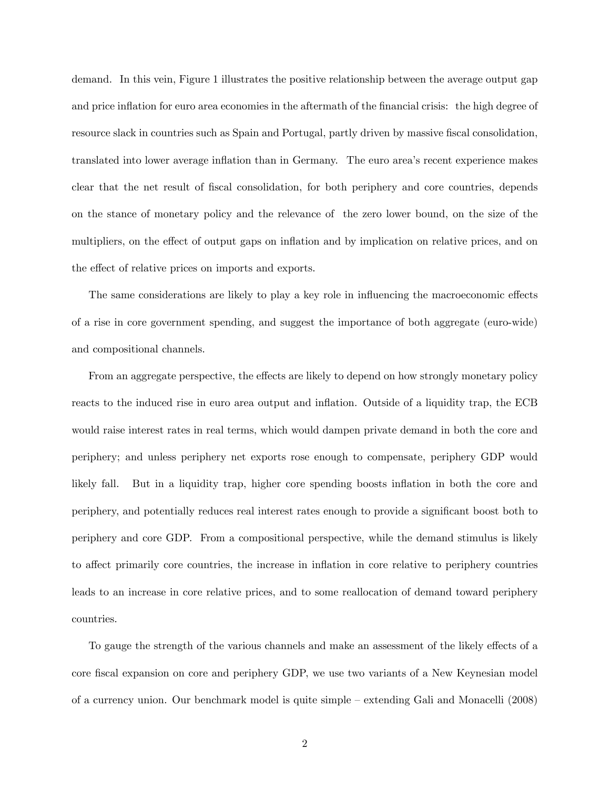demand. In this vein, Figure 1 illustrates the positive relationship between the average output gap and price inflation for euro area economies in the aftermath of the financial crisis: the high degree of resource slack in countries such as Spain and Portugal, partly driven by massive fiscal consolidation, translated into lower average inflation than in Germany. The euro area's recent experience makes clear that the net result of fiscal consolidation, for both periphery and core countries, depends on the stance of monetary policy and the relevance of the zero lower bound, on the size of the multipliers, on the effect of output gaps on inflation and by implication on relative prices, and on the effect of relative prices on imports and exports.

The same considerations are likely to play a key role in influencing the macroeconomic effects of a rise in core government spending, and suggest the importance of both aggregate (euro-wide) and compositional channels.

From an aggregate perspective, the effects are likely to depend on how strongly monetary policy reacts to the induced rise in euro area output and inflation. Outside of a liquidity trap, the ECB would raise interest rates in real terms, which would dampen private demand in both the core and periphery; and unless periphery net exports rose enough to compensate, periphery GDP would likely fall. But in a liquidity trap, higher core spending boosts ináation in both the core and periphery, and potentially reduces real interest rates enough to provide a significant boost both to periphery and core GDP. From a compositional perspective, while the demand stimulus is likely to affect primarily core countries, the increase in inflation in core relative to periphery countries leads to an increase in core relative prices, and to some reallocation of demand toward periphery countries.

To gauge the strength of the various channels and make an assessment of the likely effects of a core fiscal expansion on core and periphery GDP, we use two variants of a New Keynesian model of a currency union. Our benchmark model is quite simple – extending Gali and Monacelli (2008)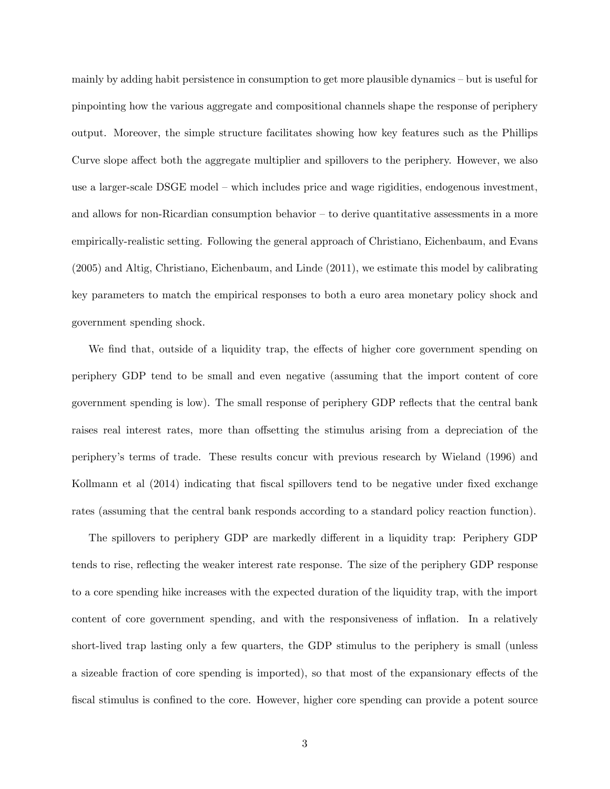mainly by adding habit persistence in consumption to get more plausible dynamics  $-\text{but}$  is useful for pinpointing how the various aggregate and compositional channels shape the response of periphery output. Moreover, the simple structure facilitates showing how key features such as the Phillips Curve slope affect both the aggregate multiplier and spillovers to the periphery. However, we also use a larger-scale DSGE model – which includes price and wage rigidities, endogenous investment, and allows for non-Ricardian consumption behavior  $-$  to derive quantitative assessments in a more empirically-realistic setting. Following the general approach of Christiano, Eichenbaum, and Evans (2005) and Altig, Christiano, Eichenbaum, and Linde (2011), we estimate this model by calibrating key parameters to match the empirical responses to both a euro area monetary policy shock and government spending shock.

We find that, outside of a liquidity trap, the effects of higher core government spending on periphery GDP tend to be small and even negative (assuming that the import content of core government spending is low). The small response of periphery GDP reflects that the central bank raises real interest rates, more than offsetting the stimulus arising from a depreciation of the peripheryís terms of trade. These results concur with previous research by Wieland (1996) and Kollmann et al (2014) indicating that fiscal spillovers tend to be negative under fixed exchange rates (assuming that the central bank responds according to a standard policy reaction function).

The spillovers to periphery GDP are markedly different in a liquidity trap: Periphery GDP tends to rise, reflecting the weaker interest rate response. The size of the periphery GDP response to a core spending hike increases with the expected duration of the liquidity trap, with the import content of core government spending, and with the responsiveness of inflation. In a relatively short-lived trap lasting only a few quarters, the GDP stimulus to the periphery is small (unless a sizeable fraction of core spending is imported), so that most of the expansionary effects of the fiscal stimulus is confined to the core. However, higher core spending can provide a potent source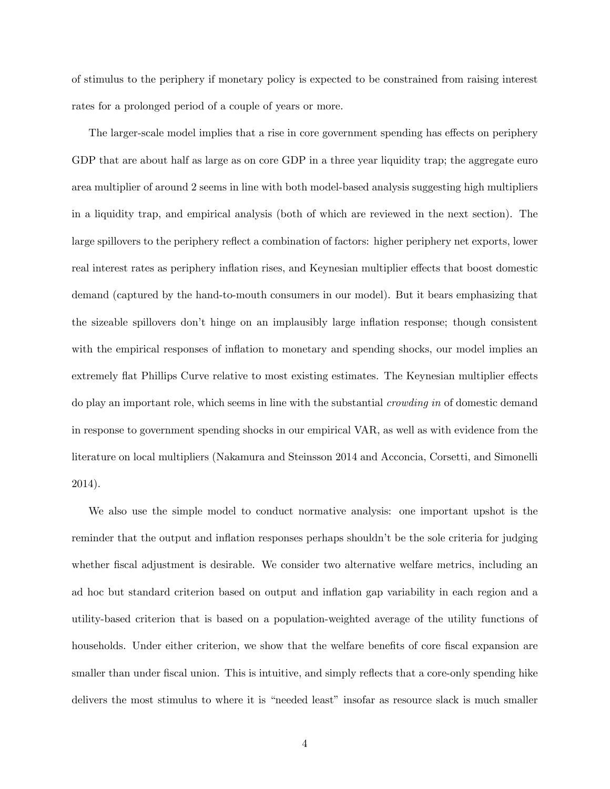of stimulus to the periphery if monetary policy is expected to be constrained from raising interest rates for a prolonged period of a couple of years or more.

The larger-scale model implies that a rise in core government spending has effects on periphery GDP that are about half as large as on core GDP in a three year liquidity trap; the aggregate euro area multiplier of around 2 seems in line with both model-based analysis suggesting high multipliers in a liquidity trap, and empirical analysis (both of which are reviewed in the next section). The large spillovers to the periphery reflect a combination of factors: higher periphery net exports, lower real interest rates as periphery inflation rises, and Keynesian multiplier effects that boost domestic demand (captured by the hand-to-mouth consumers in our model). But it bears emphasizing that the sizeable spillovers don't hinge on an implausibly large inflation response; though consistent with the empirical responses of inflation to monetary and spending shocks, our model implies an extremely flat Phillips Curve relative to most existing estimates. The Keynesian multiplier effects do play an important role, which seems in line with the substantial crowding in of domestic demand in response to government spending shocks in our empirical VAR, as well as with evidence from the literature on local multipliers (Nakamura and Steinsson 2014 and Acconcia, Corsetti, and Simonelli 2014).

We also use the simple model to conduct normative analysis: one important upshot is the reminder that the output and inflation responses perhaps shouldn't be the sole criteria for judging whether fiscal adjustment is desirable. We consider two alternative welfare metrics, including an ad hoc but standard criterion based on output and inflation gap variability in each region and a utility-based criterion that is based on a population-weighted average of the utility functions of households. Under either criterion, we show that the welfare benefits of core fiscal expansion are smaller than under fiscal union. This is intuitive, and simply reflects that a core-only spending hike delivers the most stimulus to where it is "needed least" insofar as resource slack is much smaller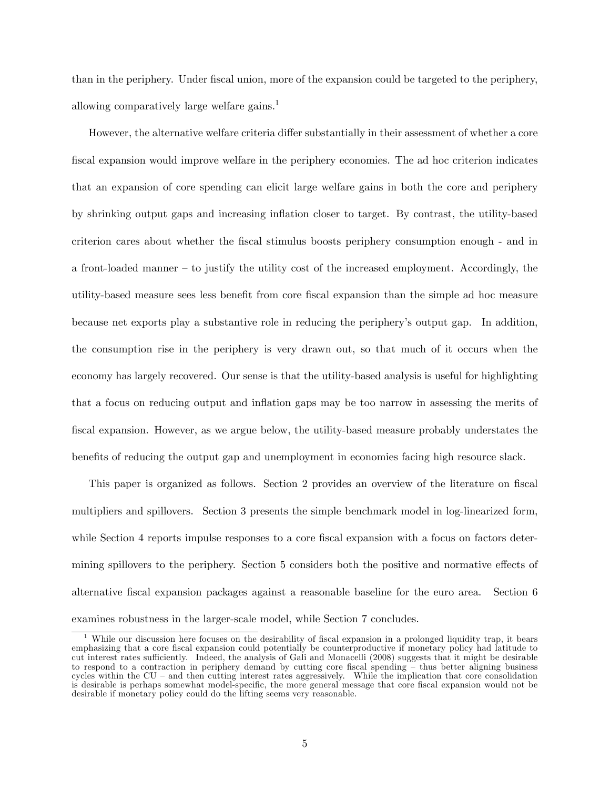than in the periphery. Under Öscal union, more of the expansion could be targeted to the periphery, allowing comparatively large welfare gains.<sup>1</sup>

However, the alternative welfare criteria differ substantially in their assessment of whether a core fiscal expansion would improve welfare in the periphery economies. The ad hoc criterion indicates that an expansion of core spending can elicit large welfare gains in both the core and periphery by shrinking output gaps and increasing ináation closer to target. By contrast, the utility-based criterion cares about whether the Öscal stimulus boosts periphery consumption enough - and in a front-loaded manner  $-$  to justify the utility cost of the increased employment. Accordingly, the utility-based measure sees less benefit from core fiscal expansion than the simple ad hoc measure because net exports play a substantive role in reducing the peripheryís output gap. In addition, the consumption rise in the periphery is very drawn out, so that much of it occurs when the economy has largely recovered. Our sense is that the utility-based analysis is useful for highlighting that a focus on reducing output and inflation gaps may be too narrow in assessing the merits of Öscal expansion. However, as we argue below, the utility-based measure probably understates the benefits of reducing the output gap and unemployment in economies facing high resource slack.

This paper is organized as follows. Section 2 provides an overview of the literature on fiscal multipliers and spillovers. Section 3 presents the simple benchmark model in log-linearized form, while Section 4 reports impulse responses to a core fiscal expansion with a focus on factors determining spillovers to the periphery. Section 5 considers both the positive and normative effects of alternative Öscal expansion packages against a reasonable baseline for the euro area. Section 6 examines robustness in the larger-scale model, while Section 7 concludes.

While our discussion here focuses on the desirability of fiscal expansion in a prolonged liquidity trap, it bears emphasizing that a core Öscal expansion could potentially be counterproductive if monetary policy had latitude to cut interest rates sufficiently. Indeed, the analysis of Gali and Monacelli (2008) suggests that it might be desirable to respond to a contraction in periphery demand by cutting core fiscal spending  $-$  thus better aligning business cycles within the  $CU$  – and then cutting interest rates aggressively. While the implication that core consolidation is desirable is perhaps somewhat model-specific, the more general message that core fiscal expansion would not be desirable if monetary policy could do the lifting seems very reasonable.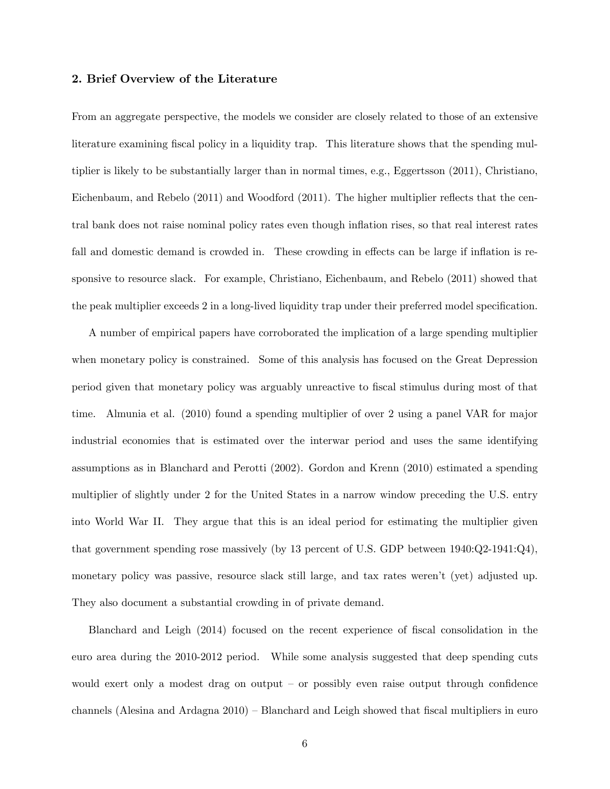## 2. Brief Overview of the Literature

From an aggregate perspective, the models we consider are closely related to those of an extensive literature examining fiscal policy in a liquidity trap. This literature shows that the spending multiplier is likely to be substantially larger than in normal times, e.g., Eggertsson (2011), Christiano, Eichenbaum, and Rebelo  $(2011)$  and Woodford  $(2011)$ . The higher multiplier reflects that the central bank does not raise nominal policy rates even though ináation rises, so that real interest rates fall and domestic demand is crowded in. These crowding in effects can be large if inflation is responsive to resource slack. For example, Christiano, Eichenbaum, and Rebelo (2011) showed that the peak multiplier exceeds 2 in a long-lived liquidity trap under their preferred model specification.

A number of empirical papers have corroborated the implication of a large spending multiplier when monetary policy is constrained. Some of this analysis has focused on the Great Depression period given that monetary policy was arguably unreactive to Öscal stimulus during most of that time. Almunia et al. (2010) found a spending multiplier of over 2 using a panel VAR for major industrial economies that is estimated over the interwar period and uses the same identifying assumptions as in Blanchard and Perotti (2002). Gordon and Krenn (2010) estimated a spending multiplier of slightly under 2 for the United States in a narrow window preceding the U.S. entry into World War II. They argue that this is an ideal period for estimating the multiplier given that government spending rose massively (by 13 percent of U.S. GDP between 1940:Q2-1941:Q4), monetary policy was passive, resource slack still large, and tax rates werenít (yet) adjusted up. They also document a substantial crowding in of private demand.

Blanchard and Leigh (2014) focused on the recent experience of fiscal consolidation in the euro area during the 2010-2012 period. While some analysis suggested that deep spending cuts would exert only a modest drag on output  $-$  or possibly even raise output through confidence channels (Alesina and Ardagna  $2010$ ) – Blanchard and Leigh showed that fiscal multipliers in euro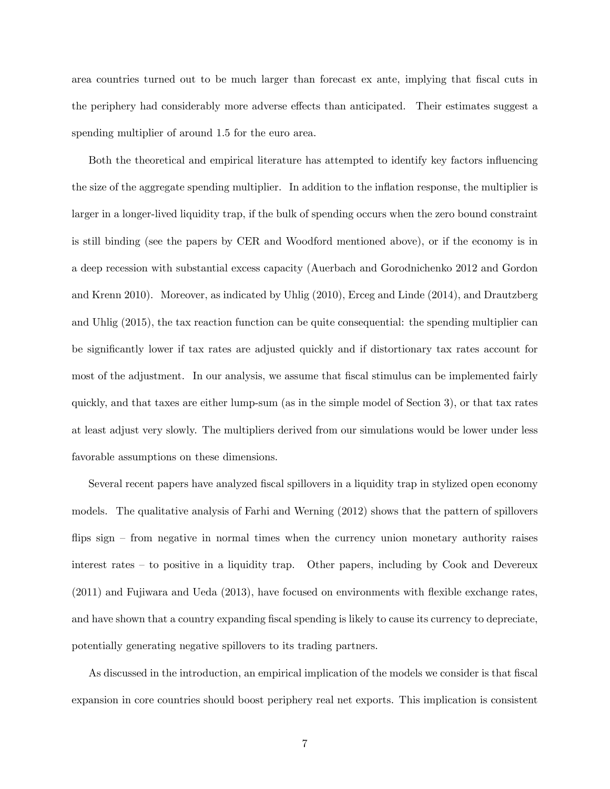area countries turned out to be much larger than forecast ex ante, implying that fiscal cuts in the periphery had considerably more adverse effects than anticipated. Their estimates suggest a spending multiplier of around 1.5 for the euro area.

Both the theoretical and empirical literature has attempted to identify key factors ináuencing the size of the aggregate spending multiplier. In addition to the inflation response, the multiplier is larger in a longer-lived liquidity trap, if the bulk of spending occurs when the zero bound constraint is still binding (see the papers by CER and Woodford mentioned above), or if the economy is in a deep recession with substantial excess capacity (Auerbach and Gorodnichenko 2012 and Gordon and Krenn 2010). Moreover, as indicated by Uhlig (2010), Erceg and Linde (2014), and Drautzberg and Uhlig (2015), the tax reaction function can be quite consequential: the spending multiplier can be significantly lower if tax rates are adjusted quickly and if distortionary tax rates account for most of the adjustment. In our analysis, we assume that fiscal stimulus can be implemented fairly quickly, and that taxes are either lump-sum (as in the simple model of Section 3), or that tax rates at least adjust very slowly. The multipliers derived from our simulations would be lower under less favorable assumptions on these dimensions.

Several recent papers have analyzed Öscal spillovers in a liquidity trap in stylized open economy models. The qualitative analysis of Farhi and Werning (2012) shows that the pattern of spillovers flips sign  $\sim$  from negative in normal times when the currency union monetary authority raises interest rates  $-\infty$  to positive in a liquidity trap. Other papers, including by Cook and Devereux  $(2011)$  and Fujiwara and Ueda  $(2013)$ , have focused on environments with flexible exchange rates, and have shown that a country expanding fiscal spending is likely to cause its currency to depreciate, potentially generating negative spillovers to its trading partners.

As discussed in the introduction, an empirical implication of the models we consider is that fiscal expansion in core countries should boost periphery real net exports. This implication is consistent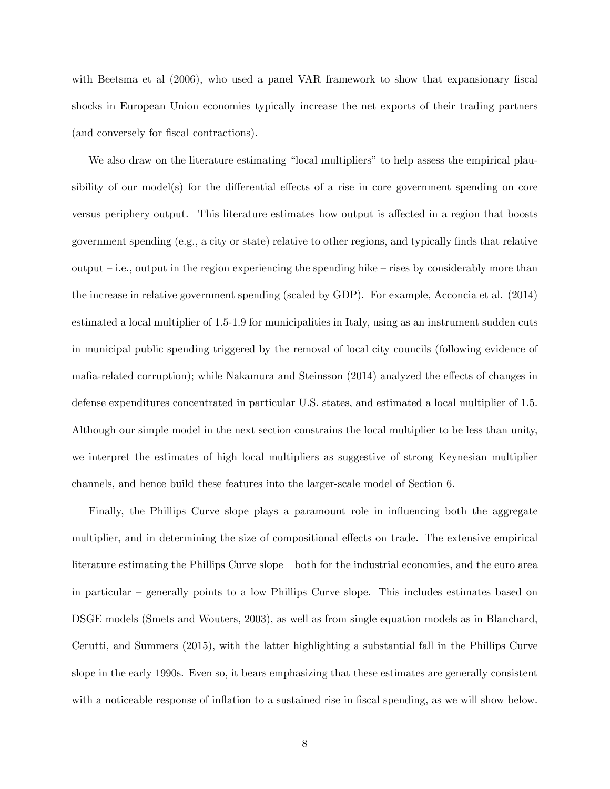with Beetsma et al  $(2006)$ , who used a panel VAR framework to show that expansionary fiscal shocks in European Union economies typically increase the net exports of their trading partners (and conversely for fiscal contractions).

We also draw on the literature estimating "local multipliers" to help assess the empirical plausibility of our model(s) for the differential effects of a rise in core government spending on core versus periphery output. This literature estimates how output is affected in a region that boosts government spending (e.g., a city or state) relative to other regions, and typically Önds that relative output  $i$ .e., output in the region experiencing the spending hike  $i$ -rises by considerably more than the increase in relative government spending (scaled by GDP). For example, Acconcia et al. (2014) estimated a local multiplier of 1.5-1.9 for municipalities in Italy, using as an instrument sudden cuts in municipal public spending triggered by the removal of local city councils (following evidence of mafia-related corruption); while Nakamura and Steinsson (2014) analyzed the effects of changes in defense expenditures concentrated in particular U.S. states, and estimated a local multiplier of 1.5. Although our simple model in the next section constrains the local multiplier to be less than unity, we interpret the estimates of high local multipliers as suggestive of strong Keynesian multiplier channels, and hence build these features into the larger-scale model of Section 6.

Finally, the Phillips Curve slope plays a paramount role in influencing both the aggregate multiplier, and in determining the size of compositional effects on trade. The extensive empirical literature estimating the Phillips Curve slope – both for the industrial economies, and the euro area in particular  $\overline{\phantom{a}}$  generally points to a low Phillips Curve slope. This includes estimates based on DSGE models (Smets and Wouters, 2003), as well as from single equation models as in Blanchard, Cerutti, and Summers (2015), with the latter highlighting a substantial fall in the Phillips Curve slope in the early 1990s. Even so, it bears emphasizing that these estimates are generally consistent with a noticeable response of inflation to a sustained rise in fiscal spending, as we will show below.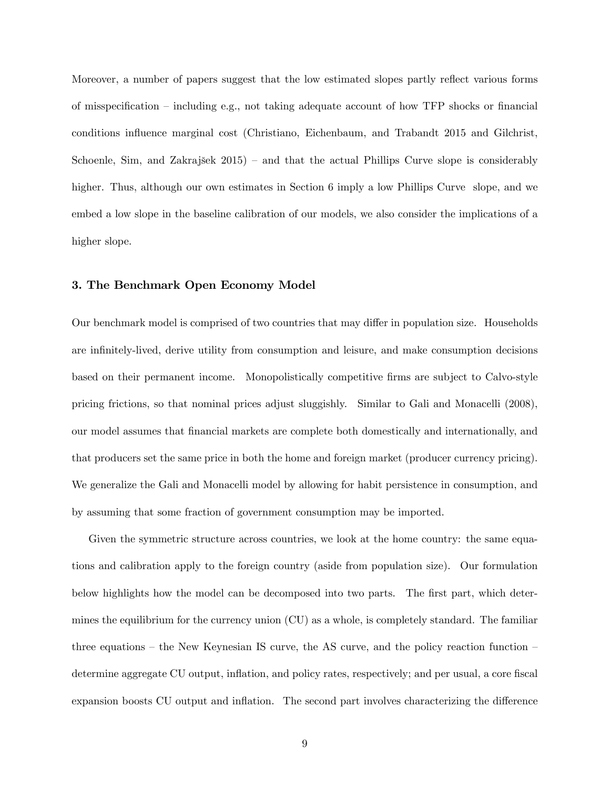Moreover, a number of papers suggest that the low estimated slopes partly reflect various forms of misspecification – including e.g., not taking adequate account of how TFP shocks or financial conditions influence marginal cost (Christiano, Eichenbaum, and Trabandt 2015 and Gilchrist, Schoenle, Sim, and Zakrajšek  $2015$  – and that the actual Phillips Curve slope is considerably higher. Thus, although our own estimates in Section 6 imply a low Phillips Curve slope, and we embed a low slope in the baseline calibration of our models, we also consider the implications of a higher slope.

## 3. The Benchmark Open Economy Model

Our benchmark model is comprised of two countries that may differ in population size. Households are infinitely-lived, derive utility from consumption and leisure, and make consumption decisions based on their permanent income. Monopolistically competitive firms are subject to Calvo-style pricing frictions, so that nominal prices adjust sluggishly. Similar to Gali and Monacelli (2008), our model assumes that Önancial markets are complete both domestically and internationally, and that producers set the same price in both the home and foreign market (producer currency pricing). We generalize the Gali and Monacelli model by allowing for habit persistence in consumption, and by assuming that some fraction of government consumption may be imported.

Given the symmetric structure across countries, we look at the home country: the same equations and calibration apply to the foreign country (aside from population size). Our formulation below highlights how the model can be decomposed into two parts. The first part, which determines the equilibrium for the currency union (CU) as a whole, is completely standard. The familiar three equations – the New Keynesian IS curve, the AS curve, and the policy reaction function – determine aggregate CU output, inflation, and policy rates, respectively; and per usual, a core fiscal expansion boosts CU output and inflation. The second part involves characterizing the difference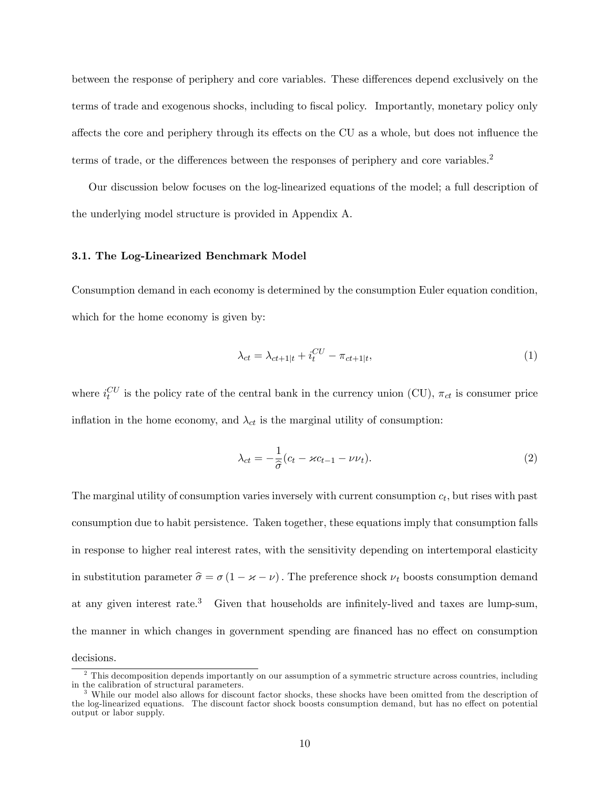between the response of periphery and core variables. These differences depend exclusively on the terms of trade and exogenous shocks, including to fiscal policy. Importantly, monetary policy only affects the core and periphery through its effects on the CU as a whole, but does not influence the terms of trade, or the differences between the responses of periphery and core variables.<sup>2</sup>

Our discussion below focuses on the log-linearized equations of the model; a full description of the underlying model structure is provided in Appendix A.

#### 3.1. The Log-Linearized Benchmark Model

Consumption demand in each economy is determined by the consumption Euler equation condition, which for the home economy is given by:

$$
\lambda_{ct} = \lambda_{ct+1|t} + i_t^{CU} - \pi_{ct+1|t},\tag{1}
$$

where  $i_t^{CU}$  is the policy rate of the central bank in the currency union (CU),  $\pi_{ct}$  is consumer price inflation in the home economy, and  $\lambda_{ct}$  is the marginal utility of consumption:

$$
\lambda_{ct} = -\frac{1}{\hat{\sigma}}(c_t - \varkappa c_{t-1} - \nu \nu_t). \tag{2}
$$

The marginal utility of consumption varies inversely with current consumption  $c_t$ , but rises with past consumption due to habit persistence. Taken together, these equations imply that consumption falls in response to higher real interest rates, with the sensitivity depending on intertemporal elasticity in substitution parameter  $\hat{\sigma} = \sigma (1 - \varkappa - \nu)$ . The preference shock  $\nu_t$  boosts consumption demand at any given interest rate.<sup>3</sup> Given that households are infinitely-lived and taxes are lump-sum, the manner in which changes in government spending are financed has no effect on consumption decisions.

<sup>&</sup>lt;sup>2</sup> This decomposition depends importantly on our assumption of a symmetric structure across countries, including in the calibration of structural parameters.

<sup>&</sup>lt;sup>3</sup> While our model also allows for discount factor shocks, these shocks have been omitted from the description of the log-linearized equations. The discount factor shock boosts consumption demand, but has no effect on potential output or labor supply.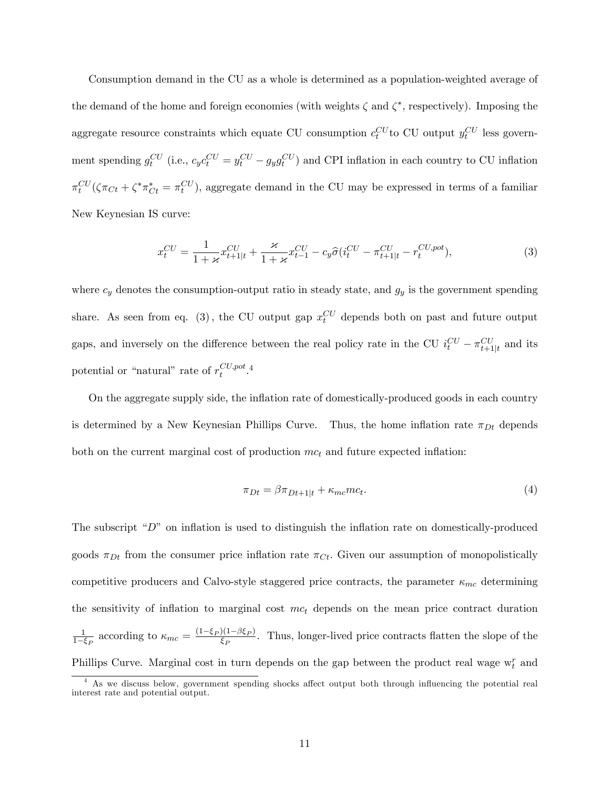Consumption demand in the CU as a whole is determined as a population-weighted average of the demand of the home and foreign economies (with weights  $\zeta$  and  $\zeta^*$ , respectively). Imposing the aggregate resource constraints which equate CU consumption  $c_t^{CU}$  to CU output  $y_t^{CU}$  less government spending  $g_t^{CU}$  (i.e.,  $c_y c_t^{CU} = y_t^{CU} - g_y g_t^{CU}$ ) and CPI inflation in each country to CU inflation  $\pi_t^{CU}(\zeta \pi_{C_t} + \zeta^* \pi_{C_t}^* = \pi_t^{CU})$ , aggregate demand in the CU may be expressed in terms of a familiar New Keynesian IS curve:

$$
x_t^{CU} = \frac{1}{1 + \varkappa} x_{t+1|t}^{CU} + \frac{\varkappa}{1 + \varkappa} x_{t-1}^{CU} - c_y \hat{\sigma} (i_t^{CU} - \pi_{t+1|t}^{CU} - r_t^{CU, pot}), \tag{3}
$$

where  $c_y$  denotes the consumption-output ratio in steady state, and  $g_y$  is the government spending share. As seen from eq. (3), the CU output gap  $x_t^{CU}$  depends both on past and future output gaps, and inversely on the difference between the real policy rate in the CU  $i_t^{CU} - \pi_{t+1|t}^{CU}$  and its potential or "natural" rate of  $r_t^{CU, pot}$  $_{t}^{CU, pot}$ .4

On the aggregate supply side, the ináation rate of domestically-produced goods in each country is determined by a New Keynesian Phillips Curve. Thus, the home inflation rate  $\pi_{Dt}$  depends both on the current marginal cost of production  $mc<sub>t</sub>$  and future expected inflation:

$$
\pi_{Dt} = \beta \pi_{Dt+1|t} + \kappa_{mc}mc_t.
$$
\n<sup>(4)</sup>

The subscript  $\mathcal{L}^{\prime\prime}$  on inflation is used to distinguish the inflation rate on domestically-produced goods  $\pi_{Dt}$  from the consumer price inflation rate  $\pi_{C_t}$ . Given our assumption of monopolistically competitive producers and Calvo-style staggered price contracts, the parameter  $\kappa_{mc}$  determining the sensitivity of inflation to marginal cost  $mc<sub>t</sub>$  depends on the mean price contract duration 1  $\frac{1}{1-\xi_P}$  according to  $\kappa_{mc} = \frac{(1-\xi_P)(1-\beta\xi_P)}{\xi_P}$  $\frac{P(1-P\epsilon_P)}{\epsilon_P}$ . Thus, longer-lived price contracts flatten the slope of the Phillips Curve. Marginal cost in turn depends on the gap between the product real wage  $w_t^r$  and

 $<sup>4</sup>$  As we discuss below, government spending shocks affect output both through influencing the potential real</sup> interest rate and potential output.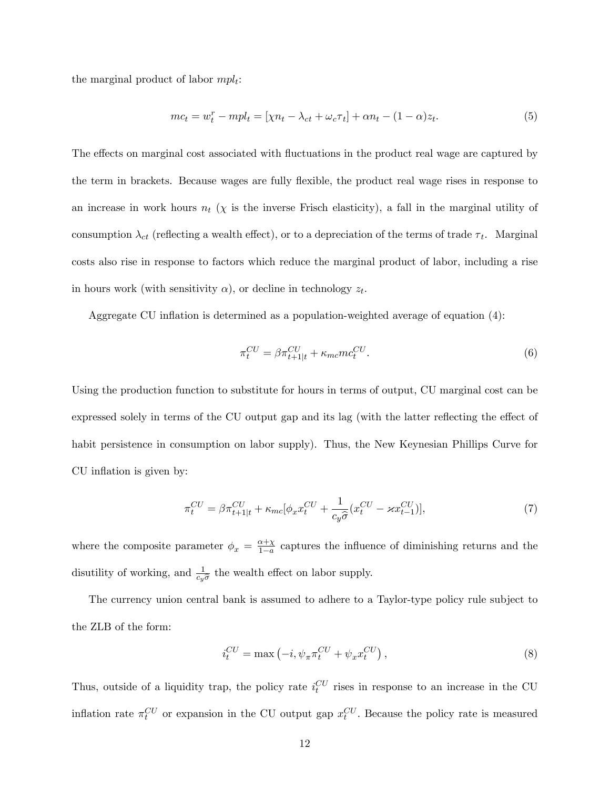the marginal product of labor  $mpl_t$ :

$$
mc_t = w_t^r - mpl_t = [\chi n_t - \lambda_{ct} + \omega_c \tau_t] + \alpha n_t - (1 - \alpha)z_t.
$$
\n
$$
(5)
$$

The effects on marginal cost associated with fluctuations in the product real wage are captured by the term in brackets. Because wages are fully flexible, the product real wage rises in response to an increase in work hours  $n_t$  ( $\chi$  is the inverse Frisch elasticity), a fall in the marginal utility of consumption  $\lambda_{ct}$  (reflecting a wealth effect), or to a depreciation of the terms of trade  $\tau_t$ . Marginal costs also rise in response to factors which reduce the marginal product of labor, including a rise in hours work (with sensitivity  $\alpha$ ), or decline in technology  $z_t$ .

Aggregate CU inflation is determined as a population-weighted average of equation  $(4)$ :

$$
\pi_t^{CU} = \beta \pi_{t+1|t}^{CU} + \kappa_{mc} m c_t^{CU}.
$$
\n
$$
(6)
$$

Using the production function to substitute for hours in terms of output, CU marginal cost can be expressed solely in terms of the CU output gap and its lag (with the latter reflecting the effect of habit persistence in consumption on labor supply). Thus, the New Keynesian Phillips Curve for CU inflation is given by:

$$
\pi_t^{CU} = \beta \pi_{t+1|t}^{CU} + \kappa_{mc} [\phi_x x_t^{CU} + \frac{1}{c_y \widehat{\sigma}} (x_t^{CU} - \varkappa x_{t-1}^{CU})],\tag{7}
$$

where the composite parameter  $\phi_x = \frac{\alpha + \chi}{1 - a}$  $\frac{\alpha+\chi}{1-a}$  captures the influence of diminishing returns and the disutility of working, and  $\frac{1}{c_y \hat{\sigma}}$  the wealth effect on labor supply.

The currency union central bank is assumed to adhere to a Taylor-type policy rule subject to the ZLB of the form:

$$
i_t^{CU} = \max\left(-i, \psi_\pi \pi_t^{CU} + \psi_x x_t^{CU}\right),\tag{8}
$$

Thus, outside of a liquidity trap, the policy rate  $i_t^{CU}$  rises in response to an increase in the CU inflation rate  $\pi_t^{CU}$  or expansion in the CU output gap  $x_t^{CU}$ . Because the policy rate is measured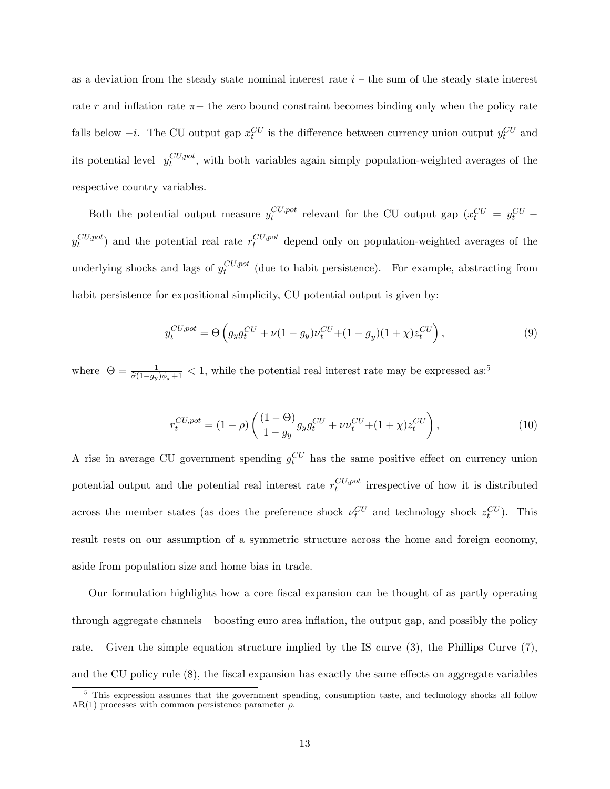as a deviation from the steady state nominal interest rate  $i$  – the sum of the steady state interest rate  $r$  and inflation rate  $\pi$  – the zero bound constraint becomes binding only when the policy rate falls below  $-i$ . The CU output gap  $x_t^{CU}$  is the difference between currency union output  $y_t^{CU}$  and its potential level  $y_t^{CU, pot}$  $\epsilon_t^{\nu}$ , with both variables again simply population-weighted averages of the respective country variables.

Both the potential output measure  $y_t^{CU,pot}$  $\frac{C U, pot}{t}$  relevant for the CU output gap  $\left(x_t^{CU} = y_t^{CU} - \right)$  $y^{CU, pot}_t$  $_{t}^{CU,pot}$  and the potential real rate  $r_t^{CU,pot}$  depend only on population-weighted averages of the underlying shocks and lags of  $y_t^{CU, pot}$  $\epsilon_t^{C}$  (due to habit persistence). For example, abstracting from habit persistence for expositional simplicity, CU potential output is given by:

$$
y_t^{CU, pot} = \Theta \left( g_y g_t^{CU} + \nu (1 - g_y) \nu_t^{CU} + (1 - g_y)(1 + \chi) z_t^{CU} \right),
$$
\n(9)

where  $\Theta = \frac{1}{\hat{\sigma}(1-g_y)\phi_x+1} < 1$ , while the potential real interest rate may be expressed as:<sup>5</sup>

$$
r_t^{CU, pot} = (1 - \rho) \left( \frac{(1 - \Theta)}{1 - g_y} g_y g_t^{CU} + \nu \nu_t^{CU} + (1 + \chi) z_t^{CU} \right),
$$
\n(10)

A rise in average CU government spending  $g_t^{CU}$  has the same positive effect on currency union potential output and the potential real interest rate  $r_t^{CU, pot}$  $\sum_{t}^{C} C_{t}$  irrespective of how it is distributed across the member states (as does the preference shock  $\nu_t^{CU}$  and technology shock  $z_t^{CU}$ ). This result rests on our assumption of a symmetric structure across the home and foreign economy, aside from population size and home bias in trade.

Our formulation highlights how a core Öscal expansion can be thought of as partly operating through aggregate channels  $\sim$  boosting euro area inflation, the output gap, and possibly the policy rate. Given the simple equation structure implied by the IS curve (3), the Phillips Curve (7), and the CU policy rule  $(8)$ , the fiscal expansion has exactly the same effects on aggregate variables

<sup>&</sup>lt;sup>5</sup> This expression assumes that the government spending, consumption taste, and technology shocks all follow AR(1) processes with common persistence parameter  $\rho$ .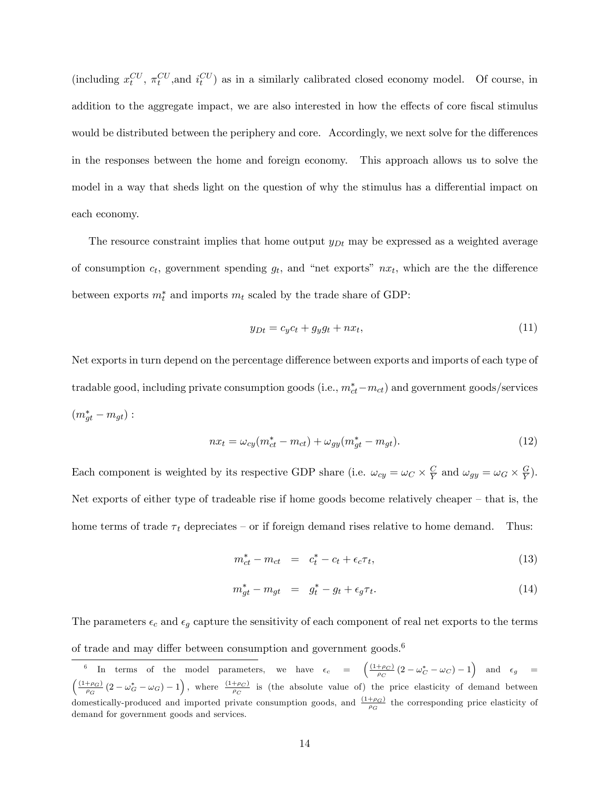(including  $x_t^{CU}$ ,  $\pi_t^{CU}$ , and  $i_t^{CU}$ ) as in a similarly calibrated closed economy model. Of course, in addition to the aggregate impact, we are also interested in how the effects of core fiscal stimulus would be distributed between the periphery and core. Accordingly, we next solve for the differences in the responses between the home and foreign economy. This approach allows us to solve the model in a way that sheds light on the question of why the stimulus has a differential impact on each economy.

The resource constraint implies that home output  $y_{Dt}$  may be expressed as a weighted average of consumption  $c_t$ , government spending  $g_t$ , and "net exports"  $nx_t$ , which are the the difference between exports  $m_t^*$  and imports  $m_t$  scaled by the trade share of GDP:

$$
y_{Dt} = c_y c_t + g_y g_t + nx_t, \tag{11}
$$

Net exports in turn depend on the percentage difference between exports and imports of each type of tradable good, including private consumption goods (i.e.,  $m_{ct}^{*} - m_{ct}$ ) and government goods/services  $(m_{gt}^* - m_{gt})$  :

$$
nx_t = \omega_{cy}(m_{ct}^* - m_{ct}) + \omega_{gy}(m_{gt}^* - m_{gt}).
$$
\n(12)

Each component is weighted by its respective GDP share (i.e.  $\omega_{cy} = \omega_C \times \frac{C}{Y}$  $\frac{C}{Y}$  and  $\omega_{gy} = \omega_G \times \frac{G}{Y}$  $(\frac{G}{Y}).$ Net exports of either type of tradeable rise if home goods become relatively cheaper  $-$  that is, the home terms of trade  $\tau_t$  depreciates – or if foreign demand rises relative to home demand. Thus:

$$
m_{ct}^{*} - m_{ct} = c_{t}^{*} - c_{t} + \epsilon_{c} \tau_{t}, \qquad (13)
$$

$$
m_{gt}^* - m_{gt} = g_t^* - g_t + \epsilon_g \tau_t. \tag{14}
$$

The parameters  $\epsilon_c$  and  $\epsilon_g$  capture the sensitivity of each component of real net exports to the terms of trade and may differ between consumption and government goods.<sup>6</sup>

<sup>&</sup>lt;sup>6</sup> In terms of the model parameters, we have  $\epsilon_c = \left( \frac{(1+\rho_C)}{\rho_C} (2-\omega_C^*-\omega_C) - 1 \right)$  and  $\epsilon_g =$  $\left(\frac{(1+\rho_G)}{\rho_G}(2-\omega_G^*-\omega_G)-1\right)$ , where  $\frac{(1+\rho_G)}{\rho_G}$  is (the absolute value of) the price elasticity of demand between domestically-produced and imported private consumption goods, and  $\frac{(1+\rho_G)}{\rho_G}$  the corresponding price elasticity of demand for government goods and services.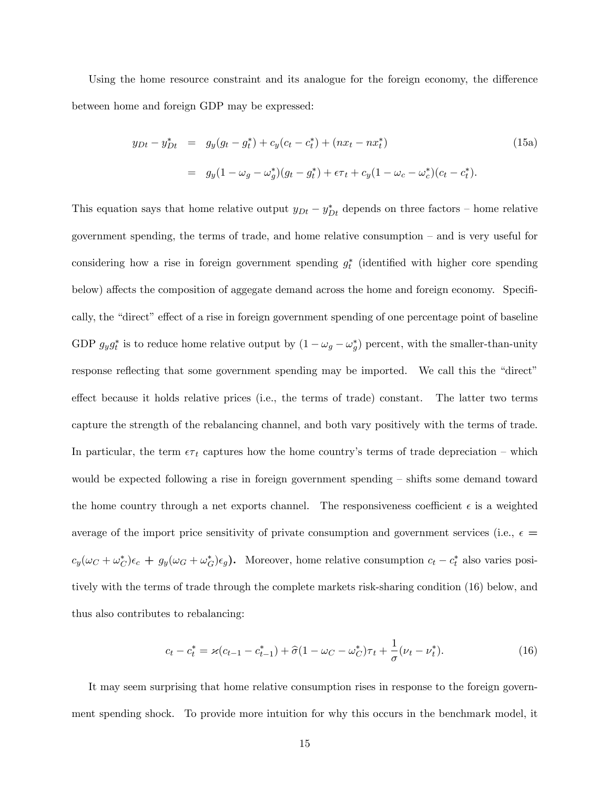Using the home resource constraint and its analogue for the foreign economy, the difference between home and foreign GDP may be expressed:

$$
y_{Dt} - y_{Dt}^* = g_y(g_t - g_t^*) + c_y(c_t - c_t^*) + (nx_t - nx_t^*)
$$
  
=  $g_y(1 - \omega_g - \omega_g^*)(g_t - g_t^*) + \epsilon \tau_t + c_y(1 - \omega_c - \omega_c^*)(c_t - c_t^*).$  (15a)

This equation says that home relative output  $y_{Dt} - y_{Dt}^*$  depends on three factors – home relative government spending, the terms of trade, and home relative consumption  $-$  and is very useful for considering how a rise in foreign government spending  $g_t^*$  (identified with higher core spending below) affects the composition of aggegate demand across the home and foreign economy. Specifically, the "direct" effect of a rise in foreign government spending of one percentage point of baseline GDP  $g_y g_t^*$  is to reduce home relative output by  $(1 - \omega_g - \omega_g^*)$  percent, with the smaller-than-unity response reflecting that some government spending may be imported. We call this the "direct" effect because it holds relative prices (i.e., the terms of trade) constant. The latter two terms capture the strength of the rebalancing channel, and both vary positively with the terms of trade. In particular, the term  $\epsilon \tau_t$  captures how the home country's terms of trade depreciation – which would be expected following a rise in foreign government spending – shifts some demand toward the home country through a net exports channel. The responsiveness coefficient  $\epsilon$  is a weighted average of the import price sensitivity of private consumption and government services (i.e.,  $\epsilon =$  $c_y(\omega_C + \omega_C^*)\epsilon_c + g_y(\omega_G + \omega_G^*)\epsilon_g)$ . Moreover, home relative consumption  $c_t - c_t^*$  also varies positively with the terms of trade through the complete markets risk-sharing condition (16) below, and thus also contributes to rebalancing:

$$
c_t - c_t^* = \varkappa (c_{t-1} - c_{t-1}^*) + \hat{\sigma} (1 - \omega_C - \omega_C^*) \tau_t + \frac{1}{\sigma} (\nu_t - \nu_t^*).
$$
 (16)

It may seem surprising that home relative consumption rises in response to the foreign government spending shock. To provide more intuition for why this occurs in the benchmark model, it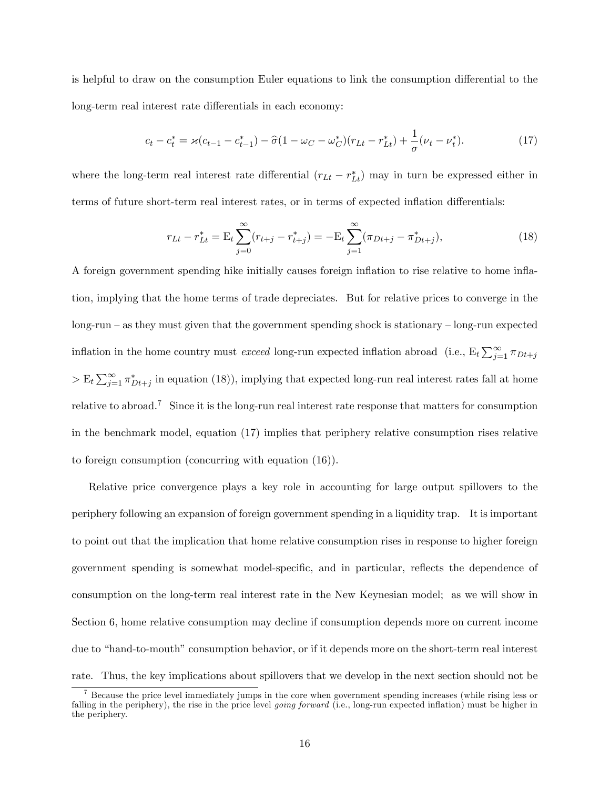is helpful to draw on the consumption Euler equations to link the consumption differential to the long-term real interest rate differentials in each economy:

$$
c_t - c_t^* = \varkappa (c_{t-1} - c_{t-1}^*) - \hat{\sigma} (1 - \omega_C - \omega_C^*) (r_{Lt} - r_{Lt}^*) + \frac{1}{\sigma} (\nu_t - \nu_t^*).
$$
 (17)

where the long-term real interest rate differential  $(r_{Lt} - r_{Lt}^*)$  may in turn be expressed either in terms of future short-term real interest rates, or in terms of expected inflation differentials:

$$
r_{Lt} - r_{Lt}^* = \mathcal{E}_t \sum_{j=0}^{\infty} (r_{t+j} - r_{t+j}^*) = -\mathcal{E}_t \sum_{j=1}^{\infty} (\pi_{Dt+j} - \pi_{Dt+j}^*), \tag{18}
$$

A foreign government spending hike initially causes foreign ináation to rise relative to home ináation, implying that the home terms of trade depreciates. But for relative prices to converge in the  $\log$ -run  $\sim$  as they must given that the government spending shock is stationary  $\sim$  long-run expected inflation in the home country must *exceed* long-run expected inflation abroad (i.e.,  $E_t \sum_{j=1}^{\infty} \pi_{Dt+j}$  $> E_t \sum_{j=1}^{\infty} \pi_{Dt+j}^*$  in equation (18)), implying that expected long-run real interest rates fall at home relative to abroad.<sup>7</sup> Since it is the long-run real interest rate response that matters for consumption in the benchmark model, equation (17) implies that periphery relative consumption rises relative to foreign consumption (concurring with equation (16)).

Relative price convergence plays a key role in accounting for large output spillovers to the periphery following an expansion of foreign government spending in a liquidity trap. It is important to point out that the implication that home relative consumption rises in response to higher foreign government spending is somewhat model-specific, and in particular, reflects the dependence of consumption on the long-term real interest rate in the New Keynesian model; as we will show in Section 6, home relative consumption may decline if consumption depends more on current income due to "hand-to-mouth" consumption behavior, or if it depends more on the short-term real interest rate. Thus, the key implications about spillovers that we develop in the next section should not be

<sup>&</sup>lt;sup>7</sup> Because the price level immediately jumps in the core when government spending increases (while rising less or falling in the periphery), the rise in the price level *going forward* (i.e., long-run expected inflation) must be higher in the periphery.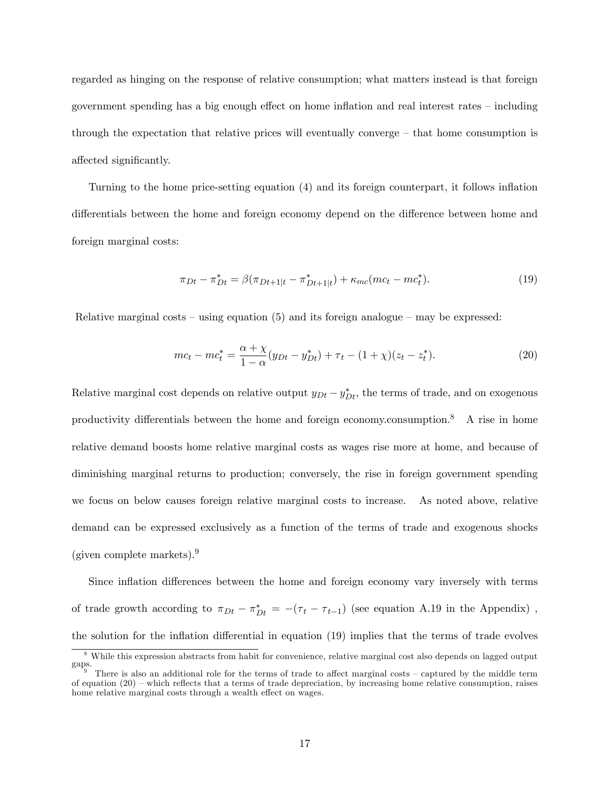regarded as hinging on the response of relative consumption; what matters instead is that foreign government spending has a big enough effect on home inflation and real interest rates – including through the expectation that relative prices will eventually converge  $-$  that home consumption is affected significantly.

Turning to the home price-setting equation (4) and its foreign counterpart, it follows inflation differentials between the home and foreign economy depend on the difference between home and foreign marginal costs:

$$
\pi_{Dt} - \pi_{Dt}^* = \beta(\pi_{Dt+1|t} - \pi_{Dt+1|t}^*) + \kappa_{mc}(mc_t - mc_t^*).
$$
\n(19)

Relative marginal costs  $-$  using equation (5) and its foreign analogue  $-$  may be expressed:

$$
mc_t - mc_t^* = \frac{\alpha + \chi}{1 - \alpha}(y_{Dt} - y_{Dt}^*) + \tau_t - (1 + \chi)(z_t - z_t^*).
$$
 (20)

Relative marginal cost depends on relative output  $y_{Dt} - y_{Dt}^*$ , the terms of trade, and on exogenous productivity differentials between the home and foreign economy.consumption.<sup>8</sup> A rise in home relative demand boosts home relative marginal costs as wages rise more at home, and because of diminishing marginal returns to production; conversely, the rise in foreign government spending we focus on below causes foreign relative marginal costs to increase. As noted above, relative demand can be expressed exclusively as a function of the terms of trade and exogenous shocks (given complete markets).<sup>9</sup>

Since inflation differences between the home and foreign economy vary inversely with terms of trade growth according to  $\pi_{Dt} - \pi_{Dt}^* = -(\tau_t - \tau_{t-1})$  (see equation A.19 in the Appendix), the solution for the inflation differential in equation (19) implies that the terms of trade evolves

<sup>8</sup> While this expression abstracts from habit for convenience, relative marginal cost also depends on lagged output gaps.

<sup>&</sup>lt;sup>9</sup> There is also an additional role for the terms of trade to affect marginal costs  $-$  captured by the middle term of equation  $(20)$  – which reflects that a terms of trade depreciation, by increasing home relative consumption, raises home relative marginal costs through a wealth effect on wages.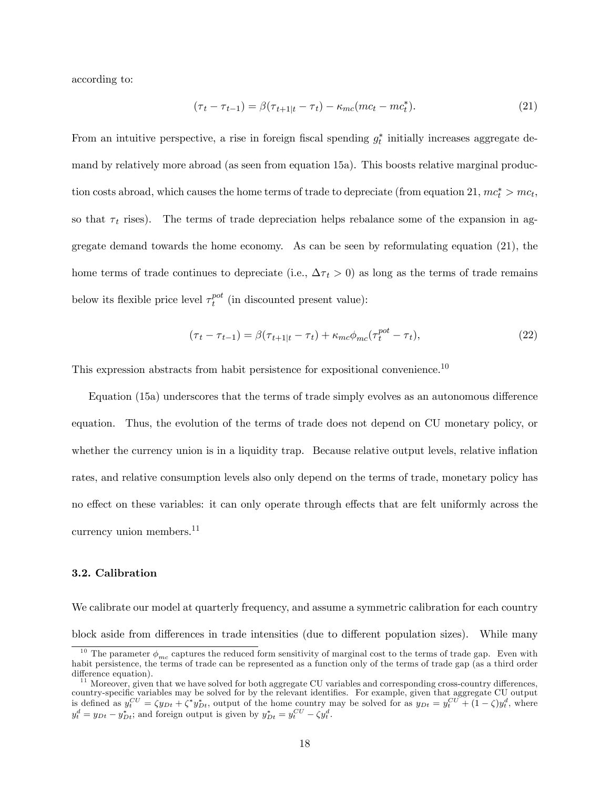according to:

$$
(\tau_t - \tau_{t-1}) = \beta(\tau_{t+1|t} - \tau_t) - \kappa_{mc}(mc_t - mc_t^*).
$$
\n(21)

From an intuitive perspective, a rise in foreign fiscal spending  $g_t^*$  initially increases aggregate demand by relatively more abroad (as seen from equation 15a). This boosts relative marginal production costs abroad, which causes the home terms of trade to depreciate (from equation 21,  $mc_t^* > mc_t$ , so that  $\tau_t$  rises). The terms of trade depreciation helps rebalance some of the expansion in aggregate demand towards the home economy. As can be seen by reformulating equation (21), the home terms of trade continues to depreciate (i.e.,  $\Delta \tau_t > 0$ ) as long as the terms of trade remains below its flexible price level  $\tau_t^{pot}$  $t_t^{pot}$  (in discounted present value):

$$
(\tau_t - \tau_{t-1}) = \beta(\tau_{t+1|t} - \tau_t) + \kappa_{mc}\phi_{mc}(\tau_t^{pot} - \tau_t),
$$
\n(22)

This expression abstracts from habit persistence for expositional convenience.<sup>10</sup>

Equation  $(15a)$  underscores that the terms of trade simply evolves as an autonomous difference equation. Thus, the evolution of the terms of trade does not depend on CU monetary policy, or whether the currency union is in a liquidity trap. Because relative output levels, relative inflation rates, and relative consumption levels also only depend on the terms of trade, monetary policy has no effect on these variables: it can only operate through effects that are felt uniformly across the currency union members.<sup>11</sup>

#### 3.2. Calibration

We calibrate our model at quarterly frequency, and assume a symmetric calibration for each country block aside from differences in trade intensities (due to different population sizes). While many

<sup>&</sup>lt;sup>10</sup> The parameter  $\phi_{mc}$  captures the reduced form sensitivity of marginal cost to the terms of trade gap. Even with habit persistence, the terms of trade can be represented as a function only of the terms of trade gap (as a third order difference equation).

 $11$  Moreover, given that we have solved for both aggregate CU variables and corresponding cross-country differences, country-specific variables may be solved for by the relevant identifies. For example, given that aggregate CU output is defined as  $y_t^{CU} = \zeta y_{Dt} + \zeta^* y_{Dt}^*$ , output of the home country may be solved for as  $y_{Dt} = y_t^{CU} + (1 - \zeta)y_t^d$ , where  $y_t^d = y_{Dt} - y_{Dt}^*$ ; and foreign output is given by  $y_{Dt}^* = y_t^{CU} - \zeta y_t^d$ .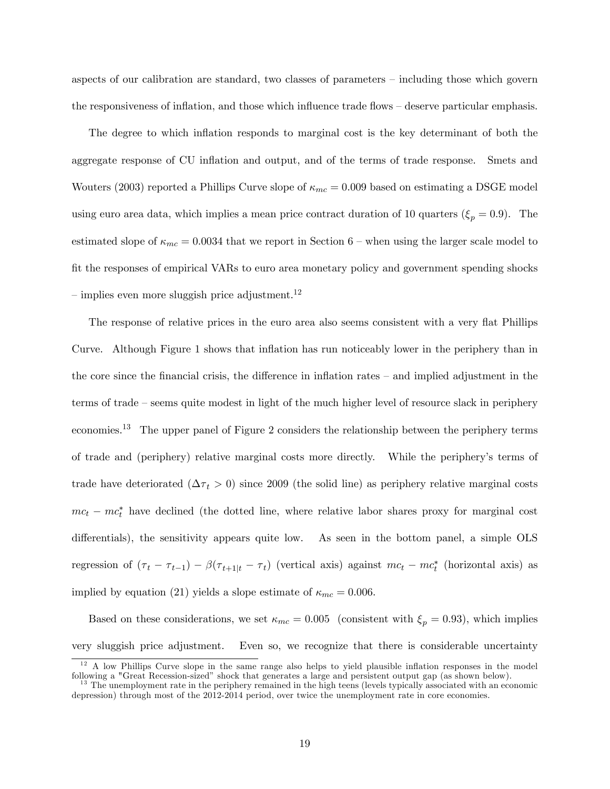aspects of our calibration are standard, two classes of parameters – including those which govern the responsiveness of inflation, and those which influence trade flows  $-\frac{1}{2}$  deserve particular emphasis.

The degree to which inflation responds to marginal cost is the key determinant of both the aggregate response of CU inflation and output, and of the terms of trade response. Smets and Wouters (2003) reported a Phillips Curve slope of  $\kappa_{mc} = 0.009$  based on estimating a DSGE model using euro area data, which implies a mean price contract duration of 10 quarters  $(\xi_p = 0.9)$ . The estimated slope of  $\kappa_{mc} = 0.0034$  that we report in Section 6 – when using the larger scale model to Öt the responses of empirical VARs to euro area monetary policy and government spending shocks  $-$  implies even more sluggish price adjustment.<sup>12</sup>

The response of relative prices in the euro area also seems consistent with a very flat Phillips Curve. Although Figure 1 shows that inflation has run noticeably lower in the periphery than in the core since the financial crisis, the difference in inflation rates  $-$  and implied adjustment in the terms of trade – seems quite modest in light of the much higher level of resource slack in periphery economies.<sup>13</sup> The upper panel of Figure 2 considers the relationship between the periphery terms of trade and (periphery) relative marginal costs more directly. While the peripheryís terms of trade have deteriorated  $(\Delta \tau_t > 0)$  since 2009 (the solid line) as periphery relative marginal costs  $mc_t - mc_t^*$  have declined (the dotted line, where relative labor shares proxy for marginal cost differentials), the sensitivity appears quite low. As seen in the bottom panel, a simple OLS regression of  $(\tau_t - \tau_{t-1}) - \beta(\tau_{t+1|t} - \tau_t)$  (vertical axis) against  $mc_t - mc_t^*$  (horizontal axis) as implied by equation (21) yields a slope estimate of  $\kappa_{mc} = 0.006$ .

Based on these considerations, we set  $\kappa_{mc} = 0.005$  (consistent with  $\xi_p = 0.93$ ), which implies very sluggish price adjustment. Even so, we recognize that there is considerable uncertainty

<sup>&</sup>lt;sup>12</sup> A low Phillips Curve slope in the same range also helps to yield plausible inflation responses in the model following a "Great Recession-sized" shock that generates a large and persistent output gap (as shown below).

<sup>&</sup>lt;sup>13</sup> The unemployment rate in the periphery remained in the high teens (levels typically associated with an economic depression) through most of the 2012-2014 period, over twice the unemployment rate in core economies.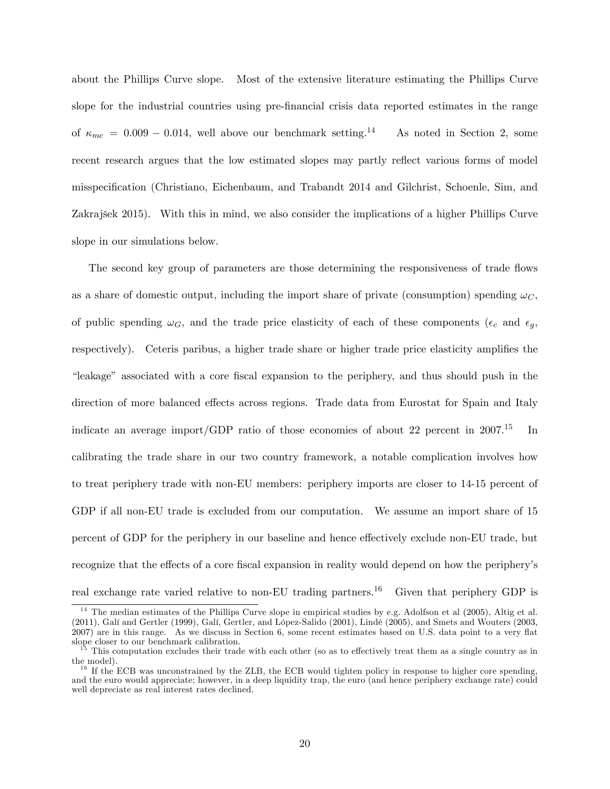about the Phillips Curve slope. Most of the extensive literature estimating the Phillips Curve slope for the industrial countries using pre-Önancial crisis data reported estimates in the range of  $\kappa_{mc} = 0.009 - 0.014$ , well above our benchmark setting.<sup>14</sup> As noted in Section 2, some recent research argues that the low estimated slopes may partly reflect various forms of model misspecification (Christiano, Eichenbaum, and Trabandt 2014 and Gilchrist, Schoenle, Sim, and Zakrajöek 2015). With this in mind, we also consider the implications of a higher Phillips Curve slope in our simulations below.

The second key group of parameters are those determining the responsiveness of trade flows as a share of domestic output, including the import share of private (consumption) spending  $\omega_C$ , of public spending  $\omega_G$ , and the trade price elasticity of each of these components ( $\epsilon_c$  and  $\epsilon_g$ , respectively). Ceteris paribus, a higher trade share or higher trade price elasticity amplifies the ìleakageî associated with a core Öscal expansion to the periphery, and thus should push in the direction of more balanced effects across regions. Trade data from Eurostat for Spain and Italy indicate an average import/GDP ratio of those economies of about 22 percent in  $2007$ .<sup>15</sup> In calibrating the trade share in our two country framework, a notable complication involves how to treat periphery trade with non-EU members: periphery imports are closer to 14-15 percent of GDP if all non-EU trade is excluded from our computation. We assume an import share of 15 percent of GDP for the periphery in our baseline and hence effectively exclude non-EU trade, but recognize that the effects of a core fiscal expansion in reality would depend on how the periphery's real exchange rate varied relative to non-EU trading partners.<sup>16</sup> Given that periphery GDP is

<sup>&</sup>lt;sup>14</sup> The median estimates of the Phillips Curve slope in empirical studies by e.g. Adolfson et al (2005), Altig et al. (2011), Galí and Gertler (1999), Galí, Gertler, and López-Salido (2001), Lindé (2005), and Smets and Wouters (2003,  $2007)$  are in this range. As we discuss in Section 6, some recent estimates based on U.S. data point to a very flat slope closer to our benchmark calibration.

 $15$  This computation excludes their trade with each other (so as to effectively treat them as a single country as in the model).

<sup>&</sup>lt;sup>16</sup> If the ECB was unconstrained by the ZLB, the ECB would tighten policy in response to higher core spending, and the euro would appreciate; however, in a deep liquidity trap, the euro (and hence periphery exchange rate) could well depreciate as real interest rates declined.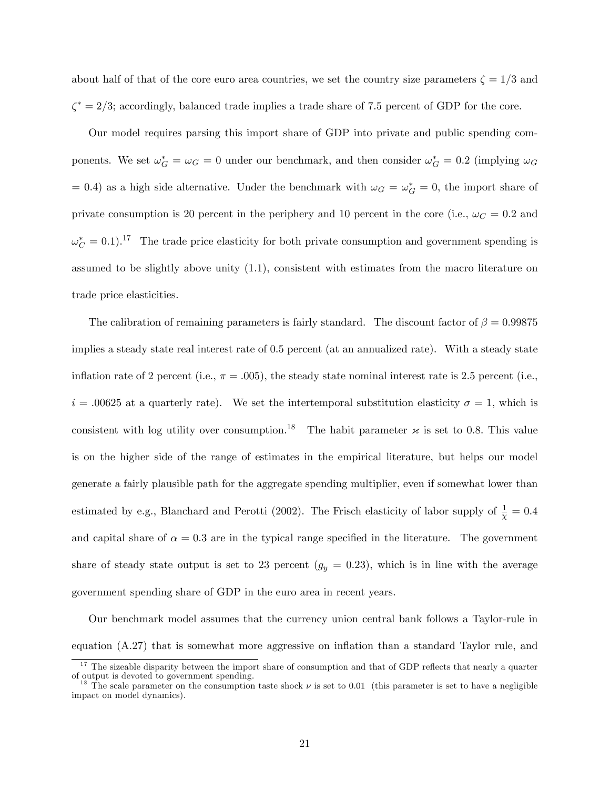about half of that of the core euro area countries, we set the country size parameters  $\zeta = 1/3$  and  $\zeta^* = 2/3$ ; accordingly, balanced trade implies a trade share of 7.5 percent of GDP for the core.

Our model requires parsing this import share of GDP into private and public spending components. We set  $\omega_G^* = \omega_G = 0$  under our benchmark, and then consider  $\omega_G^* = 0.2$  (implying  $\omega_G$  $= 0.4$ ) as a high side alternative. Under the benchmark with  $\omega_G = \omega_G^* = 0$ , the import share of private consumption is 20 percent in the periphery and 10 percent in the core (i.e.,  $\omega_C = 0.2$  and  $\omega_C^* = 0.1$ .<sup>17</sup> The trade price elasticity for both private consumption and government spending is assumed to be slightly above unity (1.1), consistent with estimates from the macro literature on trade price elasticities.

The calibration of remaining parameters is fairly standard. The discount factor of  $\beta = 0.99875$ implies a steady state real interest rate of 0.5 percent (at an annualized rate). With a steady state inflation rate of 2 percent (i.e.,  $\pi = .005$ ), the steady state nominal interest rate is 2.5 percent (i.e.,  $i = .00625$  at a quarterly rate). We set the intertemporal substitution elasticity  $\sigma = 1$ , which is consistent with log utility over consumption.<sup>18</sup> The habit parameter  ${\varkappa}$  is set to 0.8. This value is on the higher side of the range of estimates in the empirical literature, but helps our model generate a fairly plausible path for the aggregate spending multiplier, even if somewhat lower than estimated by e.g., Blanchard and Perotti (2002). The Frisch elasticity of labor supply of  $\frac{1}{\chi} = 0.4$ and capital share of  $\alpha = 0.3$  are in the typical range specified in the literature. The government share of steady state output is set to 23 percent  $(g_y = 0.23)$ , which is in line with the average government spending share of GDP in the euro area in recent years.

Our benchmark model assumes that the currency union central bank follows a Taylor-rule in equation  $(A.27)$  that is somewhat more aggressive on inflation than a standard Taylor rule, and

 $17$  The sizeable disparity between the import share of consumption and that of GDP reflects that nearly a quarter of output is devoted to government spending.

<sup>&</sup>lt;sup>18</sup> The scale parameter on the consumption taste shock  $\nu$  is set to 0.01 (this parameter is set to have a negligible impact on model dynamics).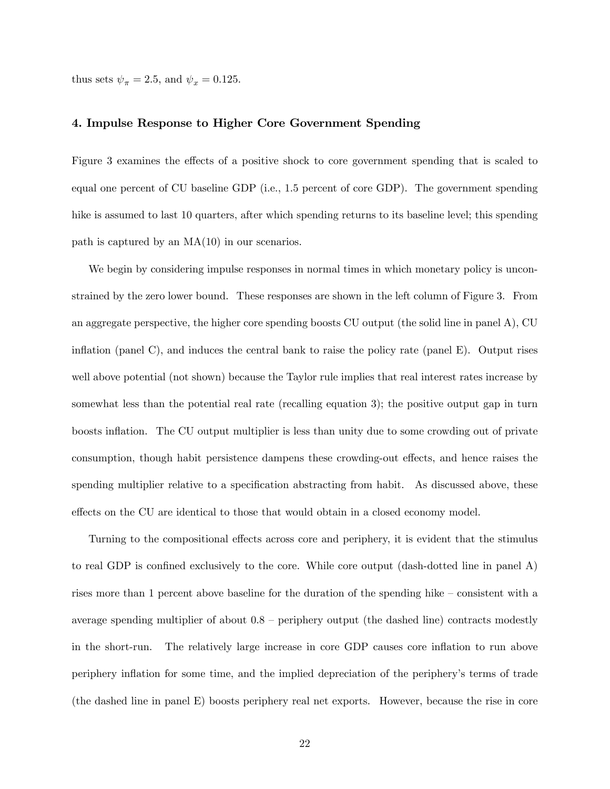thus sets  $\psi_{\pi} = 2.5$ , and  $\psi_{x} = 0.125$ .

#### 4. Impulse Response to Higher Core Government Spending

Figure 3 examines the effects of a positive shock to core government spending that is scaled to equal one percent of CU baseline GDP (i.e., 1.5 percent of core GDP). The government spending hike is assumed to last 10 quarters, after which spending returns to its baseline level; this spending path is captured by an MA(10) in our scenarios.

We begin by considering impulse responses in normal times in which monetary policy is unconstrained by the zero lower bound. These responses are shown in the left column of Figure 3. From an aggregate perspective, the higher core spending boosts CU output (the solid line in panel A), CU inflation (panel C), and induces the central bank to raise the policy rate (panel E). Output rises well above potential (not shown) because the Taylor rule implies that real interest rates increase by somewhat less than the potential real rate (recalling equation 3); the positive output gap in turn boosts inflation. The CU output multiplier is less than unity due to some crowding out of private consumption, though habit persistence dampens these crowding-out effects, and hence raises the spending multiplier relative to a specification abstracting from habit. As discussed above, these effects on the CU are identical to those that would obtain in a closed economy model.

Turning to the compositional effects across core and periphery, it is evident that the stimulus to real GDP is confined exclusively to the core. While core output (dash-dotted line in panel  $A$ ) rises more than 1 percent above baseline for the duration of the spending hike  $\sim$  consistent with a average spending multiplier of about  $0.8$  – periphery output (the dashed line) contracts modestly in the short-run. The relatively large increase in core GDP causes core inflation to run above periphery ináation for some time, and the implied depreciation of the peripheryís terms of trade (the dashed line in panel E) boosts periphery real net exports. However, because the rise in core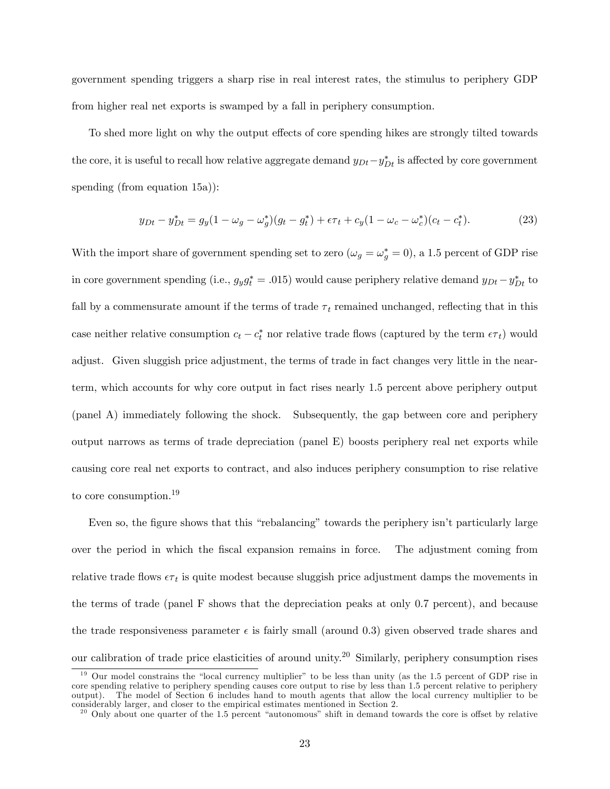government spending triggers a sharp rise in real interest rates, the stimulus to periphery GDP from higher real net exports is swamped by a fall in periphery consumption.

To shed more light on why the output effects of core spending hikes are strongly tilted towards the core, it is useful to recall how relative aggregate demand  $y_{Dt} - y_{Dt}^*$  is affected by core government spending (from equation 15a)):

$$
y_{Dt} - y_{Dt}^* = g_y(1 - \omega_g - \omega_g^*)(g_t - g_t^*) + \epsilon \tau_t + c_y(1 - \omega_c - \omega_c^*)(c_t - c_t^*).
$$
 (23)

With the import share of government spending set to zero  $(\omega_g = \omega_g^* = 0)$ , a 1.5 percent of GDP rise in core government spending (i.e.,  $g_y g_t^* = .015$ ) would cause periphery relative demand  $y_{Dt} - y_{Dt}^*$  to fall by a commensurate amount if the terms of trade  $\tau_t$  remained unchanged, reflecting that in this case neither relative consumption  $c_t - c_t^*$  nor relative trade flows (captured by the term  $\epsilon \tau_t$ ) would adjust. Given sluggish price adjustment, the terms of trade in fact changes very little in the nearterm, which accounts for why core output in fact rises nearly 1.5 percent above periphery output (panel A) immediately following the shock. Subsequently, the gap between core and periphery output narrows as terms of trade depreciation (panel E) boosts periphery real net exports while causing core real net exports to contract, and also induces periphery consumption to rise relative to core consumption.<sup>19</sup>

Even so, the figure shows that this "rebalancing" towards the periphery isn't particularly large over the period in which the Öscal expansion remains in force. The adjustment coming from relative trade flows  $\epsilon \tau_t$  is quite modest because sluggish price adjustment damps the movements in the terms of trade (panel F shows that the depreciation peaks at only 0.7 percent), and because the trade responsiveness parameter  $\epsilon$  is fairly small (around 0.3) given observed trade shares and our calibration of trade price elasticities of around unity.<sup>20</sup> Similarly, periphery consumption rises

 $19$  Our model constrains the "local currency multiplier" to be less than unity (as the 1.5 percent of GDP rise in core spending relative to periphery spending causes core output to rise by less than 1.5 percent relative to periphery output). The model of Section 6 includes hand to mouth agents that allow the local currency multiplier to be considerably larger, and closer to the empirical estimates mentioned in Section 2.

 $20$  Only about one quarter of the 1.5 percent "autonomous" shift in demand towards the core is offset by relative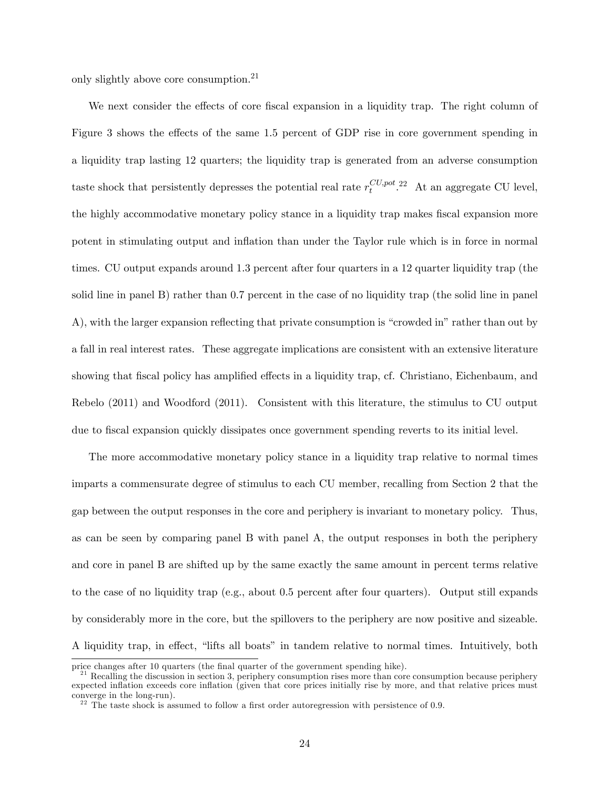only slightly above core consumption.<sup>21</sup>

We next consider the effects of core fiscal expansion in a liquidity trap. The right column of Figure 3 shows the effects of the same 1.5 percent of GDP rise in core government spending in a liquidity trap lasting 12 quarters; the liquidity trap is generated from an adverse consumption taste shock that persistently depresses the potential real rate  $r_t^{CU, pot}$  $t^{CU, pot}.$ <sup>22</sup> At an aggregate CU level, the highly accommodative monetary policy stance in a liquidity trap makes fiscal expansion more potent in stimulating output and ináation than under the Taylor rule which is in force in normal times. CU output expands around 1.3 percent after four quarters in a 12 quarter liquidity trap (the solid line in panel B) rather than 0.7 percent in the case of no liquidity trap (the solid line in panel A), with the larger expansion reflecting that private consumption is "crowded in" rather than out by a fall in real interest rates. These aggregate implications are consistent with an extensive literature showing that fiscal policy has amplified effects in a liquidity trap, cf. Christiano, Eichenbaum, and Rebelo (2011) and Woodford (2011). Consistent with this literature, the stimulus to CU output due to Öscal expansion quickly dissipates once government spending reverts to its initial level.

The more accommodative monetary policy stance in a liquidity trap relative to normal times imparts a commensurate degree of stimulus to each CU member, recalling from Section 2 that the gap between the output responses in the core and periphery is invariant to monetary policy. Thus, as can be seen by comparing panel B with panel A, the output responses in both the periphery and core in panel B are shifted up by the same exactly the same amount in percent terms relative to the case of no liquidity trap (e.g., about 0.5 percent after four quarters). Output still expands by considerably more in the core, but the spillovers to the periphery are now positive and sizeable. A liquidity trap, in effect, "lifts all boats" in tandem relative to normal times. Intuitively, both

price changes after 10 quarters (the final quarter of the government spending hike).

 $^{21}$  Recalling the discussion in section 3, periphery consumption rises more than core consumption because periphery expected inflation exceeds core inflation (given that core prices initially rise by more, and that relative prices must converge in the long-run).

 $2<sup>22</sup>$  The taste shock is assumed to follow a first order autoregression with persistence of 0.9.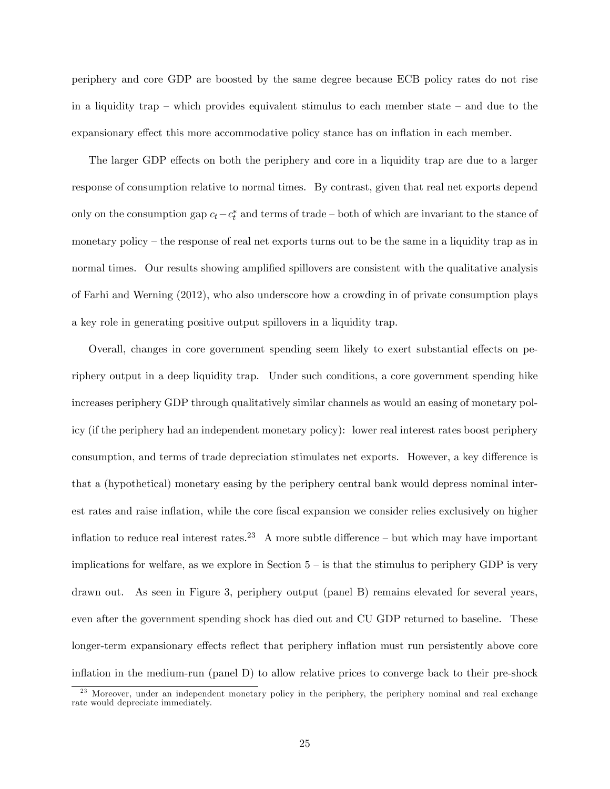periphery and core GDP are boosted by the same degree because ECB policy rates do not rise in a liquidity trap – which provides equivalent stimulus to each member state – and due to the expansionary effect this more accommodative policy stance has on inflation in each member.

The larger GDP effects on both the periphery and core in a liquidity trap are due to a larger response of consumption relative to normal times. By contrast, given that real net exports depend only on the consumption gap  $c_t - c_t^*$  and terms of trade – both of which are invariant to the stance of monetary policy  $-$  the response of real net exports turns out to be the same in a liquidity trap as in normal times. Our results showing amplified spillovers are consistent with the qualitative analysis of Farhi and Werning (2012), who also underscore how a crowding in of private consumption plays a key role in generating positive output spillovers in a liquidity trap.

Overall, changes in core government spending seem likely to exert substantial effects on periphery output in a deep liquidity trap. Under such conditions, a core government spending hike increases periphery GDP through qualitatively similar channels as would an easing of monetary policy (if the periphery had an independent monetary policy): lower real interest rates boost periphery consumption, and terms of trade depreciation stimulates net exports. However, a key difference is that a (hypothetical) monetary easing by the periphery central bank would depress nominal interest rates and raise inflation, while the core fiscal expansion we consider relies exclusively on higher inflation to reduce real interest rates.<sup>23</sup> A more subtle difference – but which may have important implications for welfare, as we explore in Section  $5 -$  is that the stimulus to periphery GDP is very drawn out. As seen in Figure 3, periphery output (panel B) remains elevated for several years, even after the government spending shock has died out and CU GDP returned to baseline. These longer-term expansionary effects reflect that periphery inflation must run persistently above core inflation in the medium-run (panel  $D$ ) to allow relative prices to converge back to their pre-shock

<sup>&</sup>lt;sup>23</sup> Moreover, under an independent monetary policy in the periphery, the periphery nominal and real exchange rate would depreciate immediately.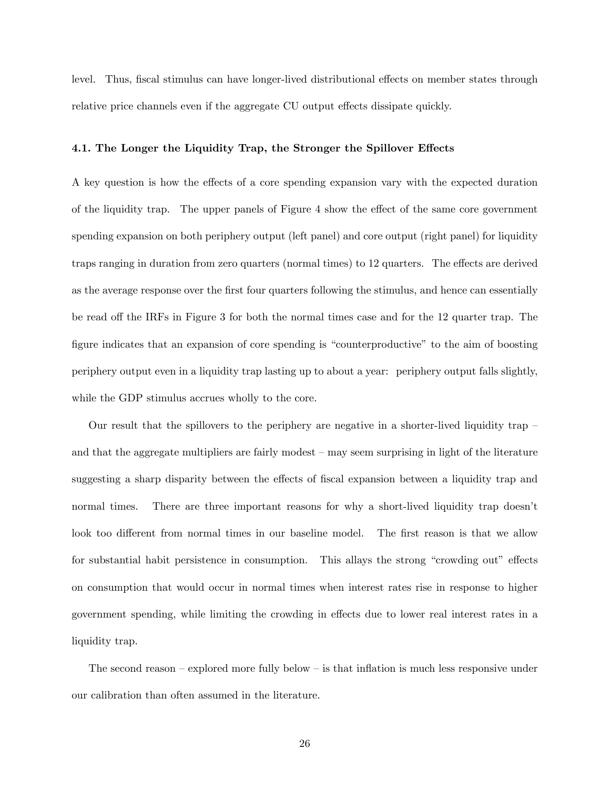level. Thus, fiscal stimulus can have longer-lived distributional effects on member states through relative price channels even if the aggregate CU output effects dissipate quickly.

#### 4.1. The Longer the Liquidity Trap, the Stronger the Spillover Effects

A key question is how the effects of a core spending expansion vary with the expected duration of the liquidity trap. The upper panels of Figure 4 show the effect of the same core government spending expansion on both periphery output (left panel) and core output (right panel) for liquidity traps ranging in duration from zero quarters (normal times) to 12 quarters. The effects are derived as the average response over the first four quarters following the stimulus, and hence can essentially be read off the IRFs in Figure 3 for both the normal times case and for the 12 quarter trap. The figure indicates that an expansion of core spending is "counterproductive" to the aim of boosting periphery output even in a liquidity trap lasting up to about a year: periphery output falls slightly, while the GDP stimulus accrues wholly to the core.

Our result that the spillovers to the periphery are negative in a shorter-lived liquidity trap  $$ and that the aggregate multipliers are fairly modest  $-$  may seem surprising in light of the literature suggesting a sharp disparity between the effects of fiscal expansion between a liquidity trap and normal times. There are three important reasons for why a short-lived liquidity trap doesn't look too different from normal times in our baseline model. The first reason is that we allow for substantial habit persistence in consumption. This allays the strong "crowding out" effects on consumption that would occur in normal times when interest rates rise in response to higher government spending, while limiting the crowding in effects due to lower real interest rates in a liquidity trap.

The second reason  $-\infty$  explored more fully below  $-\infty$  is that inflation is much less responsive under our calibration than often assumed in the literature.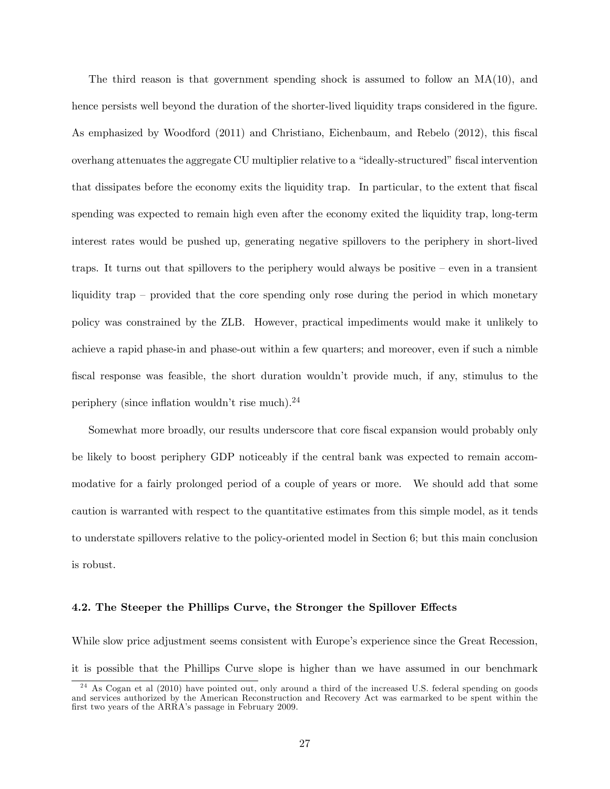The third reason is that government spending shock is assumed to follow an  $MA(10)$ , and hence persists well beyond the duration of the shorter-lived liquidity traps considered in the figure. As emphasized by Woodford (2011) and Christiano, Eichenbaum, and Rebelo (2012), this fiscal overhang attenuates the aggregate CU multiplier relative to a "ideally-structured" fiscal intervention that dissipates before the economy exits the liquidity trap. In particular, to the extent that fiscal spending was expected to remain high even after the economy exited the liquidity trap, long-term interest rates would be pushed up, generating negative spillovers to the periphery in short-lived traps. It turns out that spillovers to the periphery would always be positive  $\sim$  even in a transient liquidity trap  $\sim$  provided that the core spending only rose during the period in which monetary policy was constrained by the ZLB. However, practical impediments would make it unlikely to achieve a rapid phase-in and phase-out within a few quarters; and moreover, even if such a nimble fiscal response was feasible, the short duration wouldn't provide much, if any, stimulus to the periphery (since inflation wouldn't rise much). $^{24}$ 

Somewhat more broadly, our results underscore that core fiscal expansion would probably only be likely to boost periphery GDP noticeably if the central bank was expected to remain accommodative for a fairly prolonged period of a couple of years or more. We should add that some caution is warranted with respect to the quantitative estimates from this simple model, as it tends to understate spillovers relative to the policy-oriented model in Section 6; but this main conclusion is robust.

# 4.2. The Steeper the Phillips Curve, the Stronger the Spillover Effects

While slow price adjustment seems consistent with Europe's experience since the Great Recession, it is possible that the Phillips Curve slope is higher than we have assumed in our benchmark

<sup>&</sup>lt;sup>24</sup> As Cogan et al (2010) have pointed out, only around a third of the increased U.S. federal spending on goods and services authorized by the American Reconstruction and Recovery Act was earmarked to be spent within the first two years of the ARRA's passage in February 2009.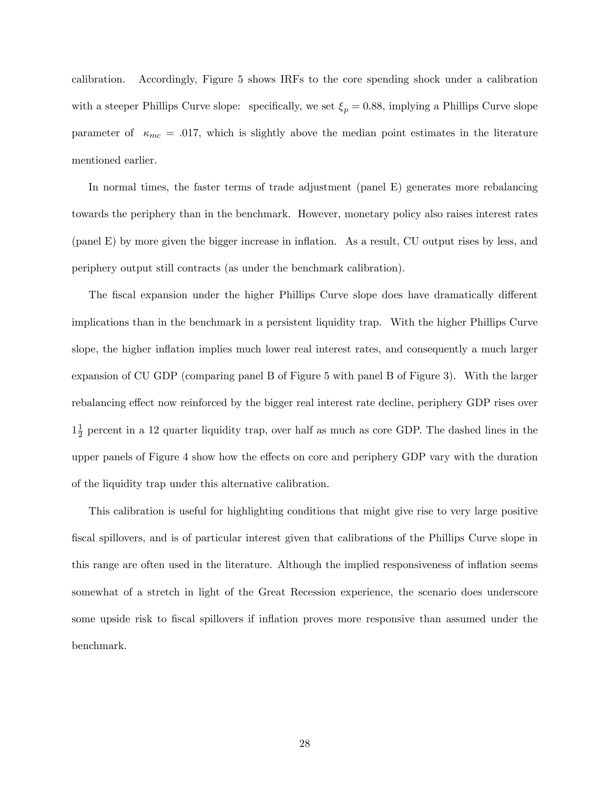calibration. Accordingly, Figure 5 shows IRFs to the core spending shock under a calibration with a steeper Phillips Curve slope: specifically, we set  $\xi_p = 0.88$ , implying a Phillips Curve slope parameter of  $\kappa_{mc} = .017$ , which is slightly above the median point estimates in the literature mentioned earlier.

In normal times, the faster terms of trade adjustment (panel E) generates more rebalancing towards the periphery than in the benchmark: However, monetary policy also raises interest rates (panel E) by more given the bigger increase in ináation. As a result, CU output rises by less, and periphery output still contracts (as under the benchmark calibration).

The fiscal expansion under the higher Phillips Curve slope does have dramatically different implications than in the benchmark in a persistent liquidity trap. With the higher Phillips Curve slope, the higher inflation implies much lower real interest rates, and consequently a much larger expansion of CU GDP (comparing panel B of Figure 5 with panel B of Figure 3). With the larger rebalancing effect now reinforced by the bigger real interest rate decline, periphery GDP rises over  $1\frac{1}{2}$  $\frac{1}{2}$  percent in a 12 quarter liquidity trap, over half as much as core GDP. The dashed lines in the upper panels of Figure 4 show how the effects on core and periphery GDP vary with the duration of the liquidity trap under this alternative calibration.

This calibration is useful for highlighting conditions that might give rise to very large positive fiscal spillovers, and is of particular interest given that calibrations of the Phillips Curve slope in this range are often used in the literature. Although the implied responsiveness of inflation seems somewhat of a stretch in light of the Great Recession experience, the scenario does underscore some upside risk to fiscal spillovers if inflation proves more responsive than assumed under the benchmark.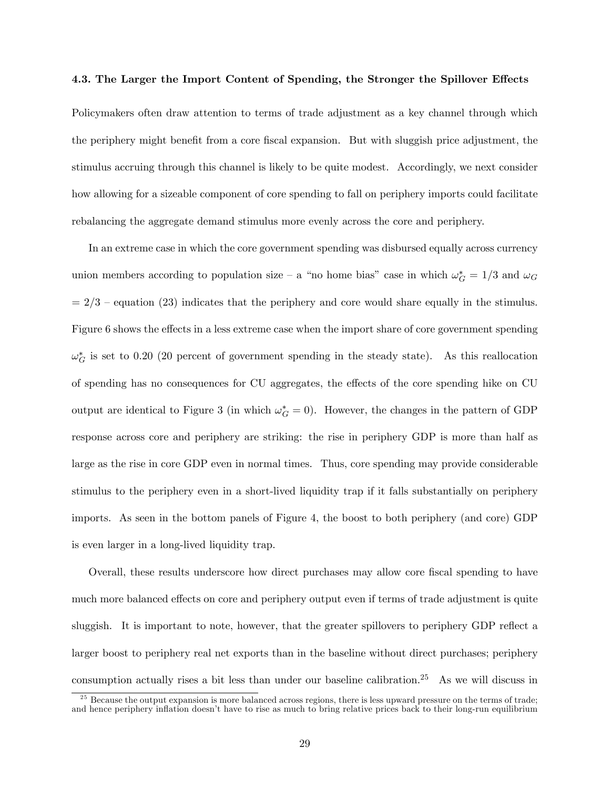#### 4.3. The Larger the Import Content of Spending, the Stronger the Spillover Effects

Policymakers often draw attention to terms of trade adjustment as a key channel through which the periphery might benefit from a core fiscal expansion. But with sluggish price adjustment, the stimulus accruing through this channel is likely to be quite modest. Accordingly, we next consider how allowing for a sizeable component of core spending to fall on periphery imports could facilitate rebalancing the aggregate demand stimulus more evenly across the core and periphery.

In an extreme case in which the core government spending was disbursed equally across currency union members according to population size – a "no home bias" case in which  $\omega_G^* = 1/3$  and  $\omega_G$  $= 2/3$  – equation (23) indicates that the periphery and core would share equally in the stimulus. Figure 6 shows the effects in a less extreme case when the import share of core government spending  $\omega_G^*$  is set to 0.20 (20 percent of government spending in the steady state). As this reallocation of spending has no consequences for CU aggregates, the effects of the core spending hike on CU output are identical to Figure 3 (in which  $\omega_G^* = 0$ ). However, the changes in the pattern of GDP response across core and periphery are striking: the rise in periphery GDP is more than half as large as the rise in core GDP even in normal times. Thus, core spending may provide considerable stimulus to the periphery even in a short-lived liquidity trap if it falls substantially on periphery imports. As seen in the bottom panels of Figure 4, the boost to both periphery (and core) GDP is even larger in a long-lived liquidity trap.

Overall, these results underscore how direct purchases may allow core fiscal spending to have much more balanced effects on core and periphery output even if terms of trade adjustment is quite sluggish. It is important to note, however, that the greater spillovers to periphery GDP reflect a larger boost to periphery real net exports than in the baseline without direct purchases; periphery consumption actually rises a bit less than under our baseline calibration.<sup>25</sup> As we will discuss in

 $25$  Because the output expansion is more balanced across regions, there is less upward pressure on the terms of trade; and hence periphery inflation doesn't have to rise as much to bring relative prices back to their long-run equilibrium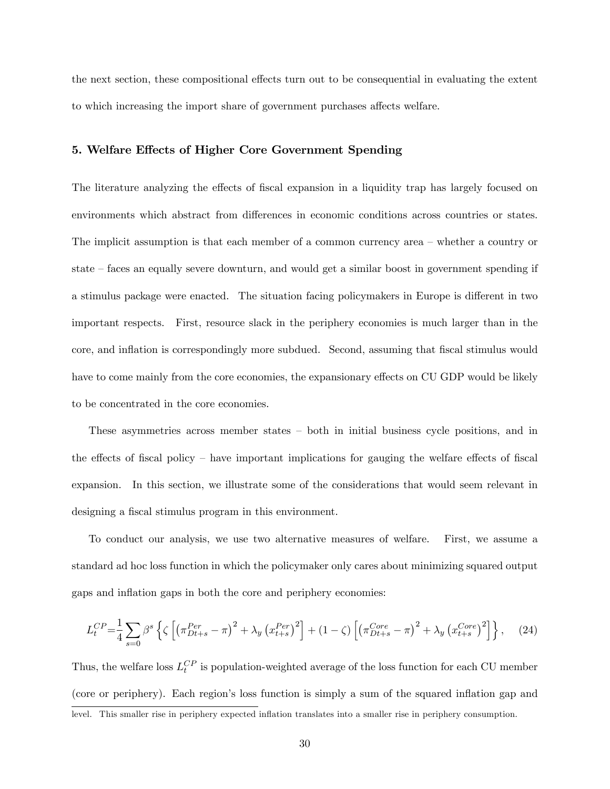the next section, these compositional effects turn out to be consequential in evaluating the extent to which increasing the import share of government purchases affects welfare.

# 5. Welfare Effects of Higher Core Government Spending

The literature analyzing the effects of fiscal expansion in a liquidity trap has largely focused on environments which abstract from differences in economic conditions across countries or states. The implicit assumption is that each member of a common currency area  $-$  whether a country or state  $-\frac{1}{2}$  faces an equally severe downturn, and would get a similar boost in government spending if a stimulus package were enacted. The situation facing policymakers in Europe is different in two important respects. First, resource slack in the periphery economies is much larger than in the core, and inflation is correspondingly more subdued. Second, assuming that fiscal stimulus would have to come mainly from the core economies, the expansionary effects on CU GDP would be likely to be concentrated in the core economies.

These asymmetries across member states  $-$  both in initial business cycle positions, and in the effects of fiscal policy – have important implications for gauging the welfare effects of fiscal expansion. In this section, we illustrate some of the considerations that would seem relevant in designing a fiscal stimulus program in this environment.

To conduct our analysis, we use two alternative measures of welfare. First, we assume a standard ad hoc loss function in which the policymaker only cares about minimizing squared output gaps and inflation gaps in both the core and periphery economies:

$$
L_t^{CP} = \frac{1}{4} \sum_{s=0} \beta^s \left\{ \zeta \left[ \left( \pi_{Dt+s}^{Per} - \pi \right)^2 + \lambda_y \left( x_{t+s}^{Per} \right)^2 \right] + (1 - \zeta) \left[ \left( \pi_{Dt+s}^{Core} - \pi \right)^2 + \lambda_y \left( x_{t+s}^{Core} \right)^2 \right] \right\}, \tag{24}
$$

Thus, the welfare loss  $L_t^{CP}$  is population-weighted average of the loss function for each CU member (core or periphery). Each regionís loss function is simply a sum of the squared ináation gap and level. This smaller rise in periphery expected ináation translates into a smaller rise in periphery consumption.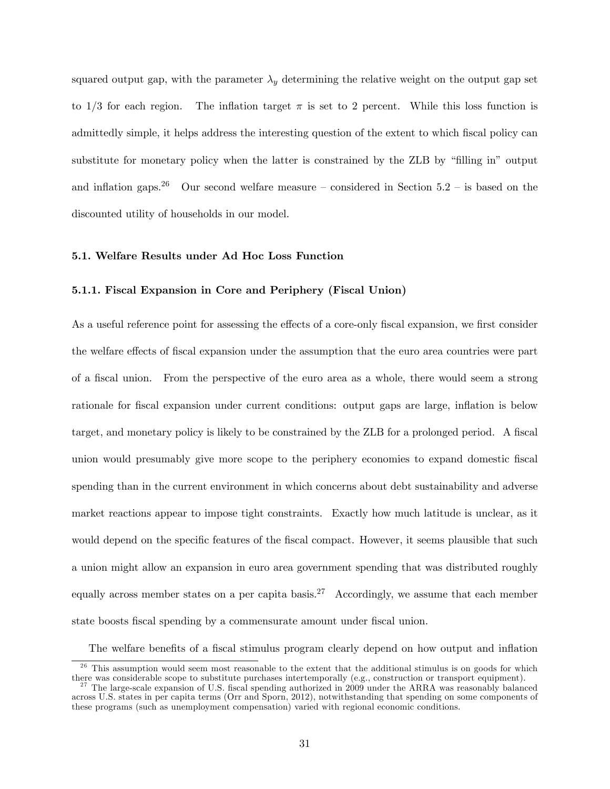squared output gap, with the parameter  $\lambda<sub>y</sub>$  determining the relative weight on the output gap set to  $1/3$  for each region. The inflation target  $\pi$  is set to 2 percent. While this loss function is admittedly simple, it helps address the interesting question of the extent to which fiscal policy can substitute for monetary policy when the latter is constrained by the ZLB by "filling in" output and inflation gaps.<sup>26</sup> Our second welfare measure – considered in Section 5.2 – is based on the discounted utility of households in our model.

#### 5.1. Welfare Results under Ad Hoc Loss Function

# 5.1.1. Fiscal Expansion in Core and Periphery (Fiscal Union)

As a useful reference point for assessing the effects of a core-only fiscal expansion, we first consider the welfare effects of fiscal expansion under the assumption that the euro area countries were part of a Öscal union. From the perspective of the euro area as a whole, there would seem a strong rationale for fiscal expansion under current conditions: output gaps are large, inflation is below target, and monetary policy is likely to be constrained by the ZLB for a prolonged period. A fiscal union would presumably give more scope to the periphery economies to expand domestic fiscal spending than in the current environment in which concerns about debt sustainability and adverse market reactions appear to impose tight constraints. Exactly how much latitude is unclear, as it would depend on the specific features of the fiscal compact. However, it seems plausible that such a union might allow an expansion in euro area government spending that was distributed roughly equally across member states on a per capita basis.<sup>27</sup> Accordingly, we assume that each member state boosts fiscal spending by a commensurate amount under fiscal union.

The welfare benefits of a fiscal stimulus program clearly depend on how output and inflation

<sup>&</sup>lt;sup>26</sup> This assumption would seem most reasonable to the extent that the additional stimulus is on goods for which there was considerable scope to substitute purchases intertemporally (e.g., construction or transport equipment).

<sup>&</sup>lt;sup>27</sup> The large-scale expansion of U.S. fiscal spending authorized in 2009 under the ARRA was reasonably balanced across U.S. states in per capita terms (Orr and Sporn, 2012), notwithstanding that spending on some components of these programs (such as unemployment compensation) varied with regional economic conditions.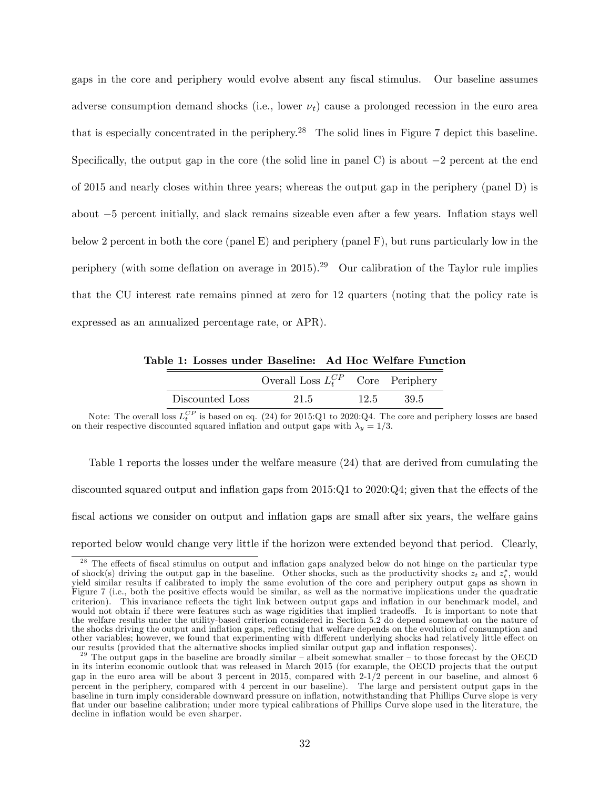gaps in the core and periphery would evolve absent any fiscal stimulus. Our baseline assumes adverse consumption demand shocks (i.e., lower  $\nu_t$ ) cause a prolonged recession in the euro area that is especially concentrated in the periphery.<sup>28</sup> The solid lines in Figure 7 depict this baseline. Specifically, the output gap in the core (the solid line in panel C) is about  $-2$  percent at the end of 2015 and nearly closes within three years; whereas the output gap in the periphery (panel D) is about  $-5$  percent initially, and slack remains sizeable even after a few years. Inflation stays well below 2 percent in both the core (panel E) and periphery (panel F), but runs particularly low in the periphery (with some deflation on average in 2015).<sup>29</sup> Our calibration of the Taylor rule implies that the CU interest rate remains pinned at zero for 12 quarters (noting that the policy rate is expressed as an annualized percentage rate, or APR).

Table 1: Losses under Baseline: Ad Hoc Welfare Function

|                 | Overall Loss $L_t^{CP}$ Core Periphery |      |       |
|-----------------|----------------------------------------|------|-------|
| Discounted Loss | 21.5                                   | 12.5 | -39.5 |

Note: The overall loss  $L_t^{CP}$  is based on eq. (24) for 2015:Q1 to 2020:Q4. The core and periphery losses are based on their respective discounted squared inflation and output gaps with  $\lambda_y = 1/3$ .

Table 1 reports the losses under the welfare measure (24) that are derived from cumulating the discounted squared output and inflation gaps from  $2015:Q1$  to  $2020:Q4$ ; given that the effects of the fiscal actions we consider on output and inflation gaps are small after six years, the welfare gains reported below would change very little if the horizon were extended beyond that period. Clearly,

The effects of fiscal stimulus on output and inflation gaps analyzed below do not hinge on the particular type of shock(s) driving the output gap in the baseline. Other shocks, such as the productivity shocks  $z_t$  and  $z_t^*$ , would yield similar results if calibrated to imply the same evolution of the core and periphery output gaps as shown in Figure 7 (i.e., both the positive effects would be similar, as well as the normative implications under the quadratic criterion). This invariance reflects the tight link between output gaps and inflation in our benchmark model, and would not obtain if there were features such as wage rigidities that implied tradeoffs. It is important to note that the welfare results under the utility-based criterion considered in Section 5.2 do depend somewhat on the nature of the shocks driving the output and inflation gaps, reflecting that welfare depends on the evolution of consumption and other variables; however, we found that experimenting with different underlying shocks had relatively little effect on our results (provided that the alternative shocks implied similar output gap and ináation responses).

 $^{29}$  The output gaps in the baseline are broadly similar – albeit somewhat smaller – to those forecast by the OECD in its interim economic outlook that was released in March 2015 (for example, the OECD projects that the output gap in the euro area will be about 3 percent in 2015, compared with 2-1/2 percent in our baseline, and almost 6 percent in the periphery, compared with 4 percent in our baseline). The large and persistent output gaps in the baseline in turn imply considerable downward pressure on ináation, notwithstanding that Phillips Curve slope is very flat under our baseline calibration; under more typical calibrations of Phillips Curve slope used in the literature, the decline in inflation would be even sharper.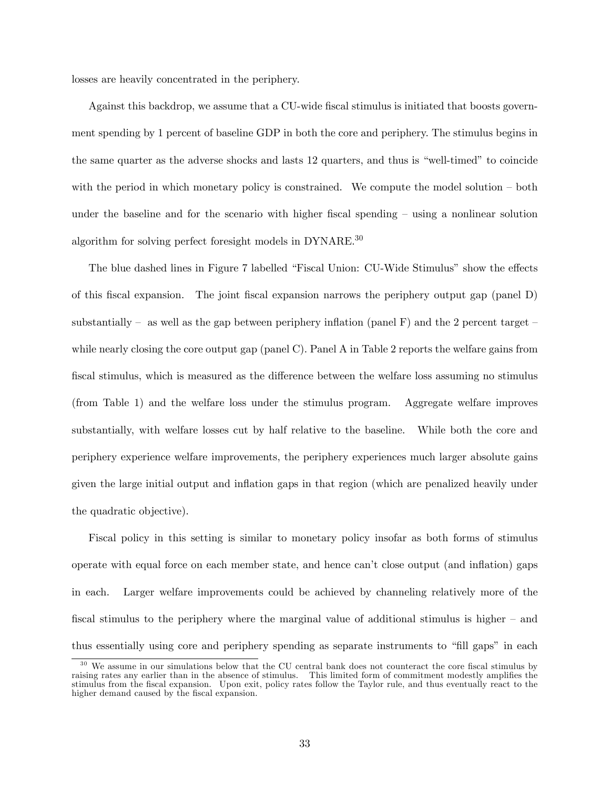losses are heavily concentrated in the periphery.

Against this backdrop, we assume that a CU-wide fiscal stimulus is initiated that boosts government spending by 1 percent of baseline GDP in both the core and periphery. The stimulus begins in the same quarter as the adverse shocks and lasts 12 quarters, and thus is "well-timed" to coincide with the period in which monetary policy is constrained. We compute the model solution  $-\text{ both}$ under the baseline and for the scenario with higher fiscal spending  $-$  using a nonlinear solution algorithm for solving perfect foresight models in DYNARE.<sup>30</sup>

The blue dashed lines in Figure 7 labelled "Fiscal Union: CU-Wide Stimulus" show the effects of this Öscal expansion. The joint Öscal expansion narrows the periphery output gap (panel D) substantially – as well as the gap between periphery inflation (panel F) and the 2 percent target – while nearly closing the core output gap (panel C). Panel A in Table 2 reports the welfare gains from fiscal stimulus, which is measured as the difference between the welfare loss assuming no stimulus (from Table 1) and the welfare loss under the stimulus program. Aggregate welfare improves substantially, with welfare losses cut by half relative to the baseline. While both the core and periphery experience welfare improvements, the periphery experiences much larger absolute gains given the large initial output and ináation gaps in that region (which are penalized heavily under the quadratic objective).

Fiscal policy in this setting is similar to monetary policy insofar as both forms of stimulus operate with equal force on each member state, and hence canít close output (and ináation) gaps in each. Larger welfare improvements could be achieved by channeling relatively more of the fiscal stimulus to the periphery where the marginal value of additional stimulus is higher  $-$  and thus essentially using core and periphery spending as separate instruments to "fill gaps" in each

<sup>&</sup>lt;sup>30</sup> We assume in our simulations below that the CU central bank does not counteract the core fiscal stimulus by raising rates any earlier than in the absence of stimulus. This limited form of commitment modestly amplifies the stimulus from the Öscal expansion. Upon exit, policy rates follow the Taylor rule, and thus eventually react to the higher demand caused by the fiscal expansion.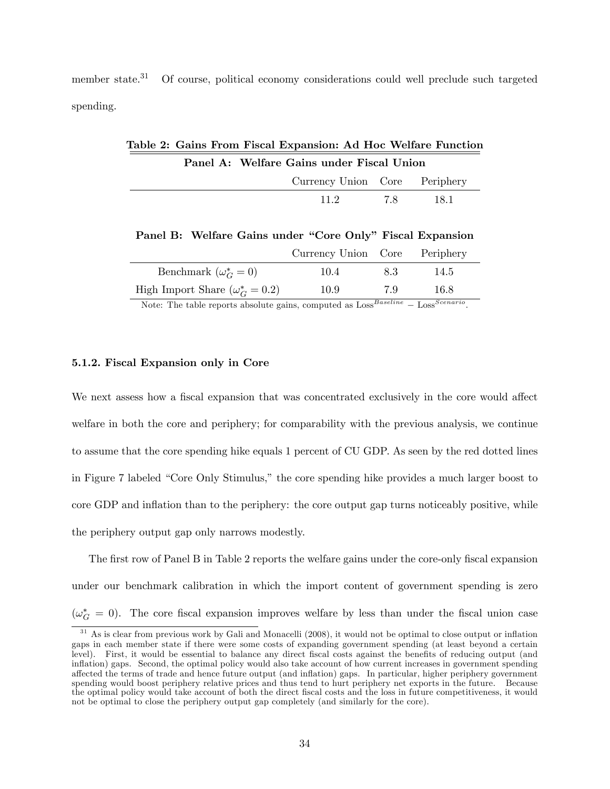member state.<sup>31</sup> Of course, political economy considerations could well preclude such targeted spending.

|                                           |  | Table 2: Gains From Fiscal Expansion: Ad Hoc Welfare Function |  |  |  |
|-------------------------------------------|--|---------------------------------------------------------------|--|--|--|
| Panel A: Welfare Gains under Fiscal Union |  |                                                               |  |  |  |
|                                           |  | Currency Union Core Periphery                                 |  |  |  |
|                                           |  | 11.2 7.8 1.8.1                                                |  |  |  |

Panel B: Welfare Gains under "Core Only" Fiscal Expansion

|                                        | Currency Union Core Periphery |     |      |
|----------------------------------------|-------------------------------|-----|------|
| Benchmark $(\omega_G^* = 0)$           | 10.4                          | 83  | 14.5 |
| High Import Share $(\omega_G^* = 0.2)$ | 10.9                          | 7.9 | 16.8 |
|                                        |                               |     |      |

Note: The table reports absolute gains, computed as  $\text{Loss}^{Baseline} - \text{Loss}^{Scenario}$ .

## 5.1.2. Fiscal Expansion only in Core

We next assess how a fiscal expansion that was concentrated exclusively in the core would affect welfare in both the core and periphery; for comparability with the previous analysis, we continue to assume that the core spending hike equals 1 percent of CU GDP. As seen by the red dotted lines in Figure 7 labeled "Core Only Stimulus," the core spending hike provides a much larger boost to core GDP and ináation than to the periphery: the core output gap turns noticeably positive, while the periphery output gap only narrows modestly.

The first row of Panel B in Table 2 reports the welfare gains under the core-only fiscal expansion under our benchmark calibration in which the import content of government spending is zero  $(\omega_G^* = 0)$ . The core fiscal expansion improves welfare by less than under the fiscal union case

 $31$  As is clear from previous work by Gali and Monacelli (2008), it would not be optimal to close output or inflation gaps in each member state if there were some costs of expanding government spending (at least beyond a certain level). First, it would be essential to balance any direct fiscal costs against the benefits of reducing output (and inflation) gaps. Second, the optimal policy would also take account of how current increases in government spending a§ected the terms of trade and hence future output (and ináation) gaps. In particular, higher periphery government spending would boost periphery relative prices and thus tend to hurt periphery net exports in the future. Because the optimal policy would take account of both the direct Öscal costs and the loss in future competitiveness, it would not be optimal to close the periphery output gap completely (and similarly for the core).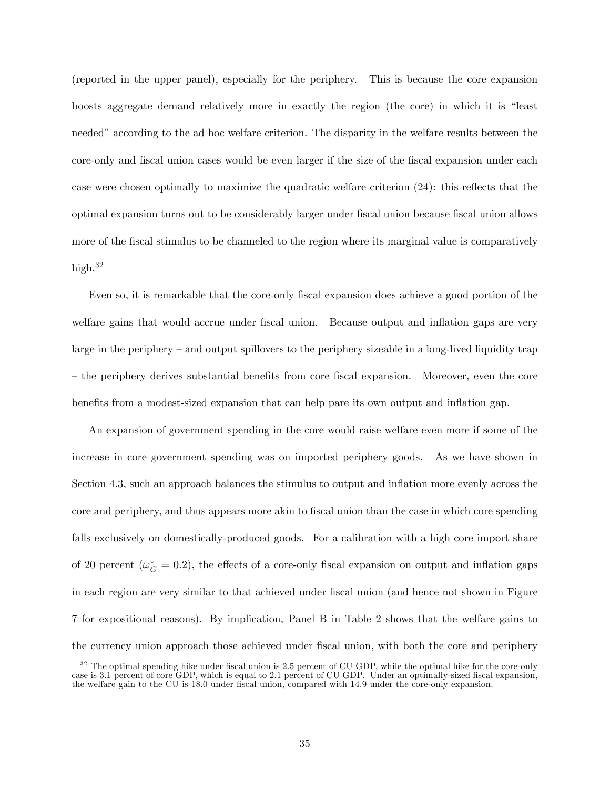(reported in the upper panel), especially for the periphery. This is because the core expansion boosts aggregate demand relatively more in exactly the region (the core) in which it is "least needed" according to the ad hoc welfare criterion. The disparity in the welfare results between the core-only and fiscal union cases would be even larger if the size of the fiscal expansion under each case were chosen optimally to maximize the quadratic welfare criterion  $(24)$ : this reflects that the optimal expansion turns out to be considerably larger under Öscal union because Öscal union allows more of the fiscal stimulus to be channeled to the region where its marginal value is comparatively high.<sup>32</sup>

Even so, it is remarkable that the core-only fiscal expansion does achieve a good portion of the welfare gains that would accrue under fiscal union. Because output and inflation gaps are very large in the periphery – and output spillovers to the periphery sizeable in a long-lived liquidity trap – the periphery derives substantial benefits from core fiscal expansion. Moreover, even the core benefits from a modest-sized expansion that can help pare its own output and inflation gap.

An expansion of government spending in the core would raise welfare even more if some of the increase in core government spending was on imported periphery goods. As we have shown in Section 4.3, such an approach balances the stimulus to output and inflation more evenly across the core and periphery, and thus appears more akin to Öscal union than the case in which core spending falls exclusively on domestically-produced goods. For a calibration with a high core import share of 20 percent ( $\omega_G^* = 0.2$ ), the effects of a core-only fiscal expansion on output and inflation gaps in each region are very similar to that achieved under fiscal union (and hence not shown in Figure 7 for expositional reasons). By implication, Panel B in Table 2 shows that the welfare gains to the currency union approach those achieved under Öscal union, with both the core and periphery

 $32$  The optimal spending hike under fiscal union is 2.5 percent of CU GDP, while the optimal hike for the core-only case is 3.1 percent of core GDP, which is equal to 2.1 percent of CU GDP. Under an optimally-sized fiscal expansion, the welfare gain to the CU is 18.0 under fiscal union, compared with 14.9 under the core-only expansion.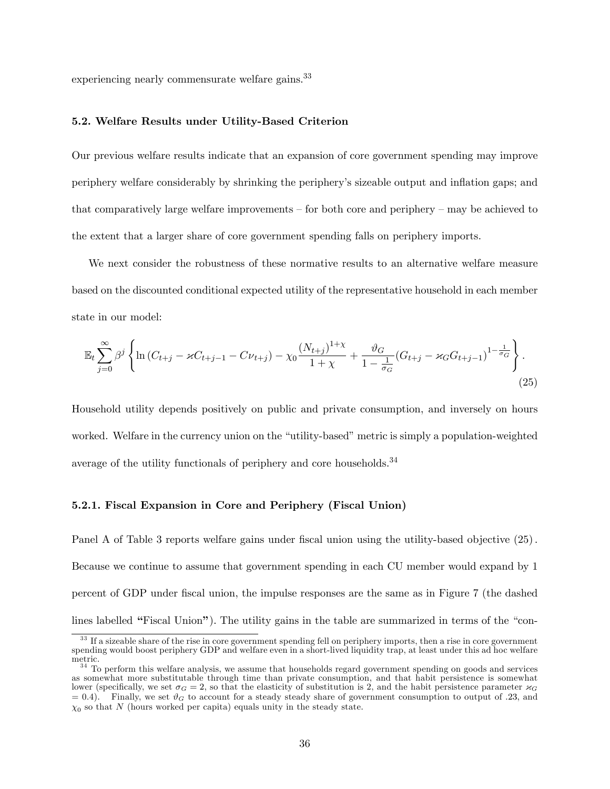experiencing nearly commensurate welfare gains.<sup>33</sup>

## 5.2. Welfare Results under Utility-Based Criterion

Our previous welfare results indicate that an expansion of core government spending may improve periphery welfare considerably by shrinking the peripheryís sizeable output and ináation gaps; and that comparatively large welfare improvements  $\sim$  for both core and periphery  $\sim$  may be achieved to the extent that a larger share of core government spending falls on periphery imports.

We next consider the robustness of these normative results to an alternative welfare measure based on the discounted conditional expected utility of the representative household in each member state in our model:

$$
\mathbb{E}_{t} \sum_{j=0}^{\infty} \beta^{j} \left\{ \ln \left( C_{t+j} - \varkappa C_{t+j-1} - C \nu_{t+j} \right) - \chi_{0} \frac{\left( N_{t+j} \right)^{1+\chi}}{1+\chi} + \frac{\vartheta_{G}}{1-\frac{1}{\sigma_{G}}} \left( G_{t+j} - \varkappa_{G} G_{t+j-1} \right)^{1-\frac{1}{\sigma_{G}}} \right\}.
$$
\n(25)

Household utility depends positively on public and private consumption, and inversely on hours worked. Welfare in the currency union on the "utility-based" metric is simply a population-weighted average of the utility functionals of periphery and core households.<sup>34</sup>

## 5.2.1. Fiscal Expansion in Core and Periphery (Fiscal Union)

Panel A of Table 3 reports welfare gains under fiscal union using the utility-based objective  $(25)$ . Because we continue to assume that government spending in each CU member would expand by 1 percent of GDP under Öscal union, the impulse responses are the same as in Figure 7 (the dashed lines labelled "Fiscal Union"). The utility gains in the table are summarized in terms of the "con-

<sup>&</sup>lt;sup>33</sup> If a sizeable share of the rise in core government spending fell on periphery imports, then a rise in core government spending would boost periphery GDP and welfare even in a short-lived liquidity trap, at least under this ad hoc welfare metric.

<sup>&</sup>lt;sup>34</sup> To perform this welfare analysis, we assume that households regard government spending on goods and services as somewhat more substitutable through time than private consumption, and that habit persistence is somewhat lower (specifically, we set  $\sigma_G = 2$ , so that the elasticity of substitution is 2, and the habit persistence parameter  $\times_G$  $= 0.4$ ). Finally, we set  $\vartheta_G$  to account for a steady steady share of government consumption to output of .23, and  $\chi_0$  so that N (hours worked per capita) equals unity in the steady state.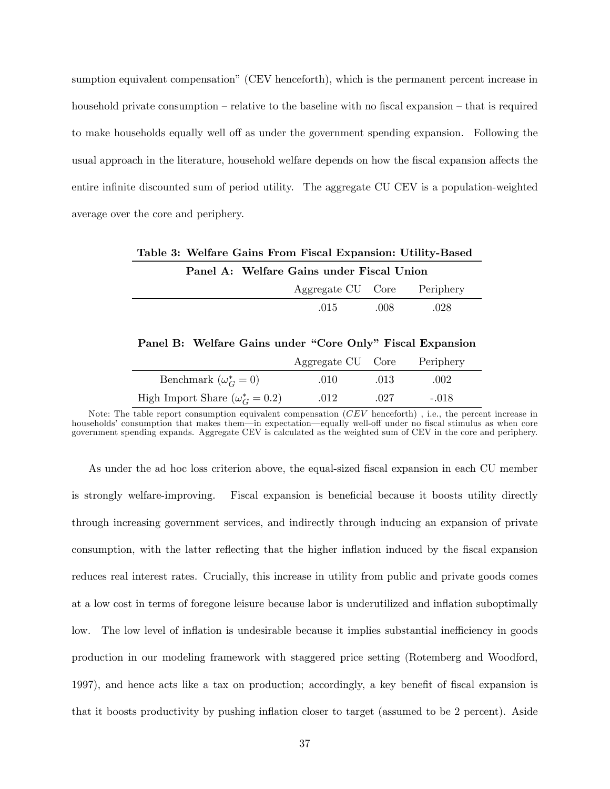sumption equivalent compensation" (CEV henceforth), which is the permanent percent increase in household private consumption  $-\text{relative to the baseline with no fiscal expansion} - \text{that is required}$ to make households equally well off as under the government spending expansion. Following the usual approach in the literature, household welfare depends on how the fiscal expansion affects the entire infinite discounted sum of period utility. The aggregate CU CEV is a population-weighted average over the core and periphery.

| Table 3: Welfare Gains From Fiscal Expansion: Utility-Based |  |                             |  |  |  |  |
|-------------------------------------------------------------|--|-----------------------------|--|--|--|--|
| Panel A: Welfare Gains under Fiscal Union                   |  |                             |  |  |  |  |
|                                                             |  | Aggregate CU Core Periphery |  |  |  |  |

Panel B: Welfare Gains under "Core Only" Fiscal Expansion

.015 .008 .028

|                                        | Aggregate CU Core |      | Periphery |
|----------------------------------------|-------------------|------|-----------|
| Benchmark $(\omega_G^* = 0)$           | .010              | .013 | .002      |
| High Import Share $(\omega_G^* = 0.2)$ | .012              | .027 | $-.018$   |

Note: The table report consumption equivalent compensation (CEV henceforth) , i.e., the percent increase in households' consumption that makes them—in expectation—equally well-off under no fiscal stimulus as when core government spending expands. Aggregate CEV is calculated as the weighted sum of CEV in the core and periphery.

As under the ad hoc loss criterion above, the equal-sized fiscal expansion in each CU member is strongly welfare-improving. Fiscal expansion is beneficial because it boosts utility directly through increasing government services, and indirectly through inducing an expansion of private consumption, with the latter reflecting that the higher inflation induced by the fiscal expansion reduces real interest rates. Crucially, this increase in utility from public and private goods comes at a low cost in terms of foregone leisure because labor is underutilized and ináation suboptimally low. The low level of inflation is undesirable because it implies substantial inefficiency in goods production in our modeling framework with staggered price setting (Rotemberg and Woodford, 1997), and hence acts like a tax on production; accordingly, a key benefit of fiscal expansion is that it boosts productivity by pushing ináation closer to target (assumed to be 2 percent). Aside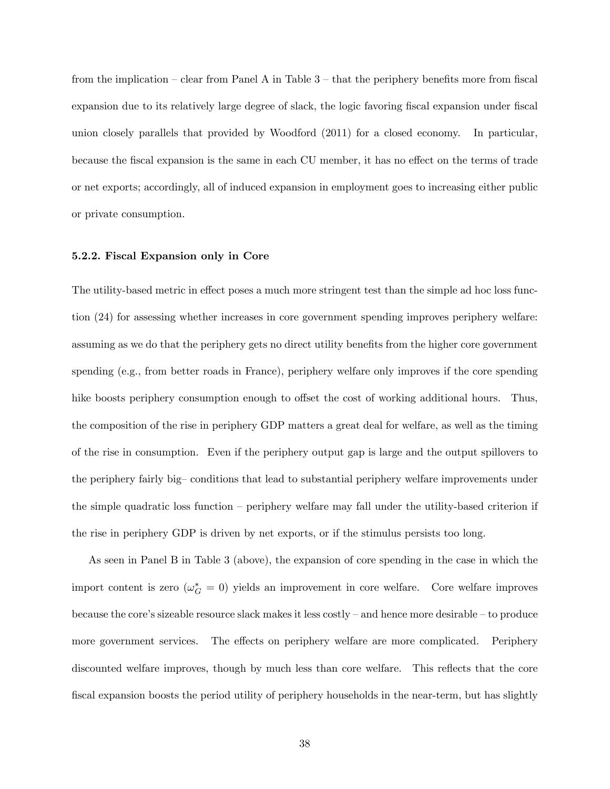from the implication – clear from Panel A in Table  $3$  – that the periphery benefits more from fiscal expansion due to its relatively large degree of slack, the logic favoring fiscal expansion under fiscal union closely parallels that provided by Woodford (2011) for a closed economy. In particular, because the fiscal expansion is the same in each CU member, it has no effect on the terms of trade or net exports; accordingly, all of induced expansion in employment goes to increasing either public or private consumption.

#### 5.2.2. Fiscal Expansion only in Core

The utility-based metric in effect poses a much more stringent test than the simple ad hoc loss function (24) for assessing whether increases in core government spending improves periphery welfare: assuming as we do that the periphery gets no direct utility benefits from the higher core government spending (e.g., from better roads in France), periphery welfare only improves if the core spending hike boosts periphery consumption enough to offset the cost of working additional hours. Thus, the composition of the rise in periphery GDP matters a great deal for welfare, as well as the timing of the rise in consumption. Even if the periphery output gap is large and the output spillovers to the periphery fairly big-conditions that lead to substantial periphery welfare improvements under the simple quadratic loss function  $-$  periphery welfare may fall under the utility-based criterion if the rise in periphery GDP is driven by net exports, or if the stimulus persists too long.

As seen in Panel B in Table 3 (above), the expansion of core spending in the case in which the import content is zero  $(\omega_G^* = 0)$  yields an improvement in core welfare. Core welfare improves because the core's sizeable resource slack makes it less costly  $-$  and hence more desirable  $-$  to produce more government services. The effects on periphery welfare are more complicated. Periphery discounted welfare improves, though by much less than core welfare. This reflects that the core fiscal expansion boosts the period utility of periphery households in the near-term, but has slightly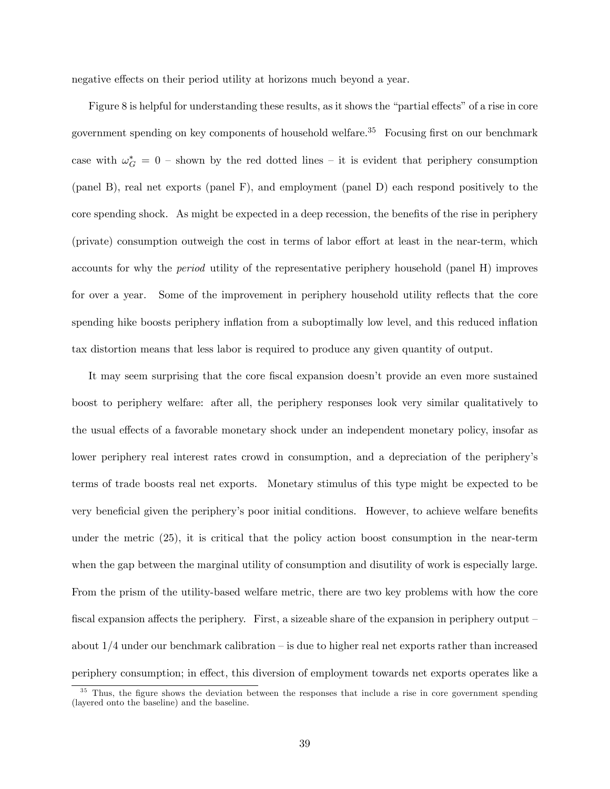negative effects on their period utility at horizons much beyond a year.

Figure 8 is helpful for understanding these results, as it shows the "partial effects" of a rise in core government spending on key components of household welfare.<sup>35</sup> Focusing first on our benchmark case with  $\omega_G^* = 0$  – shown by the red dotted lines – it is evident that periphery consumption (panel B), real net exports (panel F), and employment (panel D) each respond positively to the core spending shock. As might be expected in a deep recession, the benefits of the rise in periphery (private) consumption outweigh the cost in terms of labor effort at least in the near-term, which accounts for why the period utility of the representative periphery household (panel H) improves for over a year. Some of the improvement in periphery household utility reflects that the core spending hike boosts periphery inflation from a suboptimally low level, and this reduced inflation tax distortion means that less labor is required to produce any given quantity of output.

It may seem surprising that the core fiscal expansion doesn't provide an even more sustained boost to periphery welfare: after all, the periphery responses look very similar qualitatively to the usual effects of a favorable monetary shock under an independent monetary policy, insofar as lower periphery real interest rates crowd in consumption, and a depreciation of the peripheryís terms of trade boosts real net exports. Monetary stimulus of this type might be expected to be very beneficial given the periphery's poor initial conditions. However, to achieve welfare benefits under the metric (25), it is critical that the policy action boost consumption in the near-term when the gap between the marginal utility of consumption and disutility of work is especially large. From the prism of the utility-based welfare metric, there are two key problems with how the core fiscal expansion affects the periphery. First, a sizeable share of the expansion in periphery output  $-\frac{1}{2}$ about  $1/4$  under our benchmark calibration – is due to higher real net exports rather than increased periphery consumption; in effect, this diversion of employment towards net exports operates like a

<sup>&</sup>lt;sup>35</sup> Thus, the figure shows the deviation between the responses that include a rise in core government spending (layered onto the baseline) and the baseline.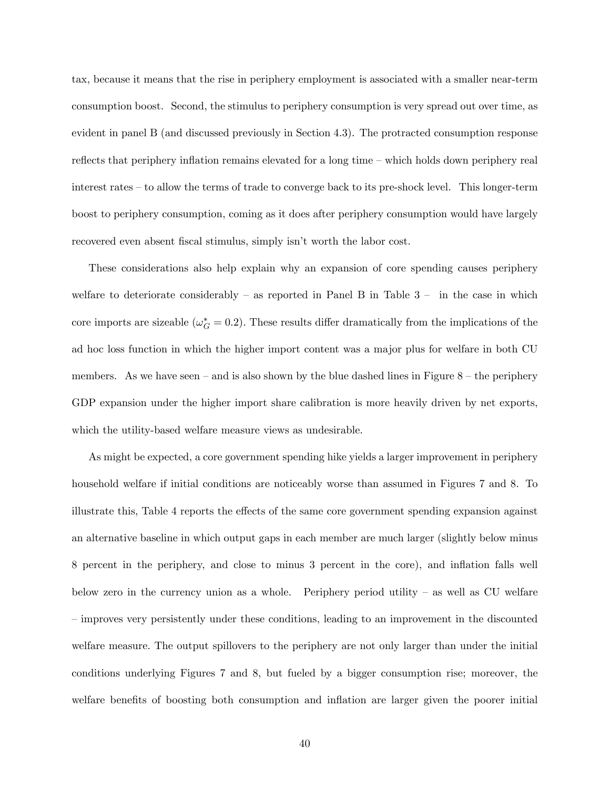tax, because it means that the rise in periphery employment is associated with a smaller near-term consumption boost. Second, the stimulus to periphery consumption is very spread out over time, as evident in panel B (and discussed previously in Section 4.3). The protracted consumption response reflects that periphery inflation remains elevated for a long time  $-\text{ which holds down periphery real}$ interest rates  $-$  to allow the terms of trade to converge back to its pre-shock level. This longer-term boost to periphery consumption, coming as it does after periphery consumption would have largely recovered even absent fiscal stimulus, simply isn't worth the labor cost.

These considerations also help explain why an expansion of core spending causes periphery welfare to deteriorate considerably  $-$  as reported in Panel B in Table 3  $-$  in the case in which core imports are sizeable ( $\omega_G^* = 0.2$ ). These results differ dramatically from the implications of the ad hoc loss function in which the higher import content was a major plus for welfare in both CU members. As we have seen  $-$  and is also shown by the blue dashed lines in Figure 8  $-$  the periphery GDP expansion under the higher import share calibration is more heavily driven by net exports, which the utility-based welfare measure views as undesirable.

As might be expected, a core government spending hike yields a larger improvement in periphery household welfare if initial conditions are noticeably worse than assumed in Figures 7 and 8. To illustrate this, Table 4 reports the effects of the same core government spending expansion against an alternative baseline in which output gaps in each member are much larger (slightly below minus 8 percent in the periphery, and close to minus 3 percent in the core), and ináation falls well below zero in the currency union as a whole. Periphery period utility  $-$  as well as CU welfare – improves very persistently under these conditions, leading to an improvement in the discounted welfare measure. The output spillovers to the periphery are not only larger than under the initial conditions underlying Figures 7 and 8, but fueled by a bigger consumption rise; moreover, the welfare benefits of boosting both consumption and inflation are larger given the poorer initial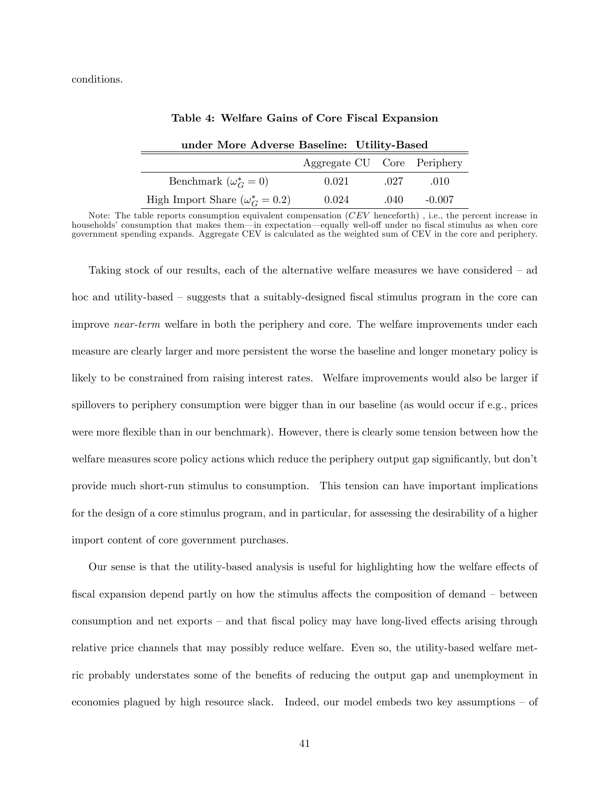conditions.

| under More Adverse Baseline: Utility-Based |                             |      |          |  |  |  |
|--------------------------------------------|-----------------------------|------|----------|--|--|--|
|                                            | Aggregate CU Core Periphery |      |          |  |  |  |
| Benchmark $(\omega_G^* = 0)$               | 0.021                       | .027 | .010     |  |  |  |
| High Import Share $(\omega_G^* = 0.2)$     | 0.024                       | .040 | $-0.007$ |  |  |  |

|  |  |  |  |  |  | Table 4: Welfare Gains of Core Fiscal Expansion |
|--|--|--|--|--|--|-------------------------------------------------|
|--|--|--|--|--|--|-------------------------------------------------|

Note: The table reports consumption equivalent compensation (CEV henceforth) , i.e., the percent increase in households' consumption that makes them—in expectation—equally well-off under no fiscal stimulus as when core government spending expands. Aggregate CEV is calculated as the weighted sum of CEV in the core and periphery.

Taking stock of our results, each of the alternative welfare measures we have considered  $-$  ad hoc and utility-based  $\sim$  suggests that a suitably-designed fiscal stimulus program in the core can improve *near-term* welfare in both the periphery and core. The welfare improvements under each measure are clearly larger and more persistent the worse the baseline and longer monetary policy is likely to be constrained from raising interest rates. Welfare improvements would also be larger if spillovers to periphery consumption were bigger than in our baseline (as would occur if e.g., prices were more flexible than in our benchmark). However, there is clearly some tension between how the welfare measures score policy actions which reduce the periphery output gap significantly, but don't provide much short-run stimulus to consumption. This tension can have important implications for the design of a core stimulus program, and in particular, for assessing the desirability of a higher import content of core government purchases.

Our sense is that the utility-based analysis is useful for highlighting how the welfare effects of fiscal expansion depend partly on how the stimulus affects the composition of demand  $\sim$  between consumption and net exports  $-$  and that fiscal policy may have long-lived effects arising through relative price channels that may possibly reduce welfare. Even so, the utility-based welfare metric probably understates some of the benefits of reducing the output gap and unemployment in economies plagued by high resource slack. Indeed, our model embeds two key assumptions  $-$  of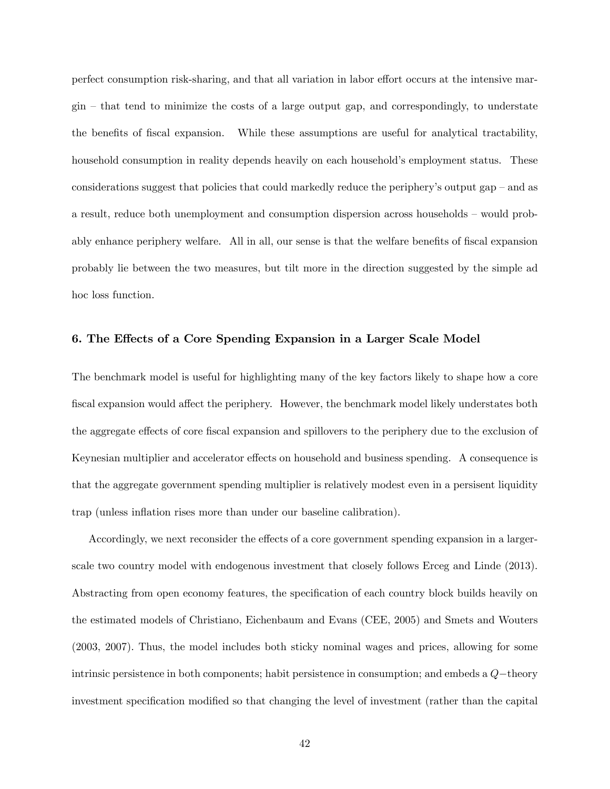perfect consumption risk-sharing, and that all variation in labor effort occurs at the intensive mar- $\sin$  – that tend to minimize the costs of a large output gap, and correspondingly, to understate the benefits of fiscal expansion. While these assumptions are useful for analytical tractability, household consumption in reality depends heavily on each household's employment status. These considerations suggest that policies that could markedly reduce the periphery's output gap  $-$  and as a result, reduce both unemployment and consumption dispersion across households – would probably enhance periphery welfare. All in all, our sense is that the welfare benefits of fiscal expansion probably lie between the two measures, but tilt more in the direction suggested by the simple ad hoc loss function.

# 6. The Effects of a Core Spending Expansion in a Larger Scale Model

The benchmark model is useful for highlighting many of the key factors likely to shape how a core fiscal expansion would affect the periphery. However, the benchmark model likely understates both the aggregate effects of core fiscal expansion and spillovers to the periphery due to the exclusion of Keynesian multiplier and accelerator effects on household and business spending. A consequence is that the aggregate government spending multiplier is relatively modest even in a persisent liquidity trap (unless inflation rises more than under our baseline calibration).

Accordingly, we next reconsider the effects of a core government spending expansion in a largerscale two country model with endogenous investment that closely follows Erceg and Linde (2013). Abstracting from open economy features, the specification of each country block builds heavily on the estimated models of Christiano, Eichenbaum and Evans (CEE, 2005) and Smets and Wouters (2003, 2007). Thus, the model includes both sticky nominal wages and prices, allowing for some intrinsic persistence in both components; habit persistence in consumption; and embeds a  $Q$ -theory investment specification modified so that changing the level of investment (rather than the capital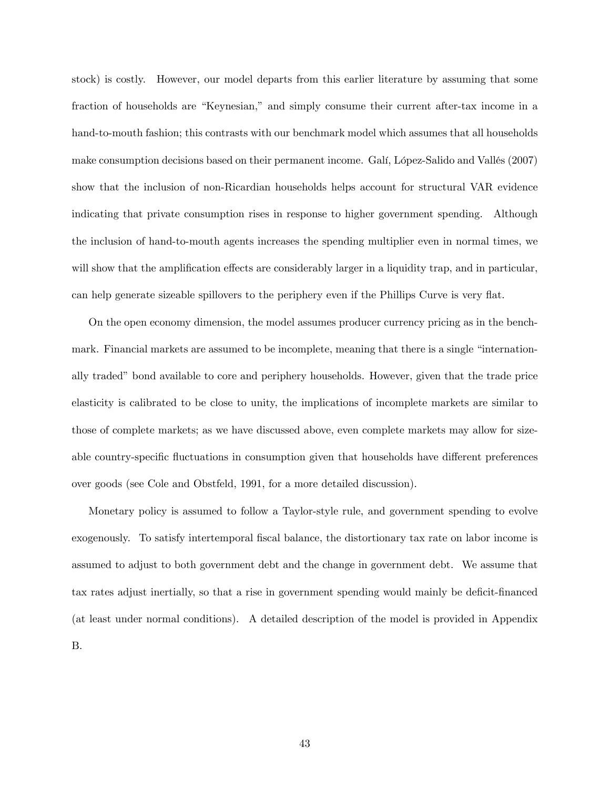stock) is costly. However, our model departs from this earlier literature by assuming that some fraction of households are "Keynesian," and simply consume their current after-tax income in a hand-to-mouth fashion; this contrasts with our benchmark model which assumes that all households make consumption decisions based on their permanent income. Gali, López-Salido and Vallés (2007) show that the inclusion of non-Ricardian households helps account for structural VAR evidence indicating that private consumption rises in response to higher government spending. Although the inclusion of hand-to-mouth agents increases the spending multiplier even in normal times, we will show that the amplification effects are considerably larger in a liquidity trap, and in particular, can help generate sizeable spillovers to the periphery even if the Phillips Curve is very flat.

On the open economy dimension, the model assumes producer currency pricing as in the benchmark. Financial markets are assumed to be incomplete, meaning that there is a single "internationally traded" bond available to core and periphery households. However, given that the trade price elasticity is calibrated to be close to unity, the implications of incomplete markets are similar to those of complete markets; as we have discussed above, even complete markets may allow for sizeable country-specific fluctuations in consumption given that households have different preferences over goods (see Cole and Obstfeld, 1991, for a more detailed discussion).

Monetary policy is assumed to follow a Taylor-style rule, and government spending to evolve exogenously. To satisfy intertemporal fiscal balance, the distortionary tax rate on labor income is assumed to adjust to both government debt and the change in government debt. We assume that tax rates adjust inertially, so that a rise in government spending would mainly be deficit-financed (at least under normal conditions). A detailed description of the model is provided in Appendix **B.**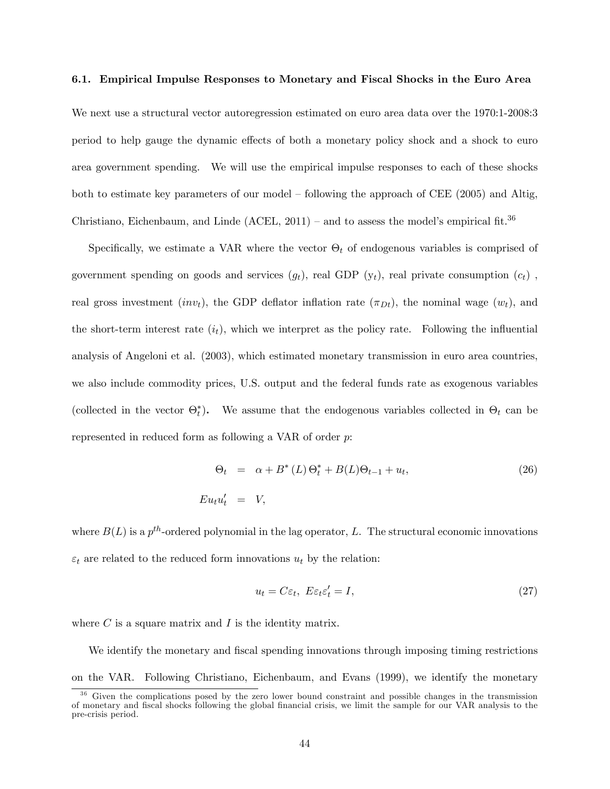#### 6.1. Empirical Impulse Responses to Monetary and Fiscal Shocks in the Euro Area

We next use a structural vector autoregression estimated on euro area data over the 1970:1-2008:3 period to help gauge the dynamic effects of both a monetary policy shock and a shock to euro area government spending. We will use the empirical impulse responses to each of these shocks both to estimate key parameters of our model  $-$  following the approach of CEE (2005) and Altig, Christiano, Eichenbaum, and Linde (ACEL, 2011) – and to assess the model's empirical fit.<sup>36</sup>

Specifically, we estimate a VAR where the vector  $\Theta_t$  of endogenous variables is comprised of government spending on goods and services  $(g_t)$ , real GDP  $(y_t)$ , real private consumption  $(c_t)$ , real gross investment (inv<sub>t</sub>), the GDP deflator inflation rate ( $\pi_{Dt}$ ), the nominal wage ( $w_t$ ), and the short-term interest rate  $(i_t)$ , which we interpret as the policy rate. Following the influential analysis of Angeloni et al. (2003), which estimated monetary transmission in euro area countries, we also include commodity prices, U.S. output and the federal funds rate as exogenous variables (collected in the vector  $\Theta_t^*$ ). We assume that the endogenous variables collected in  $\Theta_t$  can be represented in reduced form as following a VAR of order p:

$$
\Theta_t = \alpha + B^*(L)\Theta_t^* + B(L)\Theta_{t-1} + u_t,
$$
\n
$$
Eu_t u_t' = V,
$$
\n(26)

where  $B(L)$  is a  $p^{th}$ -ordered polynomial in the lag operator, L. The structural economic innovations  $\varepsilon_t$  are related to the reduced form innovations  $u_t$  by the relation:

$$
u_t = C\varepsilon_t, \ E\varepsilon_t \varepsilon_t' = I,\tag{27}
$$

where  $C$  is a square matrix and  $I$  is the identity matrix.

We identify the monetary and fiscal spending innovations through imposing timing restrictions on the VAR. Following Christiano, Eichenbaum, and Evans (1999), we identify the monetary

<sup>&</sup>lt;sup>36</sup> Given the complications posed by the zero lower bound constraint and possible changes in the transmission of monetary and Öscal shocks following the global Önancial crisis, we limit the sample for our VAR analysis to the pre-crisis period.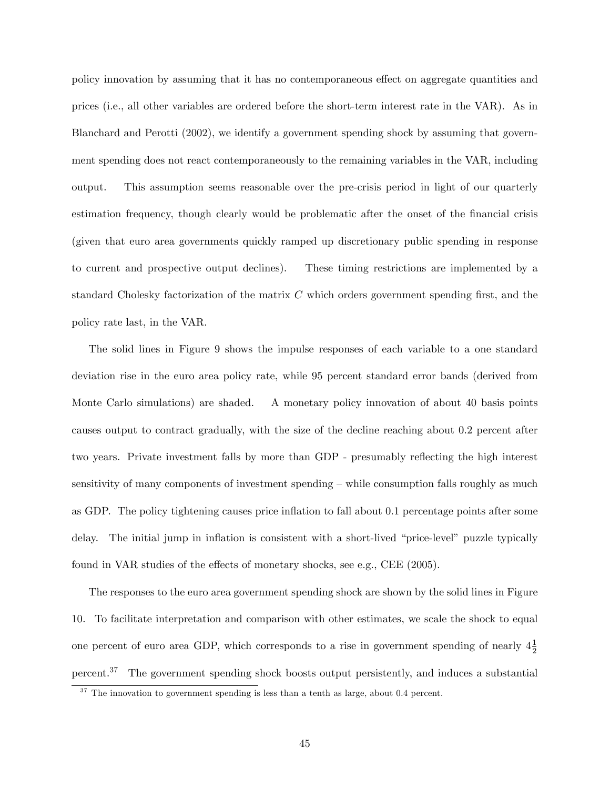policy innovation by assuming that it has no contemporaneous effect on aggregate quantities and prices (i.e., all other variables are ordered before the short-term interest rate in the VAR). As in Blanchard and Perotti (2002), we identify a government spending shock by assuming that government spending does not react contemporaneously to the remaining variables in the VAR, including output. This assumption seems reasonable over the pre-crisis period in light of our quarterly estimation frequency, though clearly would be problematic after the onset of the financial crisis (given that euro area governments quickly ramped up discretionary public spending in response to current and prospective output declines). These timing restrictions are implemented by a standard Cholesky factorization of the matrix  $C$  which orders government spending first, and the policy rate last, in the VAR.

The solid lines in Figure 9 shows the impulse responses of each variable to a one standard deviation rise in the euro area policy rate, while 95 percent standard error bands (derived from Monte Carlo simulations) are shaded. A monetary policy innovation of about 40 basis points causes output to contract gradually, with the size of the decline reaching about 0.2 percent after two years. Private investment falls by more than GDP - presumably reflecting the high interest sensitivity of many components of investment spending  $-\omega$  while consumption falls roughly as much as GDP. The policy tightening causes price inflation to fall about 0.1 percentage points after some delay. The initial jump in inflation is consistent with a short-lived "price-level" puzzle typically found in VAR studies of the effects of monetary shocks, see e.g., CEE  $(2005)$ .

The responses to the euro area government spending shock are shown by the solid lines in Figure 10. To facilitate interpretation and comparison with other estimates, we scale the shock to equal one percent of euro area GDP, which corresponds to a rise in government spending of nearly  $4\frac{1}{2}$ percent.<sup>37</sup> The government spending shock boosts output persistently, and induces a substantial

<sup>&</sup>lt;sup>37</sup> The innovation to government spending is less than a tenth as large, about 0.4 percent.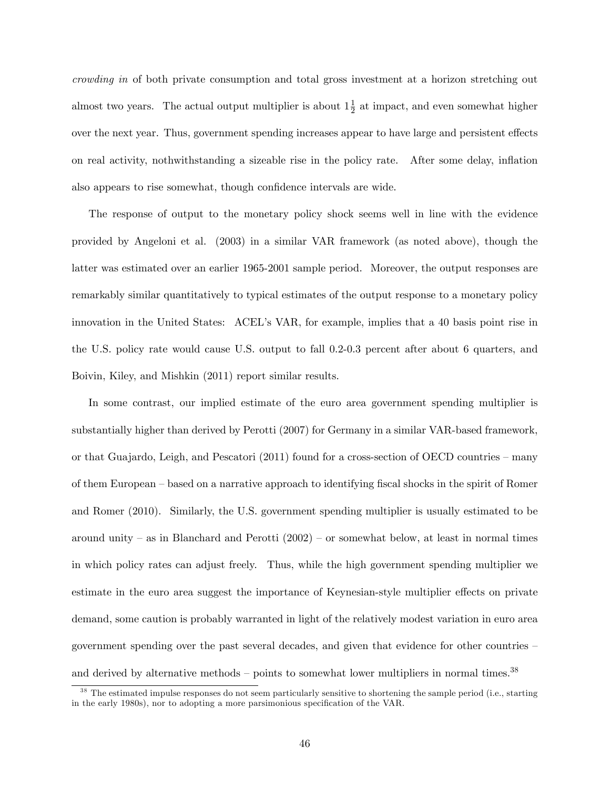crowding in of both private consumption and total gross investment at a horizon stretching out almost two years. The actual output multiplier is about  $1\frac{1}{2}$  at impact, and even somewhat higher over the next year. Thus, government spending increases appear to have large and persistent effects on real activity, nothwithstanding a sizeable rise in the policy rate. After some delay, ináation also appears to rise somewhat, though confidence intervals are wide.

The response of output to the monetary policy shock seems well in line with the evidence provided by Angeloni et al. (2003) in a similar VAR framework (as noted above), though the latter was estimated over an earlier 1965-2001 sample period. Moreover, the output responses are remarkably similar quantitatively to typical estimates of the output response to a monetary policy innovation in the United States: ACEL's VAR, for example, implies that a 40 basis point rise in the U.S. policy rate would cause U.S. output to fall 0.2-0.3 percent after about 6 quarters, and Boivin, Kiley, and Mishkin (2011) report similar results.

In some contrast, our implied estimate of the euro area government spending multiplier is substantially higher than derived by Perotti (2007) for Germany in a similar VAR-based framework, or that Guajardo, Leigh, and Pescatori  $(2011)$  found for a cross-section of OECD countries – many of them European – based on a narrative approach to identifying fiscal shocks in the spirit of Romer and Romer (2010). Similarly, the U.S. government spending multiplier is usually estimated to be around unity  $-\text{as}$  in Blanchard and Perotti (2002)  $-\text{or}$  somewhat below, at least in normal times in which policy rates can adjust freely. Thus, while the high government spending multiplier we estimate in the euro area suggest the importance of Keynesian-style multiplier effects on private demand, some caution is probably warranted in light of the relatively modest variation in euro area government spending over the past several decades, and given that evidence for other countries  $$ and derived by alternative methods  $-$  points to somewhat lower multipliers in normal times.<sup>38</sup>

<sup>&</sup>lt;sup>38</sup> The estimated impulse responses do not seem particularly sensitive to shortening the sample period (i.e., starting in the early 1980s), nor to adopting a more parsimonious specification of the VAR.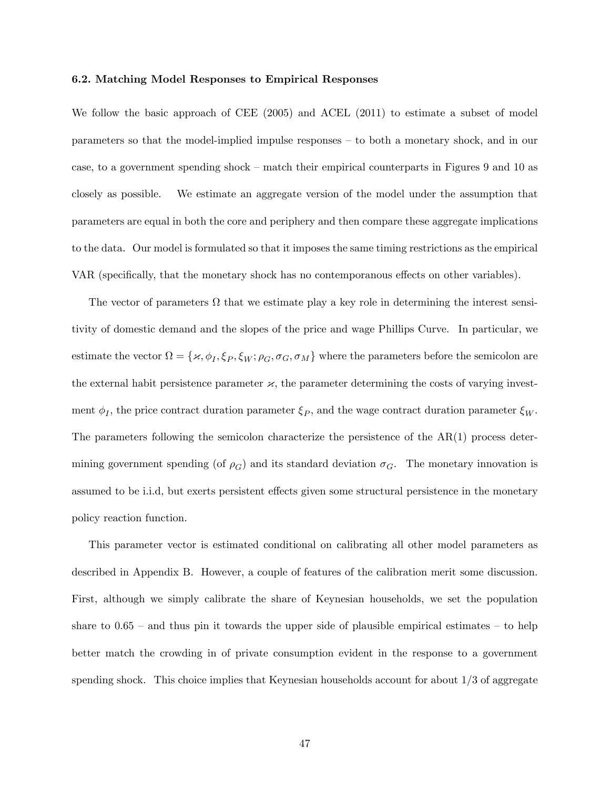#### 6.2. Matching Model Responses to Empirical Responses

We follow the basic approach of CEE (2005) and ACEL (2011) to estimate a subset of model parameters so that the model-implied impulse responses – to both a monetary shock, and in our case, to a government spending shock – match their empirical counterparts in Figures 9 and 10 as closely as possible. We estimate an aggregate version of the model under the assumption that parameters are equal in both the core and periphery and then compare these aggregate implications to the data. Our model is formulated so that it imposes the same timing restrictions as the empirical VAR (specifically, that the monetary shock has no contemporanous effects on other variables).

The vector of parameters  $\Omega$  that we estimate play a key role in determining the interest sensitivity of domestic demand and the slopes of the price and wage Phillips Curve. In particular, we estimate the vector  $\Omega = \{\varkappa, \phi_I, \xi_P, \xi_W; \rho_G, \sigma_G, \sigma_M\}$  where the parameters before the semicolon are the external habit persistence parameter  ${\alpha}$ , the parameter determining the costs of varying investment  $\phi_I$ , the price contract duration parameter  $\xi_P$ , and the wage contract duration parameter  $\xi_W$ . The parameters following the semicolon characterize the persistence of the AR(1) process determining government spending (of  $\rho_G$ ) and its standard deviation  $\sigma_G$ . The monetary innovation is assumed to be i.i.d, but exerts persistent effects given some structural persistence in the monetary policy reaction function.

This parameter vector is estimated conditional on calibrating all other model parameters as described in Appendix B. However, a couple of features of the calibration merit some discussion. First, although we simply calibrate the share of Keynesian households, we set the population share to  $0.65$  – and thus pin it towards the upper side of plausible empirical estimates – to help better match the crowding in of private consumption evident in the response to a government spending shock. This choice implies that Keynesian households account for about 1/3 of aggregate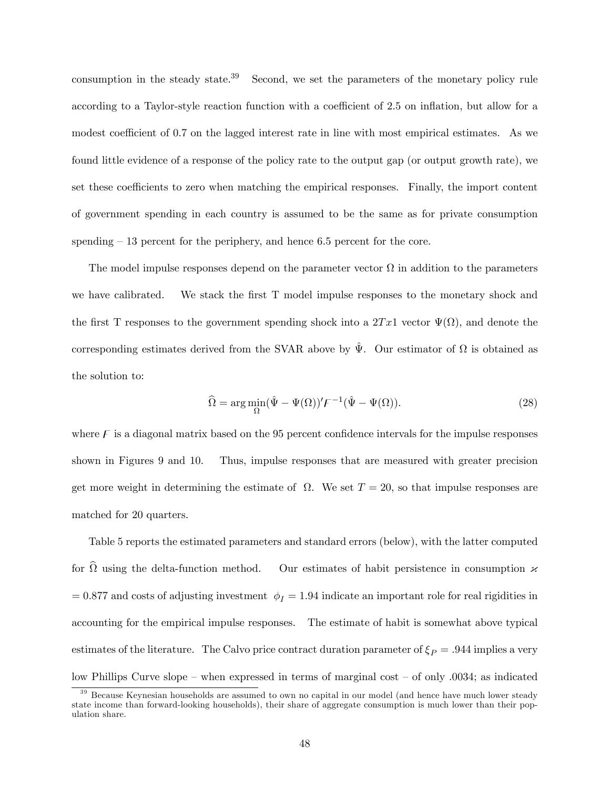consumption in the steady state.<sup>39</sup> Second, we set the parameters of the monetary policy rule according to a Taylor-style reaction function with a coefficient of 2.5 on inflation, but allow for a modest coefficient of 0.7 on the lagged interest rate in line with most empirical estimates. As we found little evidence of a response of the policy rate to the output gap (or output growth rate), we set these coefficients to zero when matching the empirical responses. Finally, the import content of government spending in each country is assumed to be the same as for private consumption spending  $-13$  percent for the periphery, and hence 6.5 percent for the core.

The model impulse responses depend on the parameter vector  $\Omega$  in addition to the parameters we have calibrated. We stack the first T model impulse responses to the monetary shock and the first T responses to the government spending shock into a  $2Tx1$  vector  $\Psi(\Omega)$ , and denote the corresponding estimates derived from the SVAR above by  $\hat{\Psi}$ . Our estimator of  $\Omega$  is obtained as the solution to:

$$
\widehat{\Omega} = \arg \min_{\Omega} (\hat{\Psi} - \Psi(\Omega))' F^{-1} (\hat{\Psi} - \Psi(\Omega)). \tag{28}
$$

where  $\overline{F}$  is a diagonal matrix based on the 95 percent confidence intervals for the impulse responses shown in Figures 9 and 10. Thus, impulse responses that are measured with greater precision get more weight in determining the estimate of  $\Omega$ . We set  $T = 20$ , so that impulse responses are matched for 20 quarters.

Table 5 reports the estimated parameters and standard errors (below), with the latter computed for  $\Omega$  using the delta-function method. Our estimates of habit persistence in consumption  ${\boldsymbol{\varkappa}}$  $= 0.877$  and costs of adjusting investment  $\phi_I = 1.94$  indicate an important role for real rigidities in accounting for the empirical impulse responses. The estimate of habit is somewhat above typical estimates of the literature. The Calvo price contract duration parameter of  $\xi_P = .944$  implies a very low Phillips Curve slope – when expressed in terms of marginal cost – of only  $.0034$ ; as indicated

<sup>&</sup>lt;sup>39</sup> Because Keynesian households are assumed to own no capital in our model (and hence have much lower steady state income than forward-looking households), their share of aggregate consumption is much lower than their population share.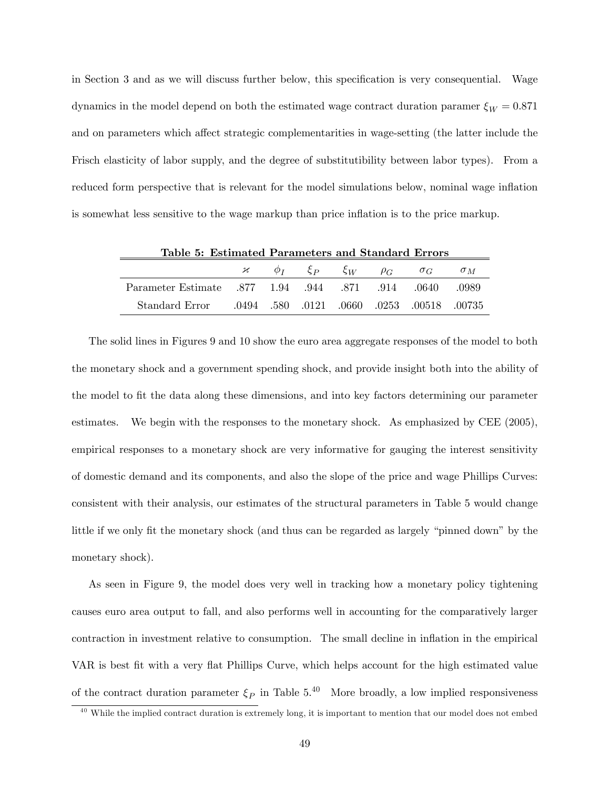in Section 3 and as we will discuss further below, this specification is very consequential. Wage dynamics in the model depend on both the estimated wage contract duration paramer  $\xi_W = 0.871$ and on parameters which affect strategic complementarities in wage-setting (the latter include the Frisch elasticity of labor supply, and the degree of substitutibility between labor types). From a reduced form perspective that is relevant for the model simulations below, nominal wage inflation is somewhat less sensitive to the wage markup than price inflation is to the price markup.

| Table 5: Estimated Parameters and Standard Errors               |  |  |  |  |  |                                                            |            |
|-----------------------------------------------------------------|--|--|--|--|--|------------------------------------------------------------|------------|
|                                                                 |  |  |  |  |  | $\mathcal{H}$ $\phi_I$ $\xi_P$ $\xi_W$ $\rho_G$ $\sigma_G$ | $\sigma_M$ |
| 0989. 914 0640 0989. 944 0640 Parameter Estimate 377 1.94 0.944 |  |  |  |  |  |                                                            |            |
| 00735. 00518. 00735. 0060. com 0.9494. 580. 0121. 0660. 0253.   |  |  |  |  |  |                                                            |            |

The solid lines in Figures 9 and 10 show the euro area aggregate responses of the model to both the monetary shock and a government spending shock, and provide insight both into the ability of the model to fit the data along these dimensions, and into key factors determining our parameter estimates. We begin with the responses to the monetary shock. As emphasized by CEE (2005), empirical responses to a monetary shock are very informative for gauging the interest sensitivity of domestic demand and its components, and also the slope of the price and wage Phillips Curves: consistent with their analysis, our estimates of the structural parameters in Table 5 would change little if we only fit the monetary shock (and thus can be regarded as largely "pinned down" by the monetary shock).

As seen in Figure 9, the model does very well in tracking how a monetary policy tightening causes euro area output to fall, and also performs well in accounting for the comparatively larger contraction in investment relative to consumption. The small decline in inflation in the empirical VAR is best fit with a very flat Phillips Curve, which helps account for the high estimated value of the contract duration parameter  $\xi_P$  in Table 5.<sup>40</sup> More broadly, a low implied responsiveness

 $40$  While the implied contract duration is extremely long, it is important to mention that our model does not embed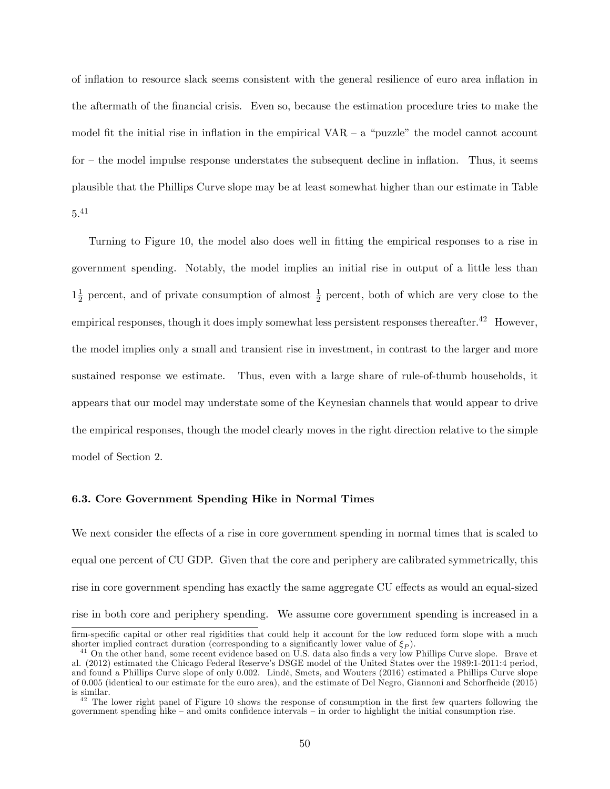of ináation to resource slack seems consistent with the general resilience of euro area ináation in the aftermath of the Önancial crisis. Even so, because the estimation procedure tries to make the model fit the initial rise in inflation in the empirical VAR  $-$  a "puzzle" the model cannot account for  $-$  the model impulse response understates the subsequent decline in inflation. Thus, it seems plausible that the Phillips Curve slope may be at least somewhat higher than our estimate in Table 5.<sup>41</sup>

Turning to Figure 10, the model also does well in fitting the empirical responses to a rise in government spending. Notably, the model implies an initial rise in output of a little less than  $1\frac{1}{2}$  $\frac{1}{2}$  percent, and of private consumption of almost  $\frac{1}{2}$  percent, both of which are very close to the empirical responses, though it does imply somewhat less persistent responses thereafter.<sup>42</sup> However, the model implies only a small and transient rise in investment, in contrast to the larger and more sustained response we estimate. Thus, even with a large share of rule-of-thumb households, it appears that our model may understate some of the Keynesian channels that would appear to drive the empirical responses, though the model clearly moves in the right direction relative to the simple model of Section 2.

#### 6.3. Core Government Spending Hike in Normal Times

We next consider the effects of a rise in core government spending in normal times that is scaled to equal one percent of CU GDP. Given that the core and periphery are calibrated symmetrically, this rise in core government spending has exactly the same aggregate CU effects as would an equal-sized rise in both core and periphery spending. We assume core government spending is increased in a

firm-specific capital or other real rigidities that could help it account for the low reduced form slope with a much shorter implied contract duration (corresponding to a significantly lower value of  $\xi_P$ ).

<sup>&</sup>lt;sup>41</sup> On the other hand, some recent evidence based on U.S. data also finds a very low Phillips Curve slope. Brave et al. (2012) estimated the Chicago Federal Reserveís DSGE model of the United States over the 1989:1-2011:4 period, and found a Phillips Curve slope of only 0.002. Lindé, Smets, and Wouters (2016) estimated a Phillips Curve slope of 0.005 (identical to our estimate for the euro area), and the estimate of Del Negro, Giannoni and Schorfheide (2015) is similar.

<sup>&</sup>lt;sup>42</sup> The lower right panel of Figure 10 shows the response of consumption in the first few quarters following the government spending hike  $-$  and omits confidence intervals  $-$  in order to highlight the initial consumption rise.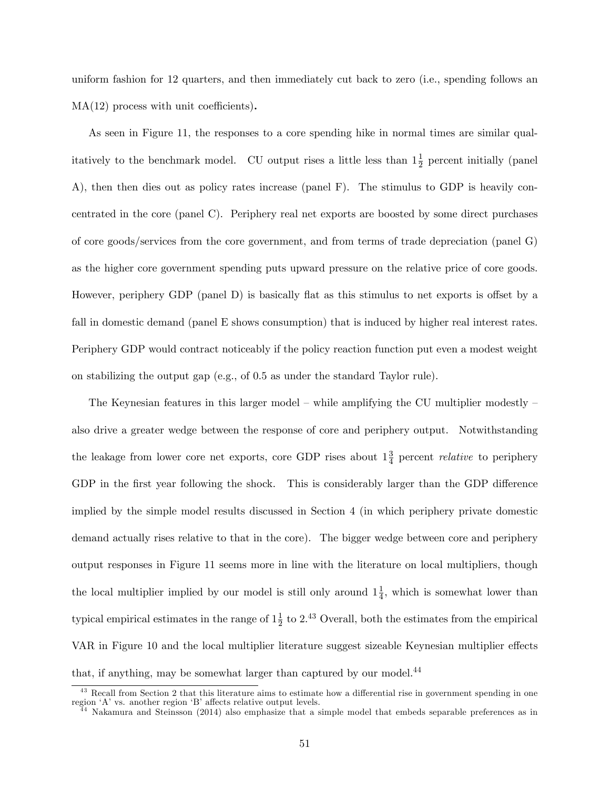uniform fashion for 12 quarters, and then immediately cut back to zero (i.e., spending follows an  $MA(12)$  process with unit coefficients).

As seen in Figure 11, the responses to a core spending hike in normal times are similar qualitatively to the benchmark model. CU output rises a little less than  $1\frac{1}{2}$  percent initially (panel A), then then dies out as policy rates increase (panel F). The stimulus to GDP is heavily concentrated in the core (panel C). Periphery real net exports are boosted by some direct purchases of core goods/services from the core government, and from terms of trade depreciation (panel G) as the higher core government spending puts upward pressure on the relative price of core goods. However, periphery GDP (panel D) is basically flat as this stimulus to net exports is offset by a fall in domestic demand (panel E shows consumption) that is induced by higher real interest rates. Periphery GDP would contract noticeably if the policy reaction function put even a modest weight on stabilizing the output gap (e.g., of 0.5 as under the standard Taylor rule).

The Keynesian features in this larger model  $-$  while amplifying the CU multiplier modestly  $$ also drive a greater wedge between the response of core and periphery output. Notwithstanding the leakage from lower core net exports, core GDP rises about  $1\frac{3}{4}$  percent *relative* to periphery GDP in the first year following the shock. This is considerably larger than the GDP difference implied by the simple model results discussed in Section 4 (in which periphery private domestic demand actually rises relative to that in the core). The bigger wedge between core and periphery output responses in Figure 11 seems more in line with the literature on local multipliers, though the local multiplier implied by our model is still only around  $1\frac{1}{4}$ , which is somewhat lower than typical empirical estimates in the range of  $1\frac{1}{2}$  to  $2.^{43}$  Overall, both the estimates from the empirical VAR in Figure 10 and the local multiplier literature suggest sizeable Keynesian multiplier effects that, if anything, may be somewhat larger than captured by our model.<sup>44</sup>

<sup>&</sup>lt;sup>43</sup> Recall from Section 2 that this literature aims to estimate how a differential rise in government spending in one region  $A'$  and  $A''$  and  $B''$  and  $B''$  and  $B''$  affects relative output levels.

Nakamura and Steinsson (2014) also emphasize that a simple model that embeds separable preferences as in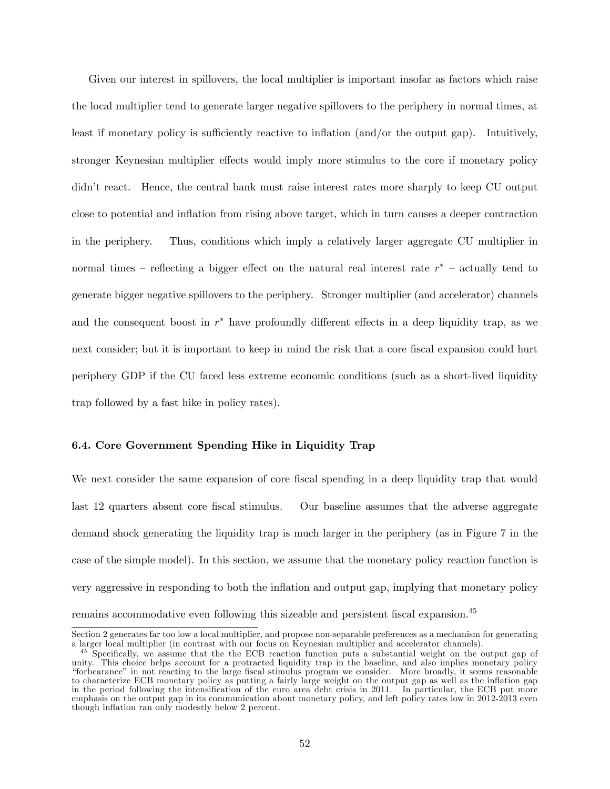Given our interest in spillovers, the local multiplier is important insofar as factors which raise the local multiplier tend to generate larger negative spillovers to the periphery in normal times, at least if monetary policy is sufficiently reactive to inflation (and/or the output gap). Intuitively, stronger Keynesian multiplier effects would imply more stimulus to the core if monetary policy didn't react. Hence, the central bank must raise interest rates more sharply to keep CU output close to potential and inflation from rising above target, which in turn causes a deeper contraction in the periphery. Thus, conditions which imply a relatively larger aggregate CU multiplier in normal times – reflecting a bigger effect on the natural real interest rate  $r^*$  – actually tend to generate bigger negative spillovers to the periphery. Stronger multiplier (and accelerator) channels and the consequent boost in  $r^*$  have profoundly different effects in a deep liquidity trap, as we next consider; but it is important to keep in mind the risk that a core fiscal expansion could hurt periphery GDP if the CU faced less extreme economic conditions (such as a short-lived liquidity trap followed by a fast hike in policy rates).

## 6.4. Core Government Spending Hike in Liquidity Trap

We next consider the same expansion of core fiscal spending in a deep liquidity trap that would last 12 quarters absent core fiscal stimulus. Our baseline assumes that the adverse aggregate demand shock generating the liquidity trap is much larger in the periphery (as in Figure 7 in the case of the simple model). In this section, we assume that the monetary policy reaction function is very aggressive in responding to both the inflation and output gap, implying that monetary policy remains accommodative even following this sizeable and persistent fiscal expansion.<sup>45</sup>

Section 2 generates far too low a local multiplier, and propose non-separable preferences as a mechanism for generating a larger local multiplier (in contrast with our focus on Keynesian multiplier and accelerator channels).

<sup>&</sup>lt;sup>45</sup> Specifically, we assume that the the ECB reaction function puts a substantial weight on the output gap of unity. This choice helps account for a protracted liquidity trap in the baseline, and also implies monetary policy ìforbearanceî in not reacting to the large Öscal stimulus program we consider. More broadly, it seems reasonable to characterize ECB monetary policy as putting a fairly large weight on the output gap as well as the ináation gap in the period following the intensification of the euro area debt crisis in 2011. In particular, the ECB put more emphasis on the output gap in its communication about monetary policy, and left policy rates low in 2012-2013 even though inflation ran only modestly below 2 percent.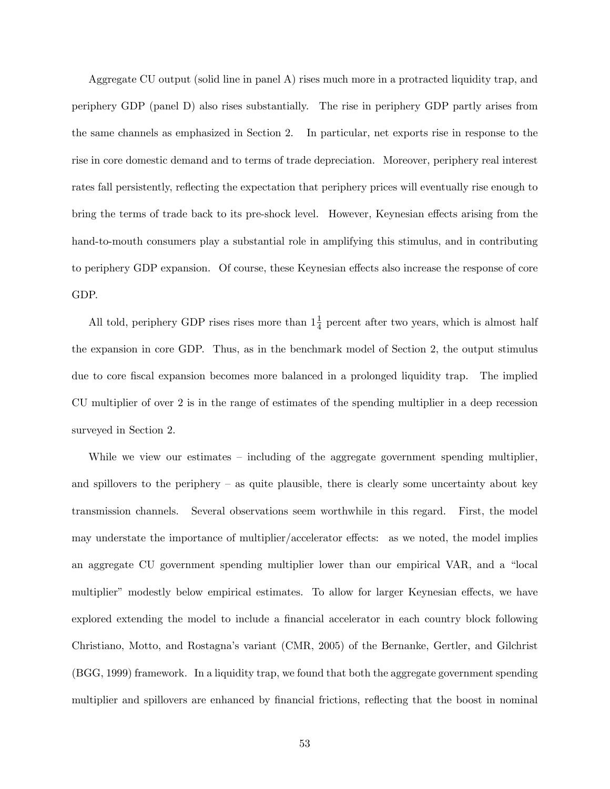Aggregate CU output (solid line in panel A) rises much more in a protracted liquidity trap, and periphery GDP (panel D) also rises substantially. The rise in periphery GDP partly arises from the same channels as emphasized in Section 2. In particular, net exports rise in response to the rise in core domestic demand and to terms of trade depreciation. Moreover, periphery real interest rates fall persistently, reflecting the expectation that periphery prices will eventually rise enough to bring the terms of trade back to its pre-shock level. However, Keynesian effects arising from the hand-to-mouth consumers play a substantial role in amplifying this stimulus, and in contributing to periphery GDP expansion. Of course, these Keynesian effects also increase the response of core GDP.

All told, periphery GDP rises rises more than  $1\frac{1}{4}$  percent after two years, which is almost half the expansion in core GDP. Thus, as in the benchmark model of Section 2, the output stimulus due to core fiscal expansion becomes more balanced in a prolonged liquidity trap. The implied CU multiplier of over 2 is in the range of estimates of the spending multiplier in a deep recession surveyed in Section 2.

While we view our estimates  $\overline{\phantom{a}}$  including of the aggregate government spending multiplier, and spillovers to the periphery  $-$  as quite plausible, there is clearly some uncertainty about key transmission channels. Several observations seem worthwhile in this regard. First, the model may understate the importance of multiplier/accelerator effects: as we noted, the model implies an aggregate CU government spending multiplier lower than our empirical VAR, and a "local multiplier" modestly below empirical estimates. To allow for larger Keynesian effects, we have explored extending the model to include a financial accelerator in each country block following Christiano, Motto, and Rostagnaís variant (CMR, 2005) of the Bernanke, Gertler, and Gilchrist (BGG, 1999) framework. In a liquidity trap, we found that both the aggregate government spending multiplier and spillovers are enhanced by financial frictions, reflecting that the boost in nominal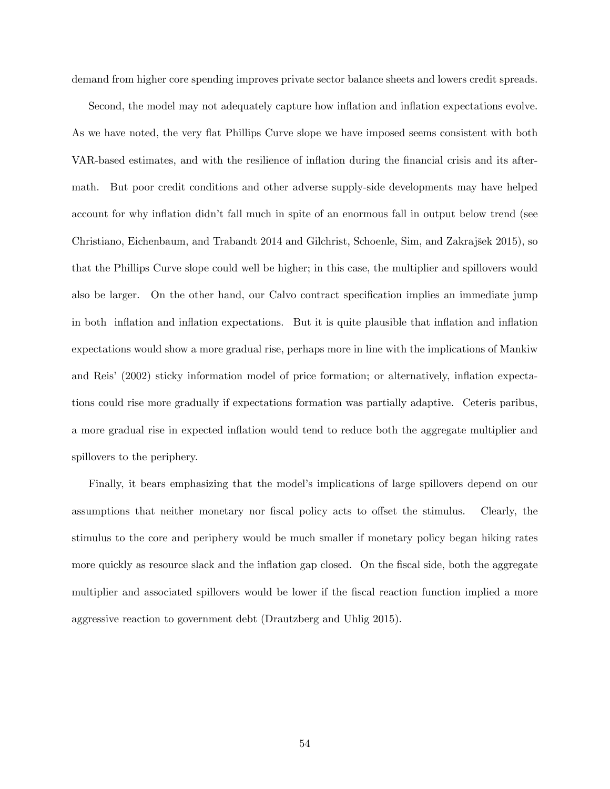demand from higher core spending improves private sector balance sheets and lowers credit spreads.

Second, the model may not adequately capture how inflation and inflation expectations evolve. As we have noted, the very flat Phillips Curve slope we have imposed seems consistent with both VAR-based estimates, and with the resilience of inflation during the financial crisis and its aftermath. But poor credit conditions and other adverse supply-side developments may have helped account for why inflation didn't fall much in spite of an enormous fall in output below trend (see Christiano, Eichenbaum, and Trabandt 2014 and Gilchrist, Schoenle, Sim, and Zakrajöek 2015), so that the Phillips Curve slope could well be higher; in this case, the multiplier and spillovers would also be larger. On the other hand, our Calvo contract specification implies an immediate jump in both inflation and inflation expectations. But it is quite plausible that inflation and inflation expectations would show a more gradual rise, perhaps more in line with the implications of Mankiw and Reis' (2002) sticky information model of price formation; or alternatively, inflation expectations could rise more gradually if expectations formation was partially adaptive. Ceteris paribus, a more gradual rise in expected ináation would tend to reduce both the aggregate multiplier and spillovers to the periphery.

Finally, it bears emphasizing that the model's implications of large spillovers depend on our assumptions that neither monetary nor fiscal policy acts to offset the stimulus. Clearly, the stimulus to the core and periphery would be much smaller if monetary policy began hiking rates more quickly as resource slack and the inflation gap closed. On the fiscal side, both the aggregate multiplier and associated spillovers would be lower if the fiscal reaction function implied a more aggressive reaction to government debt (Drautzberg and Uhlig 2015).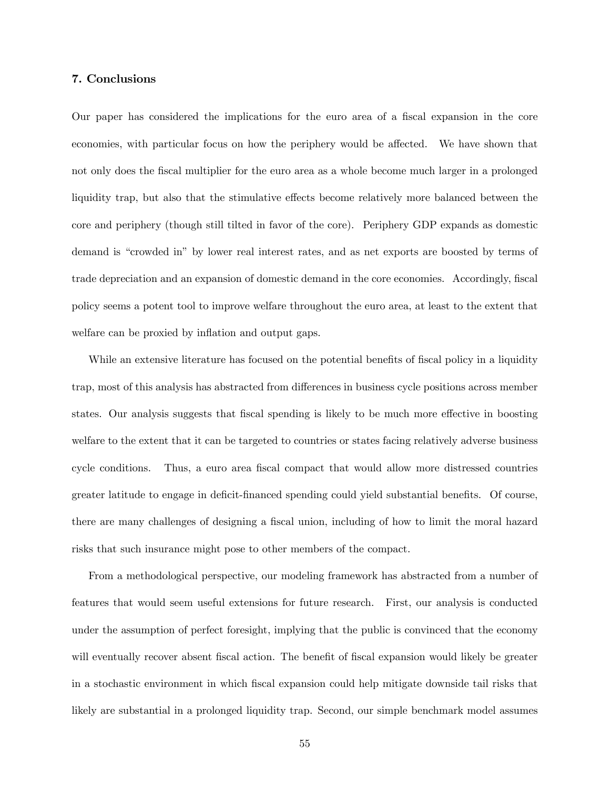## 7. Conclusions

Our paper has considered the implications for the euro area of a fiscal expansion in the core economies, with particular focus on how the periphery would be affected. We have shown that not only does the Öscal multiplier for the euro area as a whole become much larger in a prolonged liquidity trap, but also that the stimulative effects become relatively more balanced between the core and periphery (though still tilted in favor of the core). Periphery GDP expands as domestic demand is "crowded in" by lower real interest rates, and as net exports are boosted by terms of trade depreciation and an expansion of domestic demand in the core economies. Accordingly, fiscal policy seems a potent tool to improve welfare throughout the euro area, at least to the extent that welfare can be proxied by inflation and output gaps.

While an extensive literature has focused on the potential benefits of fiscal policy in a liquidity trap, most of this analysis has abstracted from differences in business cycle positions across member states. Our analysis suggests that fiscal spending is likely to be much more effective in boosting welfare to the extent that it can be targeted to countries or states facing relatively adverse business cycle conditions. Thus, a euro area fiscal compact that would allow more distressed countries greater latitude to engage in deficit-financed spending could yield substantial benefits. Of course, there are many challenges of designing a fiscal union, including of how to limit the moral hazard risks that such insurance might pose to other members of the compact.

From a methodological perspective, our modeling framework has abstracted from a number of features that would seem useful extensions for future research. First, our analysis is conducted under the assumption of perfect foresight, implying that the public is convinced that the economy will eventually recover absent fiscal action. The benefit of fiscal expansion would likely be greater in a stochastic environment in which Öscal expansion could help mitigate downside tail risks that likely are substantial in a prolonged liquidity trap. Second, our simple benchmark model assumes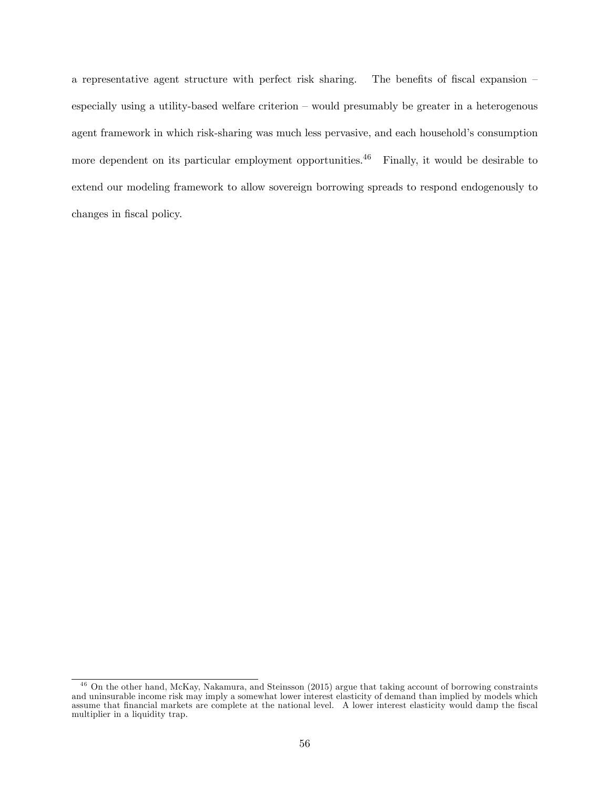a representative agent structure with perfect risk sharing. The benefits of fiscal expansion  $$ especially using a utility-based welfare criterion  $-$  would presumably be greater in a heterogenous agent framework in which risk-sharing was much less pervasive, and each household's consumption more dependent on its particular employment opportunities.<sup>46</sup> Finally, it would be desirable to extend our modeling framework to allow sovereign borrowing spreads to respond endogenously to changes in fiscal policy.

<sup>46</sup> On the other hand, McKay, Nakamura, and Steinsson (2015) argue that taking account of borrowing constraints and uninsurable income risk may imply a somewhat lower interest elasticity of demand than implied by models which assume that financial markets are complete at the national level. A lower interest elasticity would damp the fiscal multiplier in a liquidity trap.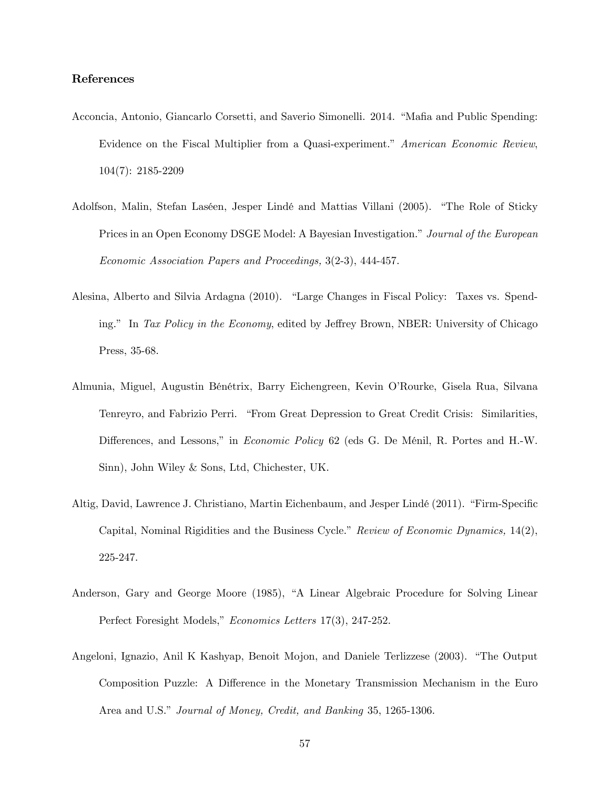# References

- Acconcia, Antonio, Giancarlo Corsetti, and Saverio Simonelli. 2014. "Mafia and Public Spending: Evidence on the Fiscal Multiplier from a Quasi-experiment." American Economic Review.  $104(7): 2185 - 2209$
- Adolfson, Malin, Stefan Laséen, Jesper Lindé and Mattias Villani (2005). "The Role of Sticky Prices in an Open Economy DSGE Model: A Bayesian Investigation." Journal of the European *Economic Association Papers and Proceedings, 3(2-3), 444-457.*
- Alesina, Alberto and Silvia Ardagna (2010). "Large Changes in Fiscal Policy: Taxes vs. Spending." In Tax Policy in the Economy, edited by Jeffrey Brown, NBER: University of Chicago Press, 35-68.
- Almunia, Miguel, Augustin Bénétrix, Barry Eichengreen, Kevin O'Rourke, Gisela Rua, Silvana Tenreyro, and Fabrizio Perri. "From Great Depression to Great Credit Crisis: Similarities, Differences, and Lessons," in *Economic Policy* 62 (eds G. De Ménil, R. Portes and H.-W. Sinn), John Wiley & Sons, Ltd, Chichester, UK.
- Altig, David, Lawrence J. Christiano, Martin Eichenbaum, and Jesper Lindé (2011). "Firm-Specific Capital, Nominal Rigidities and the Business Cycle." Review of Economic Dynamics, 14(2), 225-247.
- Anderson, Gary and George Moore (1985), "A Linear Algebraic Procedure for Solving Linear Perfect Foresight Models," *Economics Letters* 17(3), 247-252.
- Angeloni, Ignazio, Anil K Kashyap, Benoit Mojon, and Daniele Terlizzese (2003). "The Output Composition Puzzle: A Difference in the Monetary Transmission Mechanism in the Euro Area and U.S." Journal of Money, Credit, and Banking 35, 1265-1306.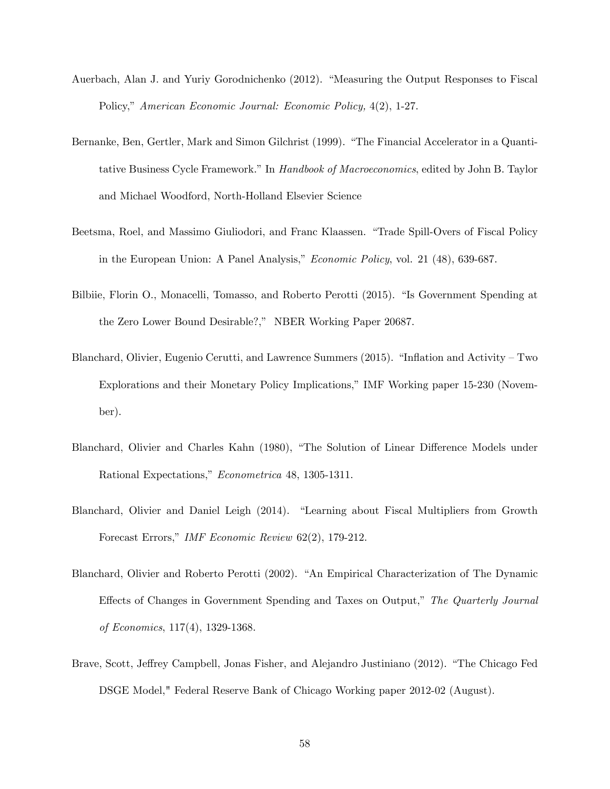- Auerbach, Alan J. and Yuriy Gorodnichenko (2012). "Measuring the Output Responses to Fiscal Policy," American Economic Journal: Economic Policy, 4(2), 1-27.
- Bernanke, Ben, Gertler, Mark and Simon Gilchrist (1999). "The Financial Accelerator in a Quantitative Business Cycle Framework." In *Handbook of Macroeconomics*, edited by John B. Taylor and Michael Woodford, North-Holland Elsevier Science
- Beetsma, Roel, and Massimo Giuliodori, and Franc Klaassen. "Trade Spill-Overs of Fiscal Policy in the European Union: A Panel Analysis," *Economic Policy*, vol. 21 (48), 639-687.
- Bilbiie, Florin O., Monacelli, Tomasso, and Roberto Perotti (2015). "Is Government Spending at the Zero Lower Bound Desirable?," NBER Working Paper 20687.
- Blanchard, Olivier, Eugenio Cerutti, and Lawrence Summers (2015). "Inflation and Activity Two Explorations and their Monetary Policy Implications," IMF Working paper 15-230 (November).
- Blanchard, Olivier and Charles Kahn (1980), "The Solution of Linear Difference Models under Rational Expectations," Econometrica 48, 1305-1311.
- Blanchard, Olivier and Daniel Leigh (2014). "Learning about Fiscal Multipliers from Growth Forecast Errors," IMF Economic Review 62(2), 179-212.
- Blanchard, Olivier and Roberto Perotti (2002). "An Empirical Characterization of The Dynamic Effects of Changes in Government Spending and Taxes on Output," The Quarterly Journal *of Economics*, 117(4), 1329-1368.
- Brave, Scott, Jeffrey Campbell, Jonas Fisher, and Alejandro Justiniano (2012). "The Chicago Fed DSGE Model," Federal Reserve Bank of Chicago Working paper 2012-02 (August).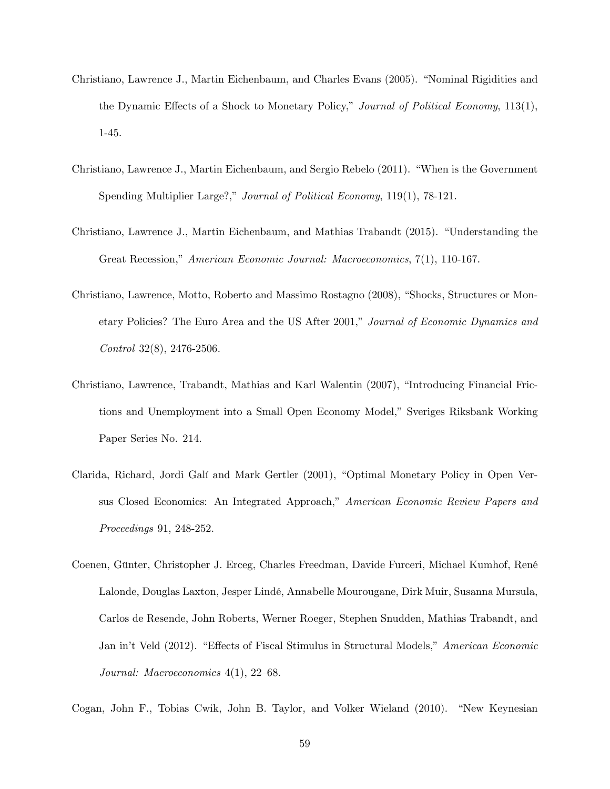- Christiano, Lawrence J., Martin Eichenbaum, and Charles Evans (2005). "Nominal Rigidities and the Dynamic Effects of a Shock to Monetary Policy," Journal of Political Economy, 113(1),  $1-45.$
- Christiano, Lawrence J., Martin Eichenbaum, and Sergio Rebelo (2011). "When is the Government Spending Multiplier Large?," Journal of Political Economy, 119(1), 78-121.
- Christiano, Lawrence J., Martin Eichenbaum, and Mathias Trabandt (2015). "Understanding the Great Recession," American Economic Journal: Macroeconomics, 7(1), 110-167.
- Christiano, Lawrence, Motto, Roberto and Massimo Rostagno (2008), "Shocks, Structures or Monetary Policies? The Euro Area and the US After 2001," Journal of Economic Dynamics and *Control* 32(8), 2476-2506.
- Christiano, Lawrence, Trabandt, Mathias and Karl Walentin (2007), "Introducing Financial Frictions and Unemployment into a Small Open Economy Model," Sveriges Riksbank Working Paper Series No. 214.
- Clarida, Richard, Jordi Galí and Mark Gertler (2001), "Optimal Monetary Policy in Open Versus Closed Economics: An Integrated Approach," American Economic Review Papers and Proceedings 91, 248-252.
- Coenen, Günter, Christopher J. Erceg, Charles Freedman, Davide Furceri, Michael Kumhof, René Lalonde, Douglas Laxton, Jesper Lindé, Annabelle Mourougane, Dirk Muir, Susanna Mursula, Carlos de Resende, John Roberts, Werner Roeger, Stephen Snudden, Mathias Trabandt, and Jan in't Veld (2012). "Effects of Fiscal Stimulus in Structural Models," American Economic Journal: Macroeconomics  $4(1)$ , 22-68.

Cogan, John F., Tobias Cwik, John B. Taylor, and Volker Wieland (2010). "New Keynesian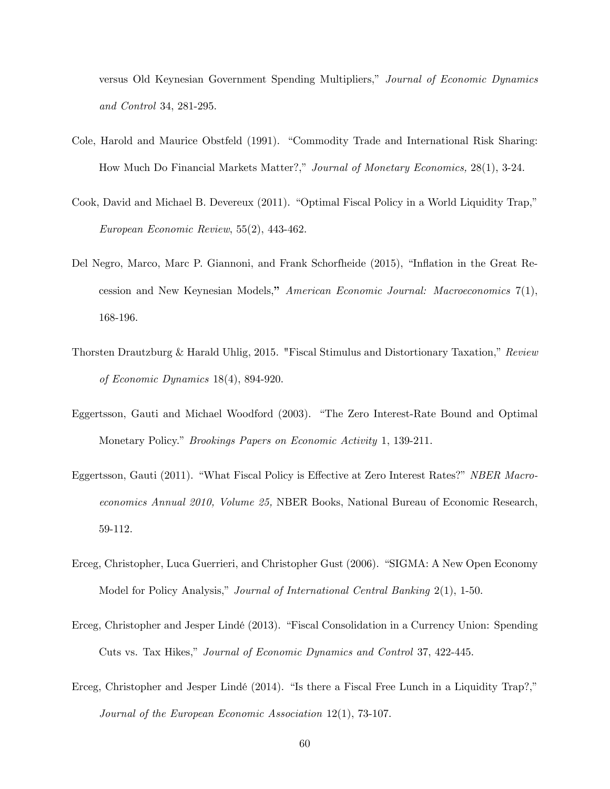versus Old Keynesian Government Spending Multipliers," Journal of Economic Dynamics and Control 34, 281-295.

- Cole, Harold and Maurice Obstfeld (1991). "Commodity Trade and International Risk Sharing: How Much Do Financial Markets Matter?," Journal of Monetary Economics, 28(1), 3-24.
- Cook, David and Michael B. Devereux (2011). "Optimal Fiscal Policy in a World Liquidity Trap," European Economic Review, 55(2), 443-462.
- Del Negro, Marco, Marc P. Giannoni, and Frank Schorfheide (2015), "Inflation in the Great Recession and New Keynesian Models," American Economic Journal: Macroeconomics  $7(1)$ , 168-196.
- Thorsten Drautzburg & Harald Uhlig, 2015. "Fiscal Stimulus and Distortionary Taxation," Review of Economic Dynamics  $18(4)$ , 894-920.
- Eggertsson, Gauti and Michael Woodford (2003). "The Zero Interest-Rate Bound and Optimal Monetary Policy." *Brookings Papers on Economic Activity* 1, 139-211.
- Eggertsson, Gauti (2011). "What Fiscal Policy is Effective at Zero Interest Rates?" NBER Macroeconomics Annual 2010, Volume 25, NBER Books, National Bureau of Economic Research, 59-112.
- Erceg, Christopher, Luca Guerrieri, and Christopher Gust (2006). "SIGMA: A New Open Economy Model for Policy Analysis," Journal of International Central Banking 2(1), 1-50.
- Erceg, Christopher and Jesper Lindé (2013). "Fiscal Consolidation in a Currency Union: Spending Cuts vs. Tax Hikes," Journal of Economic Dynamics and Control 37, 422-445.
- Erceg, Christopher and Jesper Lindé  $(2014)$ . "Is there a Fiscal Free Lunch in a Liquidity Trap?," Journal of the European Economic Association  $12(1)$ , 73-107.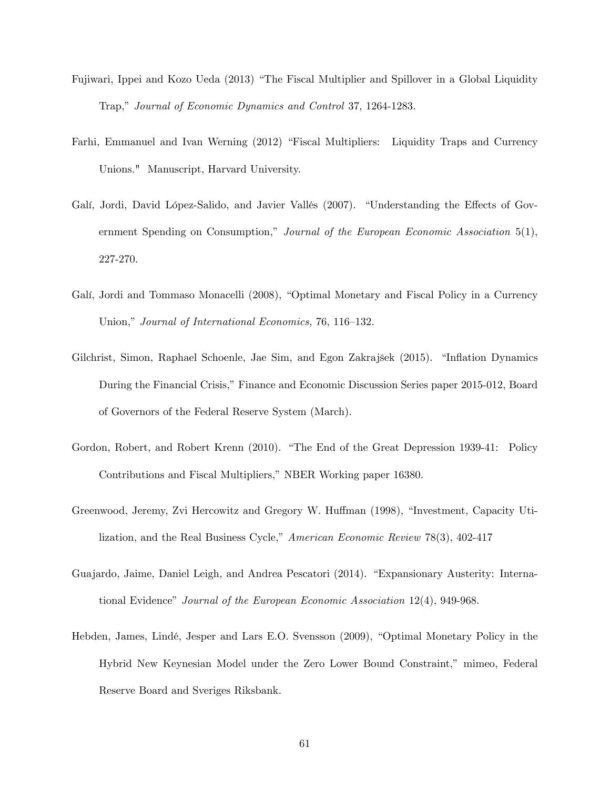- Fujiwari, Ippei and Kozo Ueda (2013) "The Fiscal Multiplier and Spillover in a Global Liquidity Trap," Journal of Economic Dynamics and Control 37, 1264-1283.
- Farhi, Emmanuel and Ivan Werning (2012) "Fiscal Multipliers: Liquidity Traps and Currency Unions." Manuscript, Harvard University.
- Galí, Jordi, David López-Salido, and Javier Vallés (2007). "Understanding the Effects of Government Spending on Consumption," Journal of the European Economic Association  $5(1)$ , 227-270.
- Galí, Jordi and Tommaso Monacelli (2008), "Optimal Monetary and Fiscal Policy in a Currency Union," Journal of International Economics, 76, 116-132.
- Gilchrist, Simon, Raphael Schoenle, Jae Sim, and Egon Zakrajšek (2015). "Inflation Dynamics During the Financial Crisis," Finance and Economic Discussion Series paper 2015-012, Board of Governors of the Federal Reserve System (March).
- Gordon, Robert, and Robert Krenn (2010). "The End of the Great Depression 1939-41: Policy Contributions and Fiscal Multipliers," NBER Working paper 16380.
- Greenwood, Jeremy, Zvi Hercowitz and Gregory W. Huffman (1998), "Investment, Capacity Utilization, and the Real Business Cycle," American Economic Review 78(3), 402-417
- Guajardo, Jaime, Daniel Leigh, and Andrea Pescatori (2014). "Expansionary Austerity: International Evidence" Journal of the European Economic Association 12(4), 949-968.
- Hebden, James, Lindé, Jesper and Lars E.O. Svensson (2009), "Optimal Monetary Policy in the Hybrid New Keynesian Model under the Zero Lower Bound Constraint," mimeo, Federal Reserve Board and Sveriges Riksbank.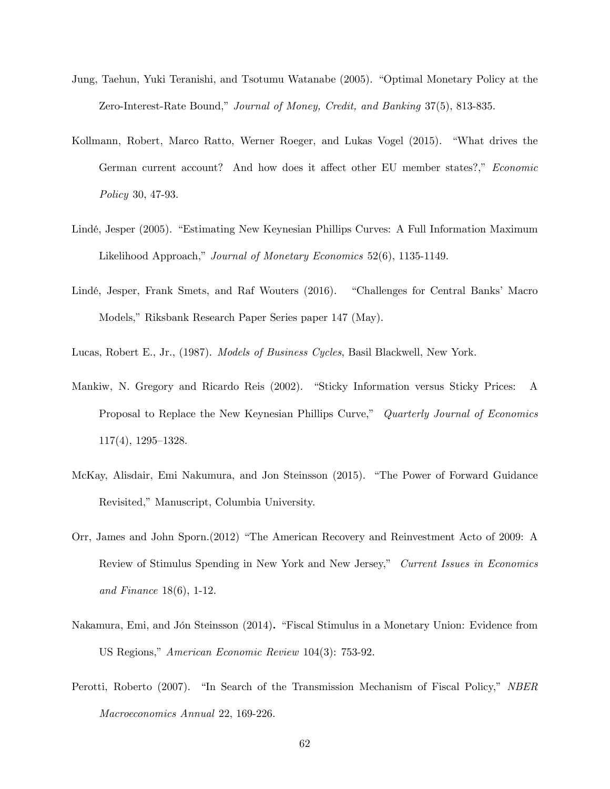- Jung, Taehun, Yuki Teranishi, and Tsotumu Watanabe (2005). "Optimal Monetary Policy at the Zero-Interest-Rate Bound," Journal of Money, Credit, and Banking 37(5), 813-835.
- Kollmann, Robert, Marco Ratto, Werner Roeger, and Lukas Vogel (2015). "What drives the German current account? And how does it affect other EU member states?," Economic Policy 30, 47-93.
- Lindé, Jesper (2005). "Estimating New Keynesian Phillips Curves: A Full Information Maximum Likelihood Approach," Journal of Monetary Economics 52(6), 1135-1149.
- Lindé, Jesper, Frank Smets, and Raf Wouters (2016). "Challenges for Central Banks' Macro Models," Riksbank Research Paper Series paper 147 (May).

Lucas, Robert E., Jr., (1987). Models of Business Cycles, Basil Blackwell, New York.

- Mankiw, N. Gregory and Ricardo Reis (2002). "Sticky Information versus Sticky Prices: A Proposal to Replace the New Keynesian Phillips Curve," Quarterly Journal of Economics  $117(4)$ ,  $1295-1328$ .
- McKay, Alisdair, Emi Nakumura, and Jon Steinsson (2015). "The Power of Forward Guidance Revisited," Manuscript, Columbia University.
- Orr, James and John Sporn.(2012) "The American Recovery and Reinvestment Acto of 2009: A Review of Stimulus Spending in New York and New Jersey," Current Issues in Economics and Finance 18(6), 1-12.
- Nakamura, Emi, and Jón Steinsson (2014). "Fiscal Stimulus in a Monetary Union: Evidence from US Regions," American Economic Review 104(3): 753-92.
- Perotti, Roberto (2007). "In Search of the Transmission Mechanism of Fiscal Policy," NBER Macroeconomics Annual 22, 169-226.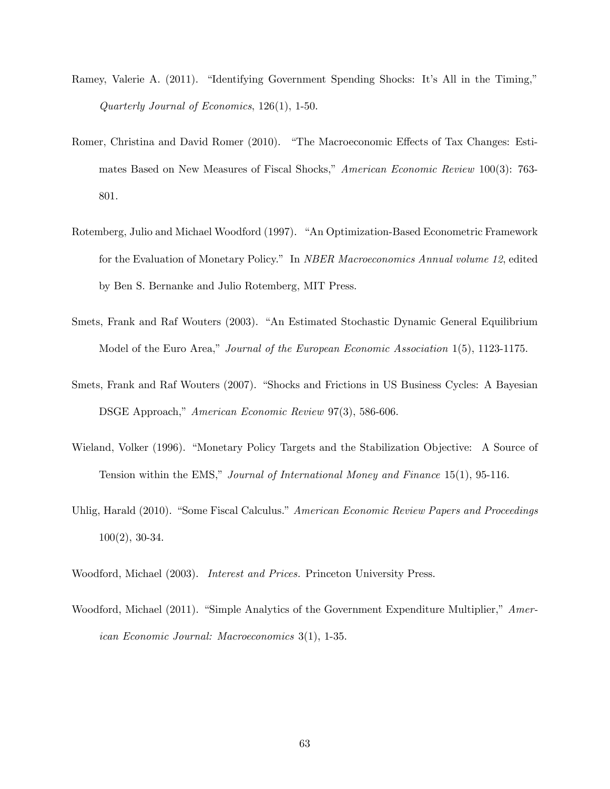- Ramey, Valerie A. (2011). "Identifying Government Spending Shocks: It's All in the Timing," Quarterly Journal of Economics, 126(1), 1-50.
- Romer, Christina and David Romer (2010). "The Macroeconomic Effects of Tax Changes: Estimates Based on New Measures of Fiscal Shocks," American Economic Review 100(3): 763-801.
- Rotemberg, Julio and Michael Woodford (1997). "An Optimization-Based Econometric Framework for the Evaluation of Monetary Policy." In *NBER Macroeconomics Annual volume 12*, edited by Ben S. Bernanke and Julio Rotemberg, MIT Press.
- Smets, Frank and Raf Wouters (2003). "An Estimated Stochastic Dynamic General Equilibrium Model of the Euro Area," Journal of the European Economic Association 1(5), 1123-1175.
- Smets, Frank and Raf Wouters (2007). "Shocks and Frictions in US Business Cycles: A Bayesian DSGE Approach," American Economic Review 97(3), 586-606.
- Wieland, Volker (1996). "Monetary Policy Targets and the Stabilization Objective: A Source of Tension within the EMS," Journal of International Money and Finance  $15(1)$ , 95-116.
- Uhlig, Harald (2010). "Some Fiscal Calculus." American Economic Review Papers and Proceedings 100(2), 30-34.
- Woodford, Michael (2003). Interest and Prices. Princeton University Press.
- Woodford, Michael (2011). "Simple Analytics of the Government Expenditure Multiplier," American Economic Journal: Macroeconomics 3(1), 1-35.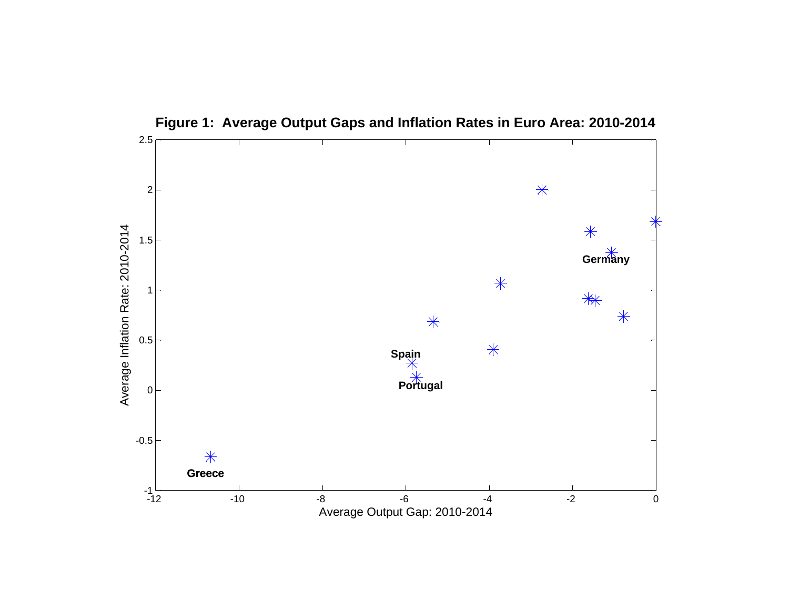

**Figure 1: Average Output Gaps and Inflation Rates in Euro Area: 2010-2014**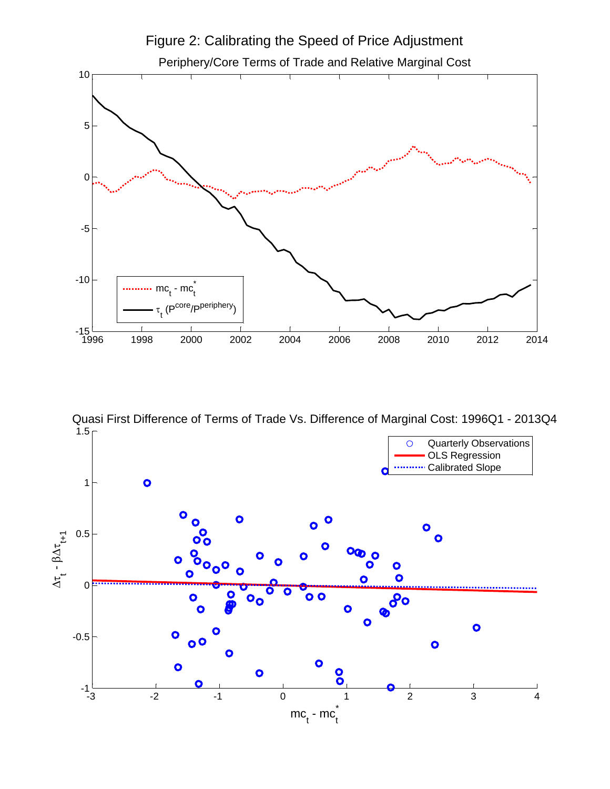

 $1.5<sub>5</sub>$ Quasi First Difference of Terms of Trade Vs. Difference of Marginal Cost: 1996Q1 - 2013Q4

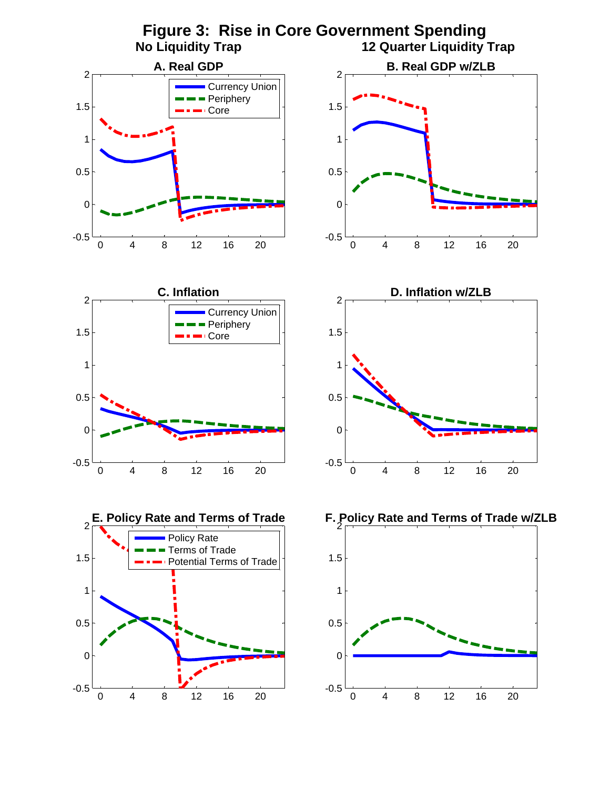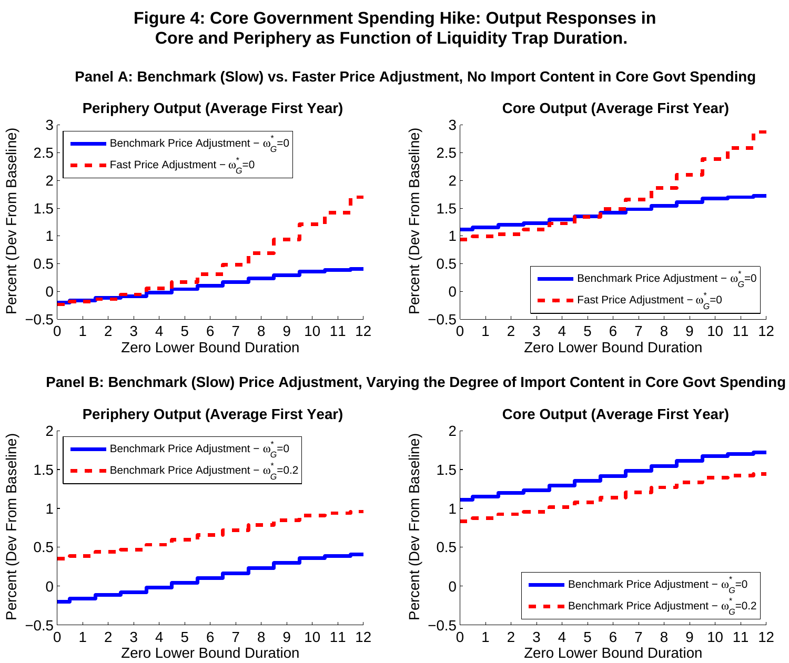# **Figure 4: Core Government Spending Hike: Output Responses in Core and Periphery as Function of Liquidity Trap Duration.**

**Panel A: Benchmark (Slow) vs. Faster Price Adjustment, No Import Content in Core Govt Spending**



**Panel B: Benchmark (Slow) Price Adjustment, Varying the Degree of Import Content in Core Govt Spendin g**

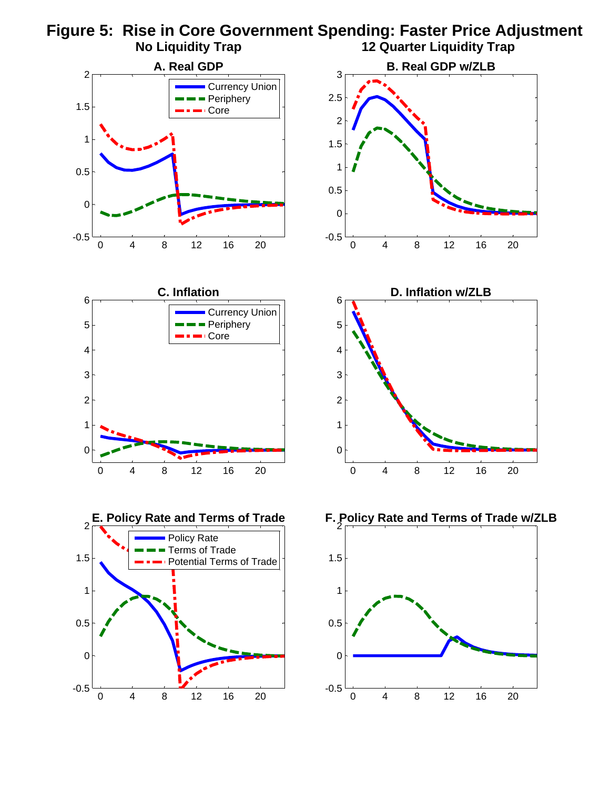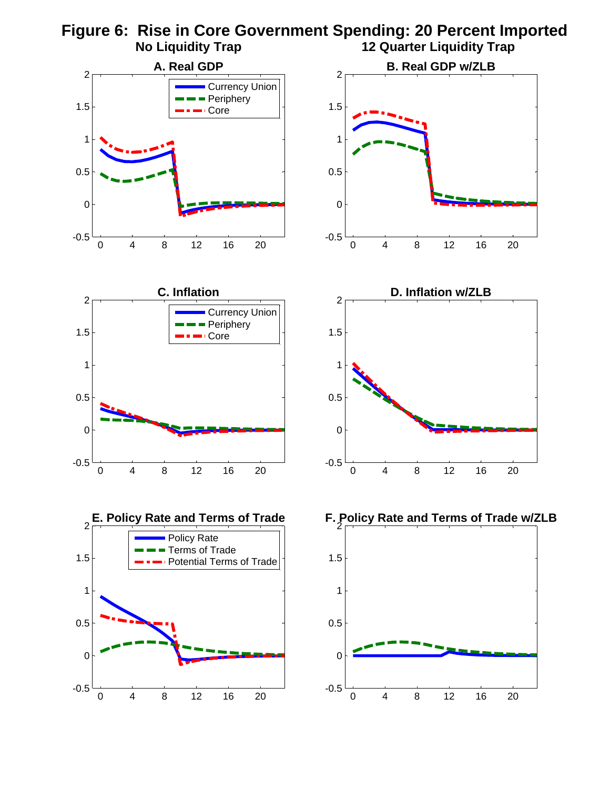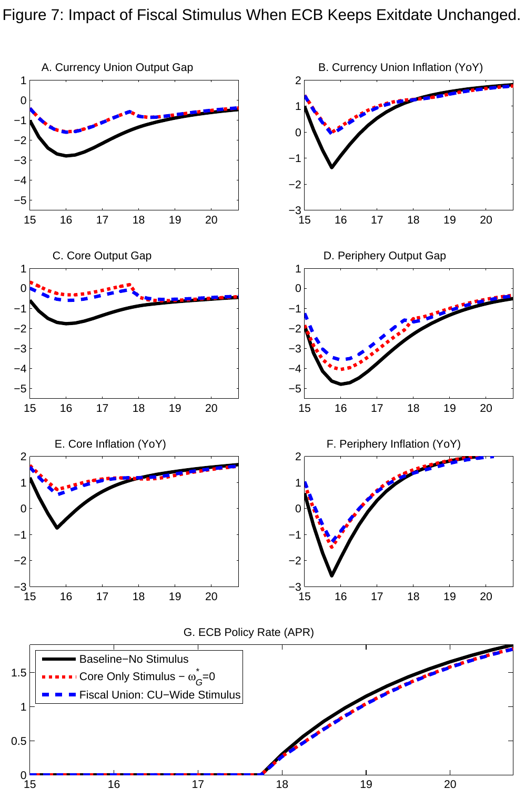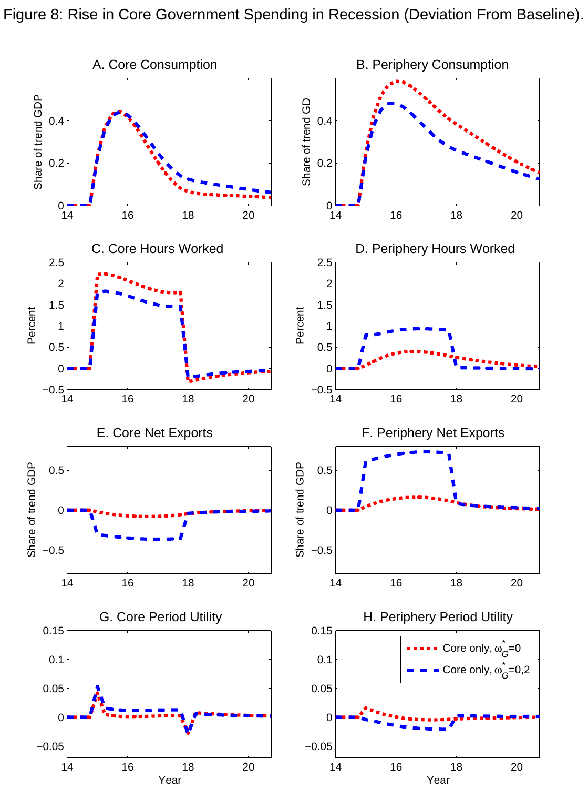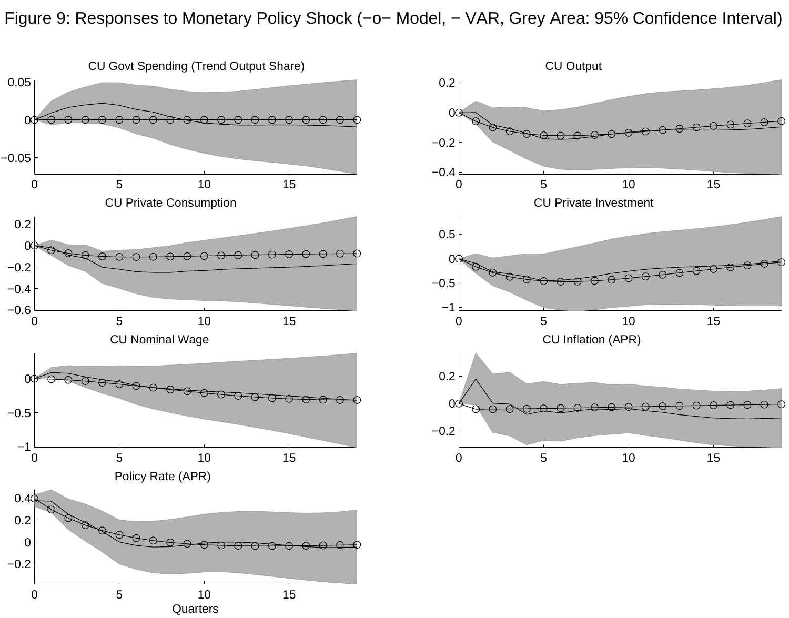Figure 9: Responses to Monetary Policy Shock (−o− Model, − VAR, Grey Area: 95% Confidence Interval)



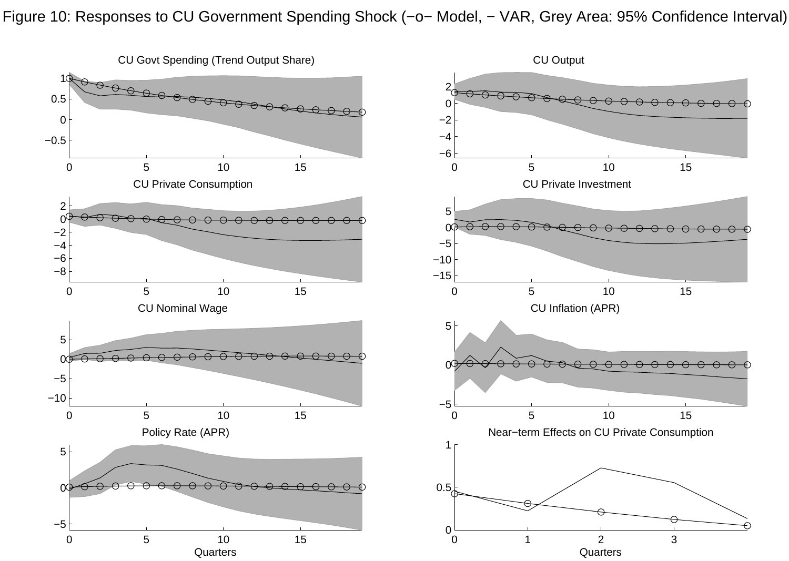Figure 10: Responses to CU Government Spending Shock (−o− Model, − VAR, Grey Area: 95% Confidence Interval)

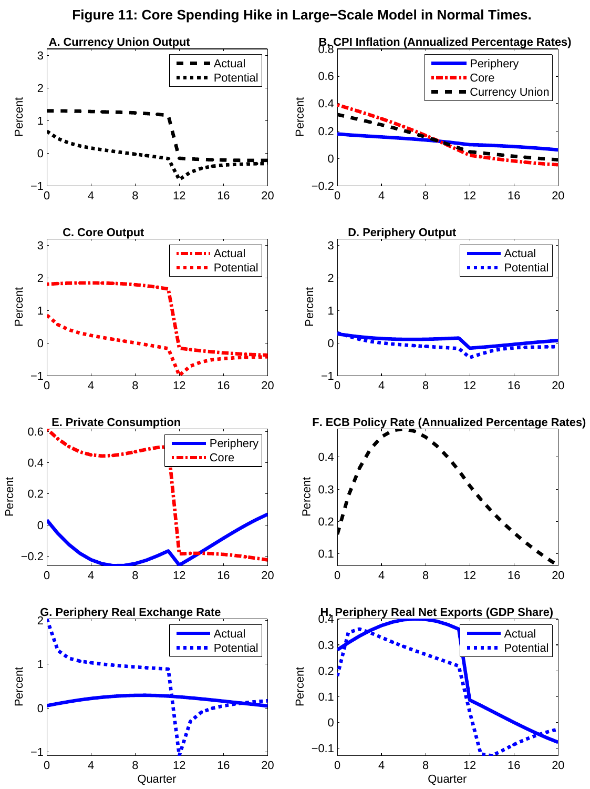

**Quarter** 

**Quarter** 

**Figure 11: Core Spending Hike in Large−Scale Model in Normal Times.**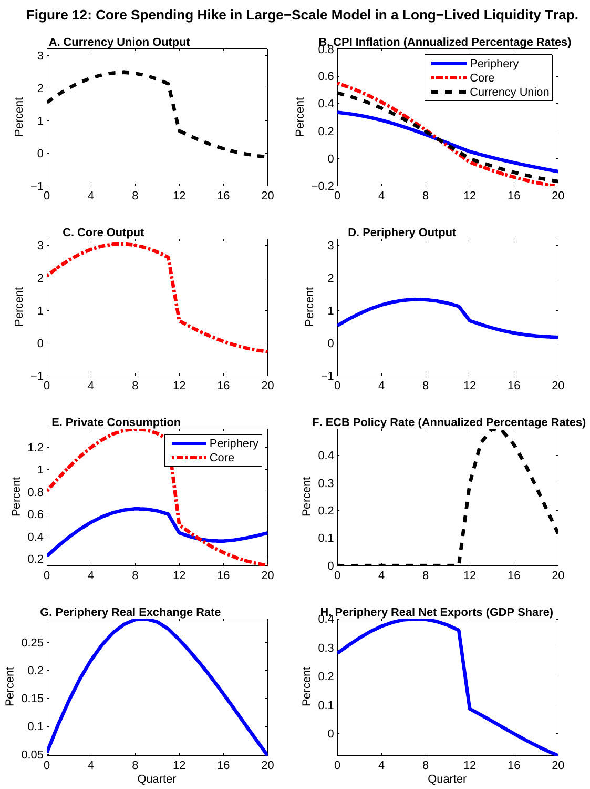**Figure 12: Core Spending Hike in Large−Scale Model in a Long−Lived Liquidity Trap.**

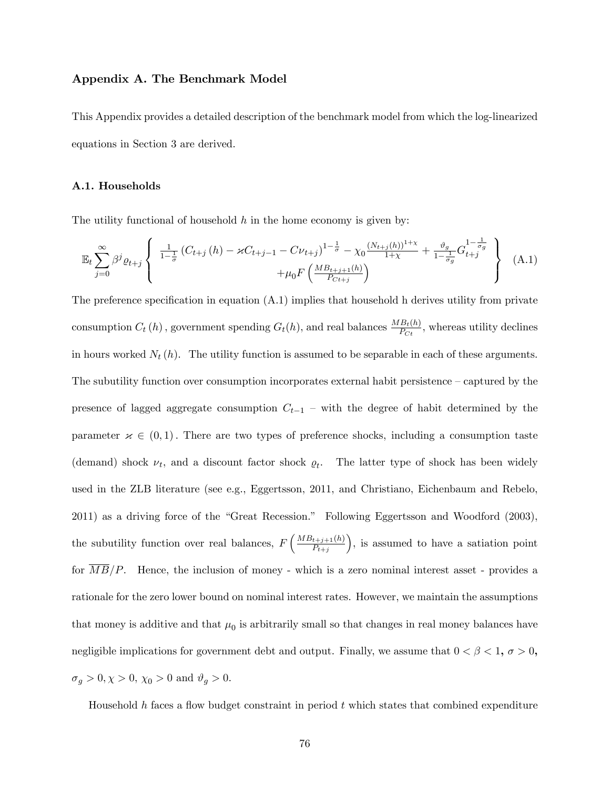# Appendix A. The Benchmark Model

This Appendix provides a detailed description of the benchmark model from which the log-linearized equations in Section 3 are derived.

### A.1. Households

The utility functional of household  $h$  in the home economy is given by:

$$
\mathbb{E}_{t} \sum_{j=0}^{\infty} \beta^{j} \varrho_{t+j} \left\{ \begin{array}{c} \frac{1}{1-\frac{1}{\sigma}} \left( C_{t+j} \left( h \right) - \varkappa C_{t+j-1} - C \nu_{t+j} \right)^{1-\frac{1}{\sigma}} - \chi_{0} \frac{\left( N_{t+j}(h) \right)^{1+\chi}}{1+\chi} + \frac{\vartheta_{g}}{1-\frac{1}{\sigma_{g}}} G_{t+j}^{1-\frac{1}{\sigma_{g}}} \\ + \mu_{0} F \left( \frac{M B_{t+j+1}(h)}{P_{C t+j}} \right) \end{array} \right\} (A.1)
$$

The preference specification in equation  $(A.1)$  implies that household h derives utility from private consumption  $C_t(h)$ , government spending  $G_t(h)$ , and real balances  $\frac{MB_t(h)}{P_{C_t}}$ , whereas utility declines in hours worked  $N_t(h)$ . The utility function is assumed to be separable in each of these arguments. The subutility function over consumption incorporates external habit persistence  $-\text{captured}$  by the presence of lagged aggregate consumption  $C_{t-1}$  – with the degree of habit determined by the parameter  $\times \in (0,1)$ . There are two types of preference shocks, including a consumption taste (demand) shock  $\nu_t$ , and a discount factor shock  $\rho_t$ . The latter type of shock has been widely used in the ZLB literature (see e.g., Eggertsson, 2011, and Christiano, Eichenbaum and Rebelo, 2011) as a driving force of the "Great Recession." Following Eggertsson and Woodford (2003), the subutility function over real balances,  $F\left(\frac{MB_{t+j+1}(h)}{P_{t+j+1}(h)}\right)$  $P_{t+j}$  , is assumed to have a satiation point for  $\overline{MB}/P$ . Hence, the inclusion of money - which is a zero nominal interest asset - provides a rationale for the zero lower bound on nominal interest rates. However, we maintain the assumptions that money is additive and that  $\mu_0$  is arbitrarily small so that changes in real money balances have negligible implications for government debt and output. Finally, we assume that  $0 < \beta < 1$ ,  $\sigma > 0$ ,  $\sigma_g > 0, \chi > 0, \, \chi_0 > 0$  and  $\vartheta_g > 0.$ 

Household  $h$  faces a flow budget constraint in period  $t$  which states that combined expenditure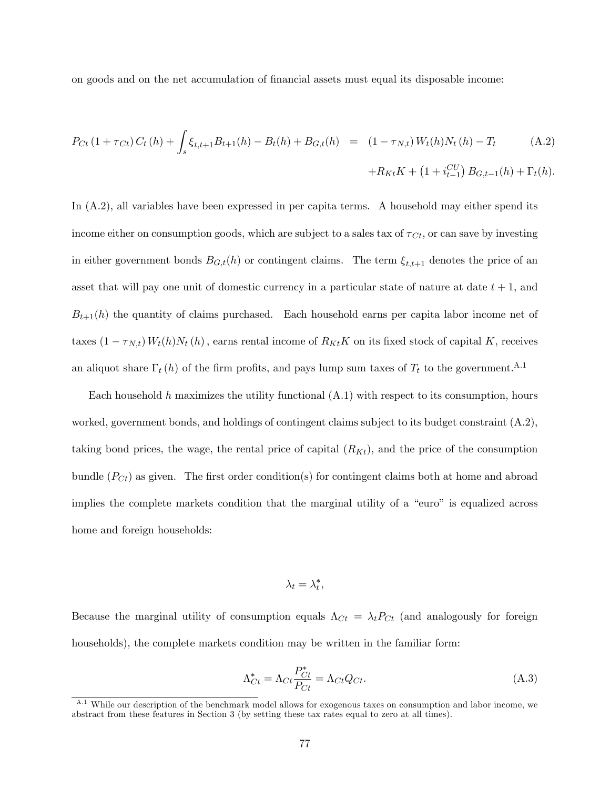on goods and on the net accumulation of financial assets must equal its disposable income:

$$
P_{Ct} (1 + \tau_{Ct}) C_t (h) + \int_s \xi_{t,t+1} B_{t+1}(h) - B_t(h) + B_{G,t}(h) = (1 - \tau_{N,t}) W_t(h) N_t (h) - T_t
$$
\n
$$
+ R_{Kt} K + (1 + i_{t-1}^{CU}) B_{G,t-1}(h) + \Gamma_t(h).
$$
\n(A.2)

In (A.2), all variables have been expressed in per capita terms. A household may either spend its income either on consumption goods, which are subject to a sales tax of  $\tau_{C_t}$ , or can save by investing in either government bonds  $B_{G,t}(h)$  or contingent claims. The term  $\xi_{t,t+1}$  denotes the price of an asset that will pay one unit of domestic currency in a particular state of nature at date  $t + 1$ , and  $B_{t+1}(h)$  the quantity of claims purchased. Each household earns per capita labor income net of taxes  $(1 - \tau_{N,t}) W_t(h)N_t(h)$ , earns rental income of  $R_{Kt}K$  on its fixed stock of capital K, receives an aliquot share  $\Gamma_t(h)$  of the firm profits, and pays lump sum taxes of  $T_t$  to the government.<sup>A.1</sup>

Each household h maximizes the utility functional  $(A.1)$  with respect to its consumption, hours worked, government bonds, and holdings of contingent claims subject to its budget constraint (A.2), taking bond prices, the wage, the rental price of capital  $(R_{Kt})$ , and the price of the consumption bundle  $(P<sub>ct</sub>)$  as given. The first order condition(s) for contingent claims both at home and abroad implies the complete markets condition that the marginal utility of a "euro" is equalized across home and foreign households:

$$
\lambda_t = \lambda_t^*,
$$

Because the marginal utility of consumption equals  $\Lambda_{C_t} = \lambda_t P_{C_t}$  (and analogously for foreign households), the complete markets condition may be written in the familiar form:

$$
\Lambda_{Ct}^{*} = \Lambda_{Ct} \frac{P_{Ct}^{*}}{P_{Ct}} = \Lambda_{Ct} Q_{Ct}.
$$
\n(A.3)

<sup>&</sup>lt;sup>A.1</sup> While our description of the benchmark model allows for exogenous taxes on consumption and labor income, we abstract from these features in Section 3 (by setting these tax rates equal to zero at all times).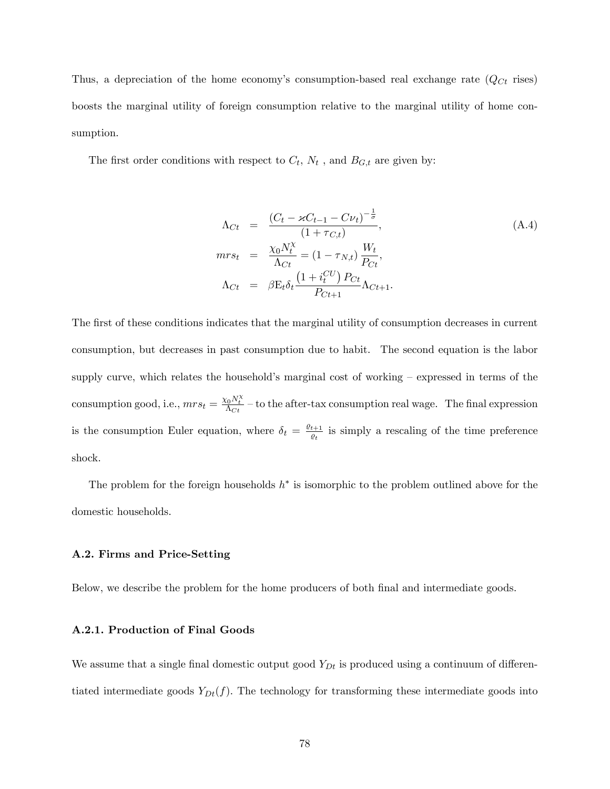Thus, a depreciation of the home economy's consumption-based real exchange rate  $(Q<sub>ct</sub>$  rises) boosts the marginal utility of foreign consumption relative to the marginal utility of home consumption.

The first order conditions with respect to  $C_t$ ,  $N_t$ , and  $B_{G,t}$  are given by:

$$
\Lambda_{Ct} = \frac{(C_t - \varkappa C_{t-1} - C\nu_t)^{-\frac{1}{\sigma}}}{(1 + \tau_{C,t})},
$$
\n
$$
mrs_t = \frac{\chi_0 N_t^{\chi}}{\Lambda_{Ct}} = (1 - \tau_{N,t}) \frac{W_t}{P_{Ct}},
$$
\n
$$
\Lambda_{Ct} = \beta E_t \delta_t \frac{(1 + i_t^{CU}) P_{Ct}}{P_{Ct+1}} \Lambda_{Ct+1}.
$$
\n(A.4)

The first of these conditions indicates that the marginal utility of consumption decreases in current consumption, but decreases in past consumption due to habit. The second equation is the labor supply curve, which relates the household's marginal cost of working  $-$  expressed in terms of the consumption good, i.e.,  $mrs_t = \frac{\chi_0 N_t^{\chi}}{\Lambda_{C_t}}$  – to the after-tax consumption real wage. The final expression is the consumption Euler equation, where  $\delta_t = \frac{\rho_{t+1}}{\rho_{t}}$  $\frac{t+1}{\varrho_t}$  is simply a rescaling of the time preference shock.

The problem for the foreign households  $h^*$  is isomorphic to the problem outlined above for the domestic households.

# A.2. Firms and Price-Setting

Below, we describe the problem for the home producers of both final and intermediate goods.

# A.2.1. Production of Final Goods

We assume that a single final domestic output good  $Y_{Dt}$  is produced using a continuum of differentiated intermediate goods  $Y_{Dt}(f)$ . The technology for transforming these intermediate goods into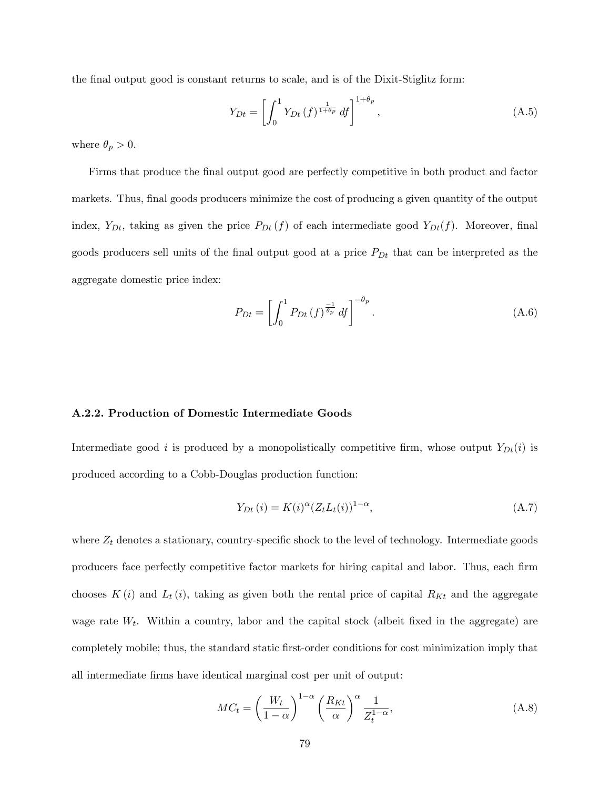the final output good is constant returns to scale, and is of the Dixit-Stiglitz form:

$$
Y_{Dt} = \left[ \int_0^1 Y_{Dt}(f)^{\frac{1}{1+\theta_p}} df \right]^{1+\theta_p}, \tag{A.5}
$$

where  $\theta_p > 0$ .

Firms that produce the final output good are perfectly competitive in both product and factor markets. Thus, final goods producers minimize the cost of producing a given quantity of the output index,  $Y_{Dt}$ , taking as given the price  $P_{Dt}(f)$  of each intermediate good  $Y_{Dt}(f)$ . Moreover, final goods producers sell units of the final output good at a price  $P_{Dt}$  that can be interpreted as the aggregate domestic price index:

$$
P_{Dt} = \left[ \int_0^1 P_{Dt}(f)^{\frac{-1}{\theta_p}} df \right]^{-\theta_p}.
$$
 (A.6)

## A.2.2. Production of Domestic Intermediate Goods

Intermediate good i is produced by a monopolistically competitive firm, whose output  $Y_{Dt}(i)$  is produced according to a Cobb-Douglas production function:

$$
Y_{Dt}(i) = K(i)^{\alpha} (Z_t L_t(i))^{1-\alpha}, \qquad (A.7)
$$

where  $Z_t$  denotes a stationary, country-specific shock to the level of technology. Intermediate goods producers face perfectly competitive factor markets for hiring capital and labor. Thus, each firm chooses  $K(i)$  and  $L_t(i)$ , taking as given both the rental price of capital  $R_{Kt}$  and the aggregate wage rate  $W_t$ . Within a country, labor and the capital stock (albeit fixed in the aggregate) are completely mobile; thus, the standard static Örst-order conditions for cost minimization imply that all intermediate Örms have identical marginal cost per unit of output:

$$
MC_t = \left(\frac{W_t}{1-\alpha}\right)^{1-\alpha} \left(\frac{R_{Kt}}{\alpha}\right)^{\alpha} \frac{1}{Z_t^{1-\alpha}},\tag{A.8}
$$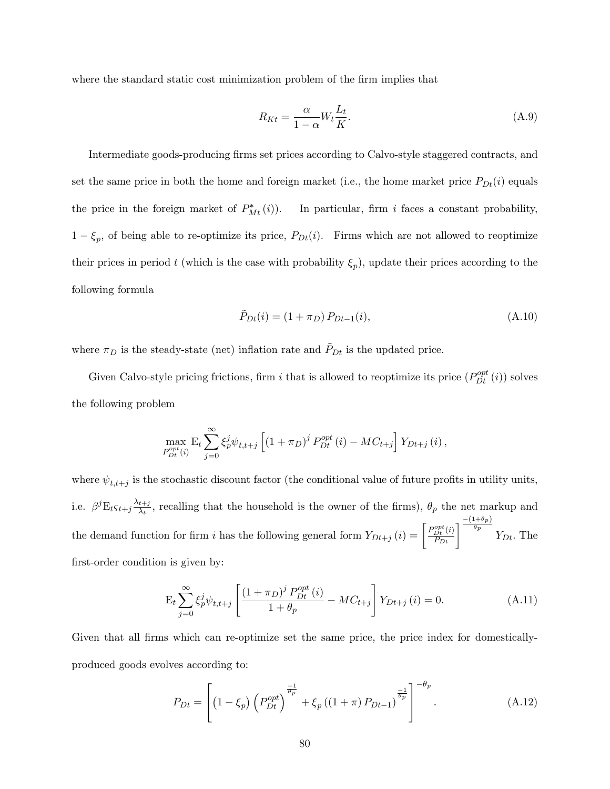where the standard static cost minimization problem of the firm implies that

$$
R_{Kt} = \frac{\alpha}{1 - \alpha} W_t \frac{L_t}{K}.
$$
\n(A.9)

Intermediate goods-producing firms set prices according to Calvo-style staggered contracts, and set the same price in both the home and foreign market (i.e., the home market price  $P_{Dt}(i)$  equals the price in the foreign market of  $P_{Mt}^*(i)$ . In particular, firm i faces a constant probability,  $1 - \xi_p$ , of being able to re-optimize its price,  $P_{Dt}(i)$ . Firms which are not allowed to reoptimize their prices in period t (which is the case with probability  $\xi_p$ ), update their prices according to the following formula

$$
\tilde{P}_{Dt}(i) = (1 + \pi_D) P_{Dt-1}(i), \tag{A.10}
$$

where  $\pi_D$  is the steady-state (net) inflation rate and  $P_{Dt}$  is the updated price.

Given Calvo-style pricing frictions, firm i that is allowed to reoptimize its price  $(P_{Dt}^{opt}(i))$  solves the following problem

$$
\max_{P_{Dt}^{opt}(i)} \mathbf{E}_{t} \sum_{j=0}^{\infty} \xi_{p}^{j} \psi_{t,t+j} \left[ (1 + \pi_{D})^{j} P_{Dt}^{opt}(i) - MC_{t+j} \right] Y_{Dt+j}(i),
$$

where  $\psi_{t,t+j}$  is the stochastic discount factor (the conditional value of future profits in utility units, i.e.  $\beta^{j}E_{t}\varsigma_{t+j}\frac{\lambda_{t+j}}{\lambda_{t}}$  $\frac{t+j}{\lambda_t}$ , recalling that the household is the owner of the firms),  $\theta_p$  the net markup and the demand function for firm i has the following general form  $Y_{Dt+j}(i) = \begin{bmatrix} P_{Dt}^{opt}(i) \\ P_{Dt} \end{bmatrix}$  $\left[\frac{\rho pt}{D t}(i)\right]^{\frac{-(1+\theta_p)}{\theta_p}}$  $\theta_p$   $Y_{Dt}$ . The first-order condition is given by:

$$
\mathcal{E}_{t} \sum_{j=0}^{\infty} \xi_{p}^{j} \psi_{t,t+j} \left[ \frac{\left(1+\pi_{D}\right)^{j} P_{Dt}^{opt} \left(i\right)}{1+\theta_{p}} - MC_{t+j} \right] Y_{Dt+j} \left(i\right) = 0. \tag{A.11}
$$

Given that all firms which can re-optimize set the same price, the price index for domesticallyproduced goods evolves according to:

$$
P_{Dt} = \left[ \left( 1 - \xi_p \right) \left( P_{Dt}^{opt} \right)^{\frac{-1}{\theta_p}} + \xi_p \left( \left( 1 + \pi \right) P_{Dt-1} \right)^{\frac{-1}{\theta_p}} \right]^{-\theta_p} . \tag{A.12}
$$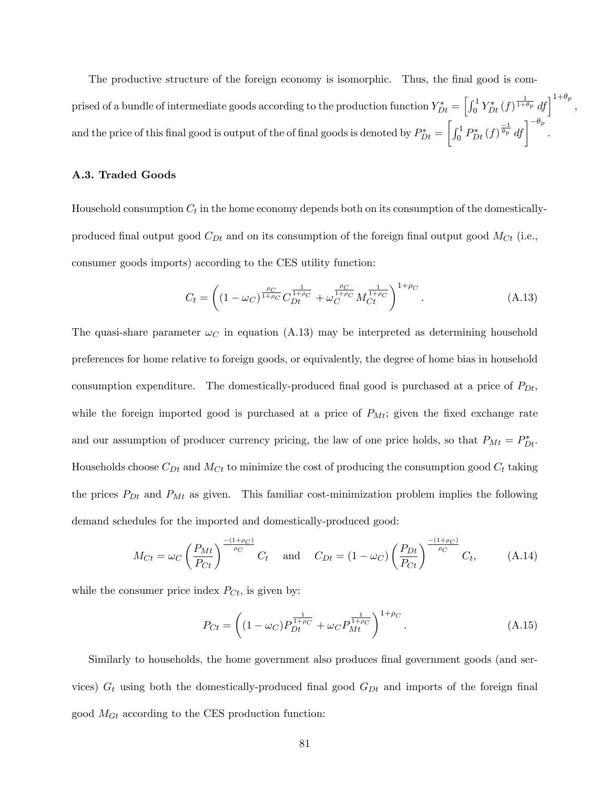The productive structure of the foreign economy is isomorphic. Thus, the final good is comprised of a bundle of intermediate goods according to the production function  $Y_{Dt}^* = \left[\int_0^1 Y_{Dt}^*(f)^{\frac{1}{1+\theta_p}} df\right]^{1+\theta_p}$ , and the price of this final good is output of the of final goods is denoted by  $P_{Dt}^{\ast}=$  $\left[\int_0^1 P_{Dt}^*(f)^{\frac{-1}{\theta_p}} df\right]^{-\theta_p}.$ 

# A.3. Traded Goods

Household consumption  $C_t$  in the home economy depends both on its consumption of the domesticallyproduced final output good  $C_{Dt}$  and on its consumption of the foreign final output good  $M_{C_t}$  (i.e., consumer goods imports) according to the CES utility function:

$$
C_t = \left( (1 - \omega_C)^{\frac{\rho_C}{1 + \rho_C}} C_{Dt}^{\frac{1}{1 + \rho_C}} + \omega_C^{\frac{\rho_C}{1 + \rho_C}} M_{Ct}^{\frac{1}{1 + \rho_C}} \right)^{1 + \rho_C}.
$$
 (A.13)

The quasi-share parameter  $\omega_C$  in equation (A.13) may be interpreted as determining household preferences for home relative to foreign goods, or equivalently, the degree of home bias in household consumption expenditure. The domestically-produced final good is purchased at a price of  $P_{Dt}$ , while the foreign imported good is purchased at a price of  $P_{Mt}$ ; given the fixed exchange rate and our assumption of producer currency pricing, the law of one price holds, so that  $P_{Mt} = P_{Dt}^*$ . Households choose  $C_{Dt}$  and  $M_{Ct}$  to minimize the cost of producing the consumption good  $C_t$  taking the prices  $P_{Dt}$  and  $P_{Mt}$  as given. This familiar cost-minimization problem implies the following demand schedules for the imported and domestically-produced good:

$$
M_{Ct} = \omega_C \left(\frac{P_{Mt}}{P_{Ct}}\right)^{\frac{-(1+\rho_C)}{\rho_C}} C_t \quad \text{and} \quad C_{Dt} = (1-\omega_C) \left(\frac{P_{Dt}}{P_{Ct}}\right)^{\frac{-(1+\rho_C)}{\rho_C}} C_t, \quad (A.14)
$$

while the consumer price index  $P_{C_t}$ , is given by:

$$
P_{Ct} = \left( (1 - \omega_C) P_{Dt}^{\frac{1}{1 + \rho_C}} + \omega_C P_{Mt}^{\frac{1}{1 + \rho_C}} \right)^{1 + \rho_C}.
$$
 (A.15)

Similarly to households, the home government also produces final government goods (and services)  $G_t$  using both the domestically-produced final good  $G_{Dt}$  and imports of the foreign final good  $M_{Gt}$  according to the CES production function: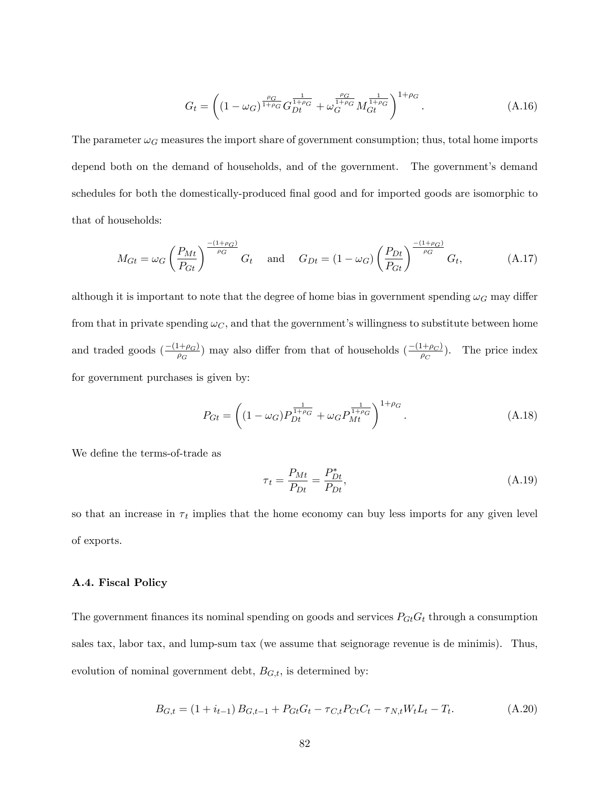$$
G_t = \left( (1 - \omega_G)^{\frac{\rho_G}{1 + \rho_G}} G_{Dt}^{\frac{1}{1 + \rho_G}} + \omega_G^{\frac{\rho_G}{1 + \rho_G}} M_{Gt}^{\frac{1}{1 + \rho_G}} \right)^{1 + \rho_G}.
$$
 (A.16)

The parameter  $\omega_G$  measures the import share of government consumption; thus, total home imports depend both on the demand of households, and of the government. The government's demand schedules for both the domestically-produced final good and for imported goods are isomorphic to that of households:

$$
M_{Gt} = \omega_G \left(\frac{P_{Mt}}{P_{Gt}}\right)^{\frac{-(1+\rho_G)}{\rho_G}} G_t \quad \text{and} \quad G_{Dt} = (1-\omega_G) \left(\frac{P_{Dt}}{P_{Gt}}\right)^{\frac{-(1+\rho_G)}{\rho_G}} G_t, \tag{A.17}
$$

although it is important to note that the degree of home bias in government spending  $\omega_G$  may differ from that in private spending  $\omega_C$ , and that the government's willingness to substitute between home and traded goods  $\left(\frac{-(1+\rho_G)}{\rho_G}\right)$  may also differ from that of households  $\left(\frac{-(1+\rho_G)}{\rho_G}\right)$ . The price index for government purchases is given by:

$$
P_{Gt} = \left( (1 - \omega_G) P_{Dt}^{\frac{1}{1 + \rho_G}} + \omega_G P_{Mt}^{\frac{1}{1 + \rho_G}} \right)^{1 + \rho_G}.
$$
 (A.18)

We define the terms-of-trade as

$$
\tau_t = \frac{P_{Mt}}{P_{Dt}} = \frac{P_{Dt}^*}{P_{Dt}},\tag{A.19}
$$

so that an increase in  $\tau_t$  implies that the home economy can buy less imports for any given level of exports.

### A.4. Fiscal Policy

The government finances its nominal spending on goods and services  $P_{Gt}G_t$  through a consumption sales tax, labor tax, and lump-sum tax (we assume that seignorage revenue is de minimis). Thus, evolution of nominal government debt,  $B_{G,t}$ , is determined by:

$$
B_{G,t} = (1 + i_{t-1}) B_{G,t-1} + P_{Gt} G_t - \tau_{C,t} P_{Ct} C_t - \tau_{N,t} W_t L_t - T_t.
$$
 (A.20)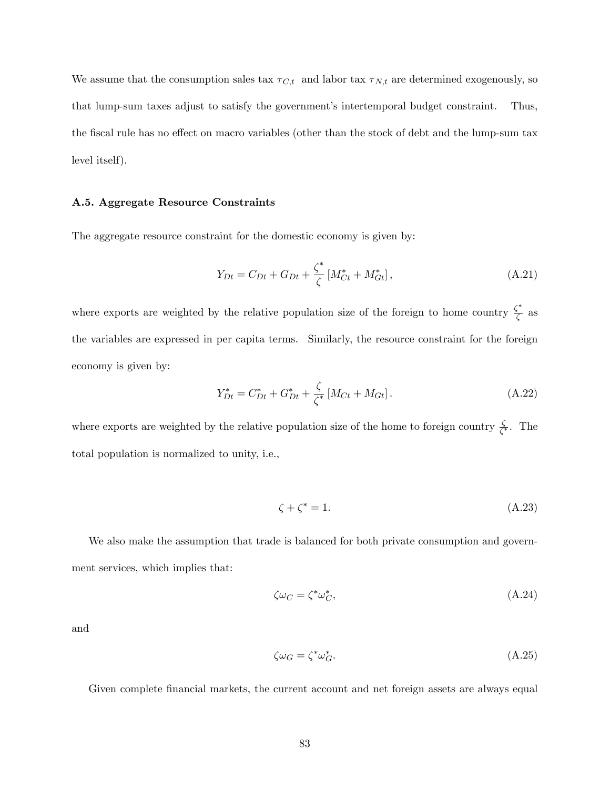We assume that the consumption sales tax  $\tau_{C,t}$  and labor tax  $\tau_{N,t}$  are determined exogenously, so that lump-sum taxes adjust to satisfy the government's intertemporal budget constraint. Thus, the fiscal rule has no effect on macro variables (other than the stock of debt and the lump-sum tax level itself).

### A.5. Aggregate Resource Constraints

The aggregate resource constraint for the domestic economy is given by:

$$
Y_{Dt} = C_{Dt} + G_{Dt} + \frac{\zeta^*}{\zeta} \left[ M_{Ct}^* + M_{Gt}^* \right], \tag{A.21}
$$

where exports are weighted by the relative population size of the foreign to home country  $\frac{\zeta^*}{\zeta}$  $\frac{1}{\zeta}$  as the variables are expressed in per capita terms. Similarly, the resource constraint for the foreign economy is given by:

$$
Y_{Dt}^* = C_{Dt}^* + G_{Dt}^* + \frac{\zeta}{\zeta^*} \left[ M_{Ct} + M_{Gt} \right]. \tag{A.22}
$$

where exports are weighted by the relative population size of the home to foreign country  $\frac{\zeta}{\zeta^*}$ . The total population is normalized to unity, i.e.,

$$
\zeta + \zeta^* = 1. \tag{A.23}
$$

We also make the assumption that trade is balanced for both private consumption and government services, which implies that:

$$
\zeta \omega_C = \zeta^* \omega_C^*,\tag{A.24}
$$

and

$$
\zeta \omega_G = \zeta^* \omega_G^*.\tag{A.25}
$$

Given complete financial markets, the current account and net foreign assets are always equal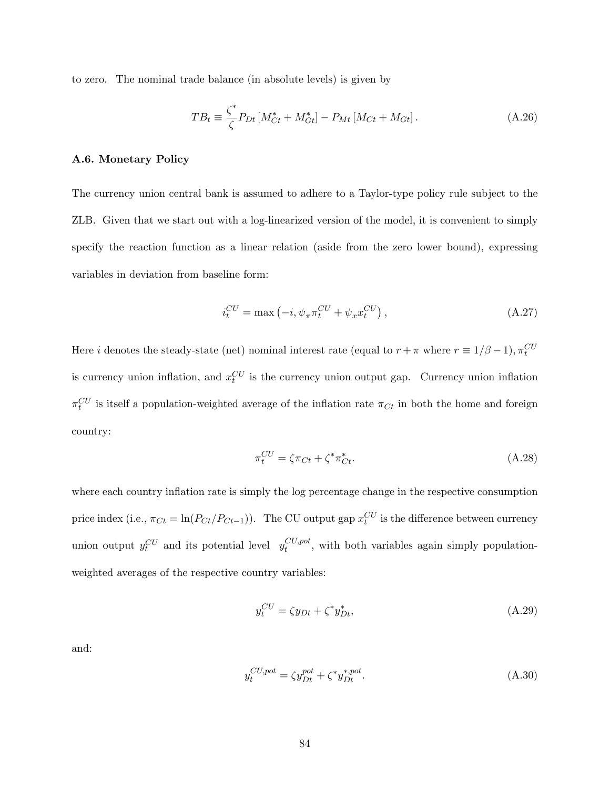to zero. The nominal trade balance (in absolute levels) is given by

$$
TB_t \equiv \frac{\zeta^*}{\zeta} P_{Dt} \left[ M_{Ct}^* + M_{Gt}^* \right] - P_{Mt} \left[ M_{Ct} + M_{Gt} \right]. \tag{A.26}
$$

# A.6. Monetary Policy

The currency union central bank is assumed to adhere to a Taylor-type policy rule subject to the ZLB. Given that we start out with a log-linearized version of the model, it is convenient to simply specify the reaction function as a linear relation (aside from the zero lower bound), expressing variables in deviation from baseline form:

$$
i_t^{CU} = \max\left(-i, \psi_\pi \pi_t^{CU} + \psi_x x_t^{CU}\right),\tag{A.27}
$$

Here *i* denotes the steady-state (net) nominal interest rate (equal to  $r + \pi$  where  $r \equiv 1/\beta - 1$ ),  $\pi_t^{CU}$ is currency union inflation, and  $x_t^{CU}$  is the currency union output gap. Currency union inflation  $\pi_t^{CU}$  is itself a population-weighted average of the inflation rate  $\pi_{C_t}$  in both the home and foreign country:

$$
\pi_t^{CU} = \zeta \pi_{Ct} + \zeta^* \pi_{Ct}^*.
$$
\n(A.28)

where each country inflation rate is simply the log percentage change in the respective consumption price index (i.e.,  $\pi_{C_t} = \ln(P_{C_t}/P_{C_{t-1}})$ ). The CU output gap  $x_t^{CU}$  is the difference between currency union output  $y_t^{CU}$  and its potential level  $y_t^{CU, pot}$  $\epsilon_t^{CO,pot}$ , with both variables again simply populationweighted averages of the respective country variables:

$$
y_t^{CU} = \zeta y_{Dt} + \zeta^* y_{Dt}^*,\tag{A.29}
$$

and:

$$
y_t^{CU,pot} = \zeta y_{Dt}^{pot} + \zeta^* y_{Dt}^{*,pot}.
$$
\n(A.30)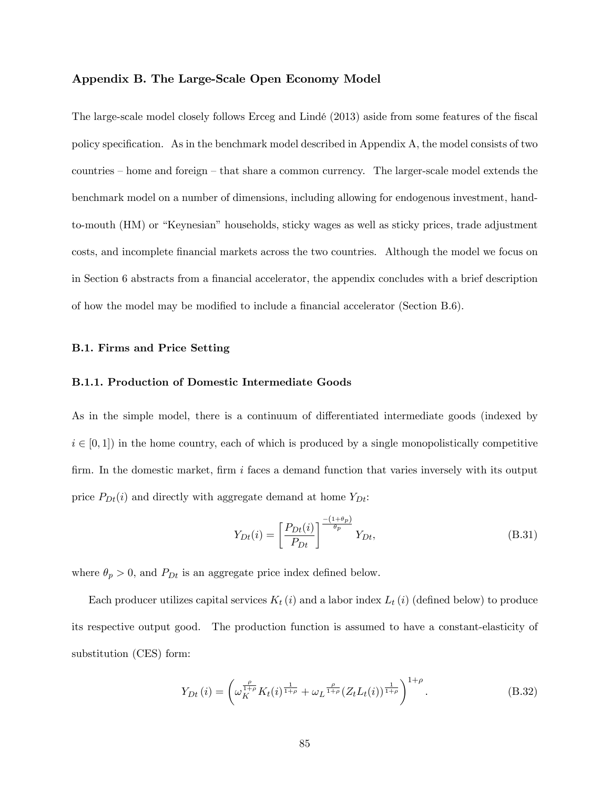## Appendix B. The Large-Scale Open Economy Model

The large-scale model closely follows Erceg and Lindé (2013) aside from some features of the fiscal policy specification. As in the benchmark model described in Appendix  $A$ , the model consists of two countries  $h$  home and foreign  $-\text{ that share a common currency.}$  The larger-scale model extends the benchmark model on a number of dimensions, including allowing for endogenous investment, handto-mouth (HM) or "Keynesian" households, sticky wages as well as sticky prices, trade adjustment costs, and incomplete Önancial markets across the two countries. Although the model we focus on in Section 6 abstracts from a financial accelerator, the appendix concludes with a brief description of how the model may be modified to include a financial accelerator (Section  $B.6$ ).

### B.1. Firms and Price Setting

### B.1.1. Production of Domestic Intermediate Goods

As in the simple model, there is a continuum of differentiated intermediate goods (indexed by  $i \in [0, 1]$  in the home country, each of which is produced by a single monopolistically competitive firm. In the domestic market, firm  $i$  faces a demand function that varies inversely with its output price  $P_{Dt}(i)$  and directly with aggregate demand at home  $Y_{Dt}$ :

$$
Y_{Dt}(i) = \left[\frac{P_{Dt}(i)}{P_{Dt}}\right]^{\frac{-(1+\theta_p)}{\theta_p}} Y_{Dt},\tag{B.31}
$$

where  $\theta_p > 0$ , and  $P_{Dt}$  is an aggregate price index defined below.

Each producer utilizes capital services  $K_t(i)$  and a labor index  $L_t(i)$  (defined below) to produce its respective output good. The production function is assumed to have a constant-elasticity of substitution (CES) form:

$$
Y_{Dt}(i) = \left(\omega_K^{\frac{\rho}{1+\rho}} K_t(i)^{\frac{1}{1+\rho}} + \omega_L^{\frac{\rho}{1+\rho}} (Z_t L_t(i))^{\frac{1}{1+\rho}}\right)^{1+\rho}.
$$
 (B.32)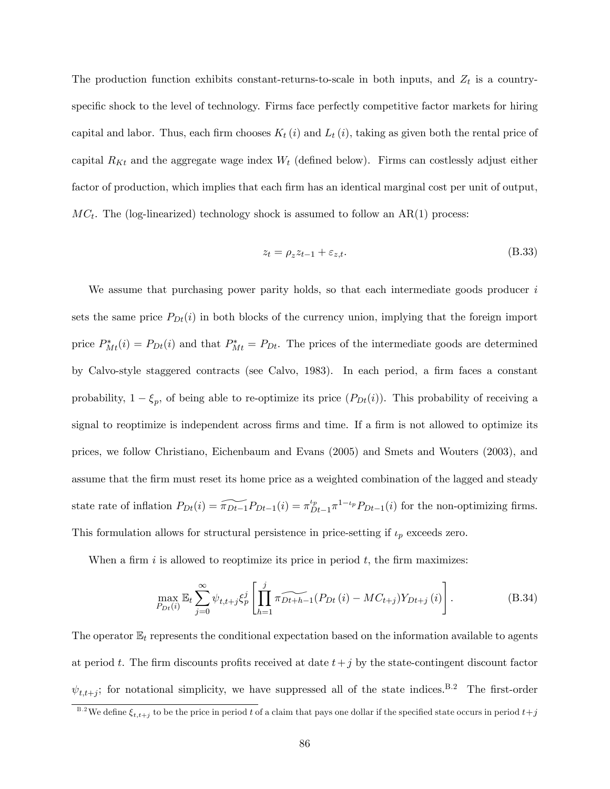The production function exhibits constant-returns-to-scale in both inputs, and  $Z_t$  is a countryspecific shock to the level of technology. Firms face perfectly competitive factor markets for hiring capital and labor. Thus, each firm chooses  $K_t (i)$  and  $L_t (i)$ , taking as given both the rental price of capital  $R_{Kt}$  and the aggregate wage index  $W_t$  (defined below). Firms can costlessly adjust either factor of production, which implies that each firm has an identical marginal cost per unit of output,  $MC_t$ . The (log-linearized) technology shock is assumed to follow an AR(1) process:

$$
z_t = \rho_z z_{t-1} + \varepsilon_{z,t}.\tag{B.33}
$$

We assume that purchasing power parity holds, so that each intermediate goods producer  $i$ sets the same price  $P_{Dt}(i)$  in both blocks of the currency union, implying that the foreign import price  $P_{Mt}^*(i) = P_{Dt}(i)$  and that  $P_{Mt}^* = P_{Dt}$ . The prices of the intermediate goods are determined by Calvo-style staggered contracts (see Calvo, 1983). In each period, a firm faces a constant probability,  $1 - \xi_p$ , of being able to re-optimize its price  $(P_{Dt}(i))$ . This probability of receiving a signal to reoptimize is independent across firms and time. If a firm is not allowed to optimize its prices, we follow Christiano, Eichenbaum and Evans (2005) and Smets and Wouters (2003), and assume that the firm must reset its home price as a weighted combination of the lagged and steady state rate of inflation  $P_{Dt}(i) = \widetilde{\pi_{Dt-1}}P_{Dt-1}(i) = \pi_D^{t_p}$  $p_{Dt-1}^{t_p} \pi^{1-t_p} P_{Dt-1}(i)$  for the non-optimizing firms. This formulation allows for structural persistence in price-setting if  $\iota_p$  exceeds zero.

When a firm i is allowed to reoptimize its price in period  $t$ , the firm maximizes:

$$
\max_{P_{Dt}(i)} \mathbb{E}_t \sum_{j=0}^{\infty} \psi_{t,t+j} \xi_p^j \left[ \prod_{h=1}^j \widehat{\pi_{Dt+h-1}} (P_{Dt}(i) - MC_{t+j}) Y_{Dt+j}(i) \right].
$$
 (B.34)

The operator  $\mathbb{E}_t$  represents the conditional expectation based on the information available to agents at period t. The firm discounts profits received at date  $t+j$  by the state-contingent discount factor  $\psi_{t,t+j}$ ; for notational simplicity, we have suppressed all of the state indices.<sup>B.2</sup> The first-order

 $^{B.2}$ We define  $\xi_{t,t+j}$  to be the price in period  $t$  of a claim that pays one dollar if the specified state occurs in period  $t+j$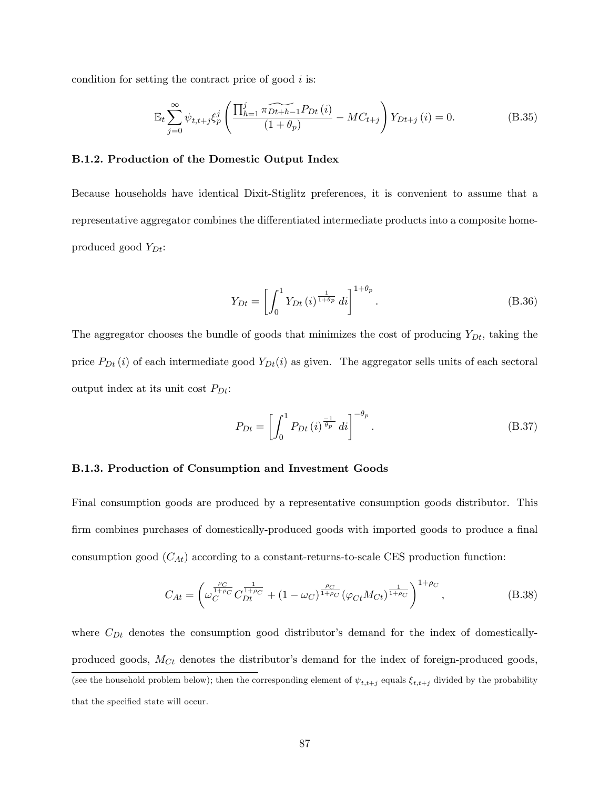condition for setting the contract price of good  $i$  is:

$$
\mathbb{E}_{t} \sum_{j=0}^{\infty} \psi_{t,t+j} \xi_{p}^{j} \left( \frac{\prod_{h=1}^{j} \widetilde{\pi_{Dt+h-1}} P_{Dt}(i)}{(1+\theta_{p})} - MC_{t+j} \right) Y_{Dt+j}(i) = 0.
$$
 (B.35)

# B.1.2. Production of the Domestic Output Index

Because households have identical Dixit-Stiglitz preferences, it is convenient to assume that a representative aggregator combines the differentiated intermediate products into a composite homeproduced good  $Y_{Dt}$ :

$$
Y_{Dt} = \left[ \int_0^1 Y_{Dt}(i)^{\frac{1}{1+\theta_p}} di \right]^{1+\theta_p}.
$$
 (B.36)

The aggregator chooses the bundle of goods that minimizes the cost of producing  $Y_{Dt}$ , taking the price  $P_{Dt}(i)$  of each intermediate good  $Y_{Dt}(i)$  as given. The aggregator sells units of each sectoral output index at its unit cost  $P_{Dt}$ :

$$
P_{Dt} = \left[ \int_0^1 P_{Dt} \left( i \right)^{\frac{-1}{\theta_p}} di \right]^{-\theta_p} . \tag{B.37}
$$

# B.1.3. Production of Consumption and Investment Goods

Final consumption goods are produced by a representative consumption goods distributor. This firm combines purchases of domestically-produced goods with imported goods to produce a final consumption good  $(C_{At})$  according to a constant-returns-to-scale CES production function:

$$
C_{At} = \left(\omega_C^{\frac{\rho_C}{1+\rho_C}} C_{Dt}^{\frac{1}{1+\rho_C}} + (1-\omega_C)^{\frac{\rho_C}{1+\rho_C}} (\varphi_{Ct} M_{Ct})^{\frac{1}{1+\rho_C}}\right)^{1+\rho_C},\tag{B.38}
$$

where  $C_{Dt}$  denotes the consumption good distributor's demand for the index of domesticallyproduced goods,  $M_{C_t}$  denotes the distributor's demand for the index of foreign-produced goods, (see the household problem below); then the corresponding element of  $\psi_{t,t+j}$  equals  $\xi_{t,t+j}$  divided by the probability that the specified state will occur.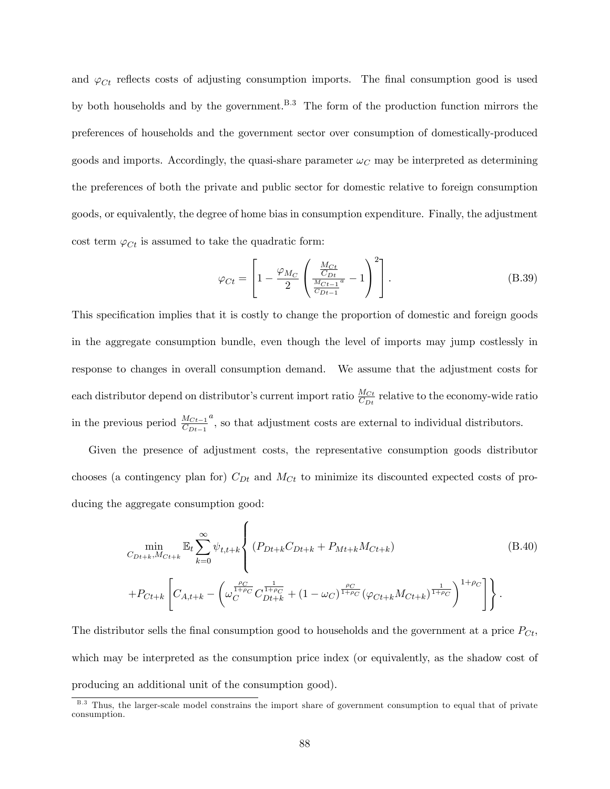and  $\varphi_{C_t}$  reflects costs of adjusting consumption imports. The final consumption good is used by both households and by the government.<sup>B.3</sup> The form of the production function mirrors the preferences of households and the government sector over consumption of domestically-produced goods and imports. Accordingly, the quasi-share parameter  $\omega_C$  may be interpreted as determining the preferences of both the private and public sector for domestic relative to foreign consumption goods, or equivalently, the degree of home bias in consumption expenditure. Finally, the adjustment cost term  $\varphi_{C_t}$  is assumed to take the quadratic form:

$$
\varphi_{Ct} = \left[1 - \frac{\varphi_{M_C}}{2} \left(\frac{\frac{M_{Ct}}{C_{Dt}}}{\frac{M_{Ct-1}a}{C_{Dt-1}}} - 1\right)^2\right].
$$
\n(B.39)

This specification implies that it is costly to change the proportion of domestic and foreign goods in the aggregate consumption bundle, even though the level of imports may jump costlessly in response to changes in overall consumption demand. We assume that the adjustment costs for each distributor depend on distributor's current import ratio  $\frac{M_{Ct}}{C_{Dt}}$  relative to the economy-wide ratio in the previous period  $\frac{M_{Ct-1}}{C_{Dt-1}}$  $\alpha$ , so that adjustment costs are external to individual distributors.

Given the presence of adjustment costs, the representative consumption goods distributor chooses (a contingency plan for)  $C_{Dt}$  and  $M_{Ct}$  to minimize its discounted expected costs of producing the aggregate consumption good:

$$
\min_{C_{Dt+k}, M_{Ct+k}} \mathbb{E}_t \sum_{k=0}^{\infty} \psi_{t,t+k} \left\{ (P_{Dt+k}C_{Dt+k} + P_{Mt+k}M_{Ct+k}) \right\} \tag{B.40}
$$
\n
$$
+ P_{Ct+k} \left[ C_{A,t+k} - \left( \omega_C^{\frac{\rho_C}{1+\rho_C}} C_{Dt+k}^{\frac{1}{1+\rho_C}} + (1 - \omega_C)^{\frac{\rho_C}{1+\rho_C}} (\varphi_{Ct+k}M_{Ct+k})^{\frac{1}{1+\rho_C}} \right)^{1+\rho_C} \right] \right\}.
$$

The distributor sells the final consumption good to households and the government at a price  $P_{C_t}$ , which may be interpreted as the consumption price index (or equivalently, as the shadow cost of producing an additional unit of the consumption good).

<sup>&</sup>lt;sup>B.3</sup> Thus, the larger-scale model constrains the import share of government consumption to equal that of private consumption.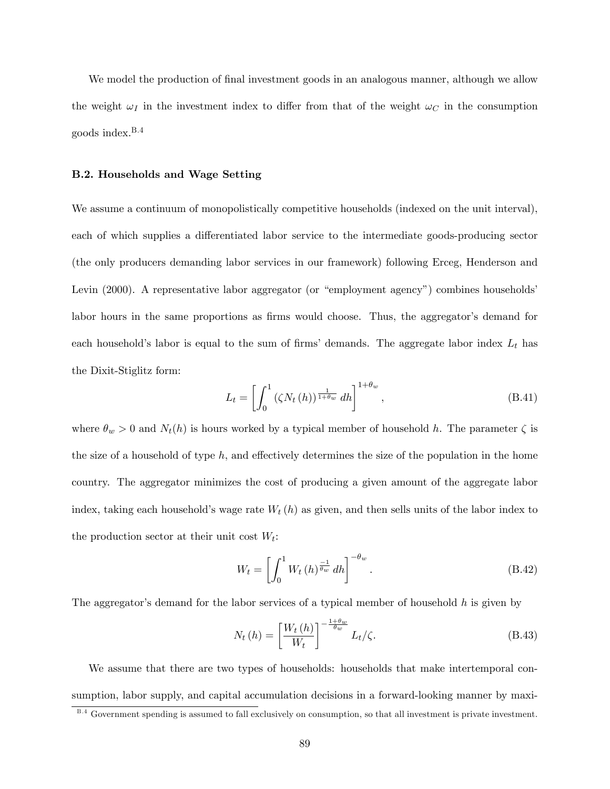We model the production of final investment goods in an analogous manner, although we allow the weight  $\omega_I$  in the investment index to differ from that of the weight  $\omega_C$  in the consumption goods index. $B.4$ 

## B.2. Households and Wage Setting

We assume a continuum of monopolistically competitive households (indexed on the unit interval), each of which supplies a differentiated labor service to the intermediate goods-producing sector (the only producers demanding labor services in our framework) following Erceg, Henderson and Levin (2000). A representative labor aggregator (or "employment agency") combines households labor hours in the same proportions as firms would choose. Thus, the aggregator's demand for each household's labor is equal to the sum of firms' demands. The aggregate labor index  $L_t$  has the Dixit-Stiglitz form:

$$
L_t = \left[ \int_0^1 (\zeta N_t(h))^{\frac{1}{1+\theta_w}} dh \right]^{1+\theta_w}, \tag{B.41}
$$

where  $\theta_w > 0$  and  $N_t(h)$  is hours worked by a typical member of household h. The parameter  $\zeta$  is the size of a household of type  $h$ , and effectively determines the size of the population in the home country. The aggregator minimizes the cost of producing a given amount of the aggregate labor index, taking each household's wage rate  $W_t(h)$  as given, and then sells units of the labor index to the production sector at their unit cost  $W_t$ :

$$
W_t = \left[ \int_0^1 W_t(h)^{\frac{-1}{\theta_w}} dh \right]^{-\theta_w}.
$$
 (B.42)

The aggregator's demand for the labor services of a typical member of household  $h$  is given by

$$
N_t(h) = \left[\frac{W_t(h)}{W_t}\right]^{-\frac{1+\theta_w}{\theta_w}} L_t/\zeta.
$$
\n(B.43)

We assume that there are two types of households: households that make intertemporal consumption, labor supply, and capital accumulation decisions in a forward-looking manner by maxi-

B.4 Government spending is assumed to fall exclusively on consumption, so that all investment is private investment.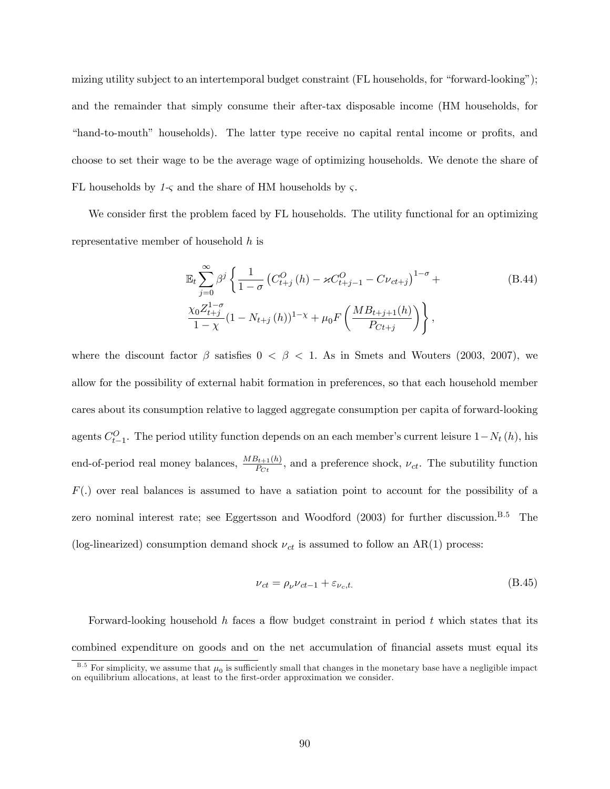mizing utility subject to an intertemporal budget constraint (FL households, for "forward-looking"); and the remainder that simply consume their after-tax disposable income (HM households, for "hand-to-mouth" households). The latter type receive no capital rental income or profits, and choose to set their wage to be the average wage of optimizing households. We denote the share of FL households by  $1-\varsigma$  and the share of HM households by  $\varsigma$ .

We consider first the problem faced by FL households. The utility functional for an optimizing representative member of household h is

$$
\mathbb{E}_{t} \sum_{j=0}^{\infty} \beta^{j} \left\{ \frac{1}{1-\sigma} \left( C_{t+j}^{O} \left( h \right) - \varkappa C_{t+j-1}^{O} - C \nu_{ct+j} \right)^{1-\sigma} + \frac{\chi_{0} Z_{t+j}^{1-\sigma}}{1-\chi} (1 - N_{t+j} \left( h \right))^{1-\chi} + \mu_{0} F \left( \frac{M B_{t+j+1}(h)}{P_{C t+j}} \right) \right\},
$$
\n(B.44)

where the discount factor  $\beta$  satisfies  $0 < \beta < 1$ . As in Smets and Wouters (2003, 2007), we allow for the possibility of external habit formation in preferences, so that each household member cares about its consumption relative to lagged aggregate consumption per capita of forward-looking agents  $C_{t-1}^O$ . The period utility function depends on an each member's current leisure  $1-N_t(h)$ , his end-of-period real money balances,  $\frac{MB_{t+1}(h)}{P_{C_t}}$ , and a preference shock,  $\nu_{ct}$ . The subutility function  $F(.)$  over real balances is assumed to have a satiation point to account for the possibility of a zero nominal interest rate; see Eggertsson and Woodford  $(2003)$  for further discussion.<sup>B.5</sup> The (log-linearized) consumption demand shock  $\nu_{ct}$  is assumed to follow an AR(1) process:

$$
\nu_{ct} = \rho_{\nu}\nu_{ct-1} + \varepsilon_{\nu_c,t}.\tag{B.45}
$$

Forward-looking household h faces a flow budget constraint in period t which states that its combined expenditure on goods and on the net accumulation of financial assets must equal its

<sup>&</sup>lt;sup>B.5</sup> For simplicity, we assume that  $\mu_0$  is sufficiently small that changes in the monetary base have a negligible impact on equilibrium allocations, at least to the first-order approximation we consider.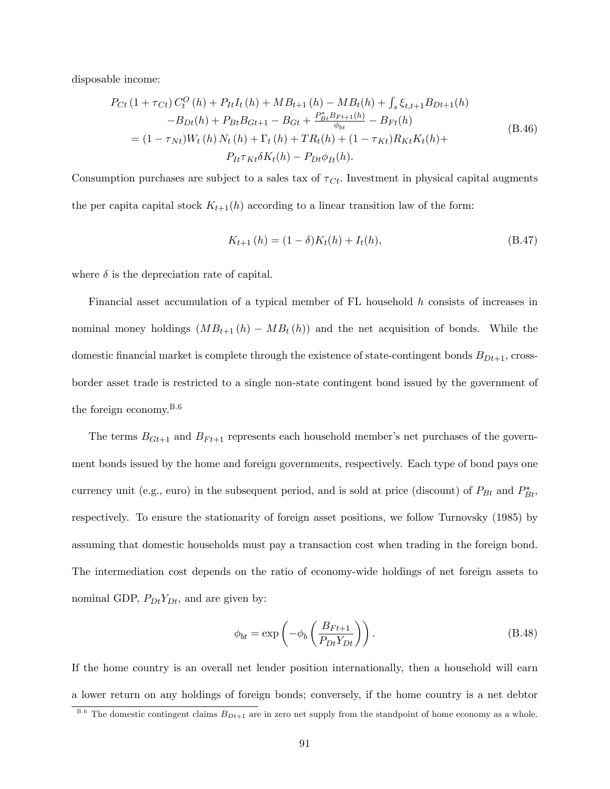disposable income:

$$
P_{Ct} (1 + \tau_{Ct}) C_t^O (h) + P_{It} I_t (h) + MB_{t+1} (h) - MB_t (h) + \int_s \xi_{t,t+1} B_{Dt+1} (h)
$$
  
\n
$$
-B_{Dt} (h) + P_{Bt} B_{Gt+1} - B_{Gt} + \frac{P_{Bt}^* B_{Ft+1} (h)}{\phi_{bt}} - B_{Ft} (h)
$$
  
\n
$$
= (1 - \tau_{Nt}) W_t (h) N_t (h) + \Gamma_t (h) + TR_t (h) + (1 - \tau_{Kt}) R_{Kt} K_t (h) +
$$
  
\n
$$
P_{It} \tau_{Kt} \delta K_t (h) - P_{Dt} \phi_{It} (h).
$$
\n(B.46)

Consumption purchases are subject to a sales tax of  $\tau_{C_t}$ . Investment in physical capital augments the per capital stock  $K_{t+1}(h)$  according to a linear transition law of the form:

$$
K_{t+1}(h) = (1 - \delta)K_t(h) + I_t(h),
$$
\n(B.47)

where  $\delta$  is the depreciation rate of capital.

Financial asset accumulation of a typical member of FL household h consists of increases in nominal money holdings  $(MB_{t+1}(h) - MB_t(h))$  and the net acquisition of bonds. While the domestic financial market is complete through the existence of state-contingent bonds  $B_{Dt+1}$ , crossborder asset trade is restricted to a single non-state contingent bond issued by the government of the foreign economy.B.6

The terms  $B_{Gt+1}$  and  $B_{Ft+1}$  represents each household member's net purchases of the government bonds issued by the home and foreign governments, respectively. Each type of bond pays one currency unit (e.g., euro) in the subsequent period, and is sold at price (discount) of  $P_{Bt}$  and  $P_{Bt}^*$ , respectively. To ensure the stationarity of foreign asset positions, we follow Turnovsky (1985) by assuming that domestic households must pay a transaction cost when trading in the foreign bond. The intermediation cost depends on the ratio of economy-wide holdings of net foreign assets to nominal GDP,  $P_{Dt}Y_{Dt}$ , and are given by:

$$
\phi_{bt} = \exp\left(-\phi_b \left(\frac{B_{Ft+1}}{P_{Dt}Y_{Dt}}\right)\right). \tag{B.48}
$$

If the home country is an overall net lender position internationally, then a household will earn a lower return on any holdings of foreign bonds; conversely, if the home country is a net debtor

 $B.6$  The domestic contingent claims  $B_{Dt+1}$  are in zero net supply from the standpoint of home economy as a whole.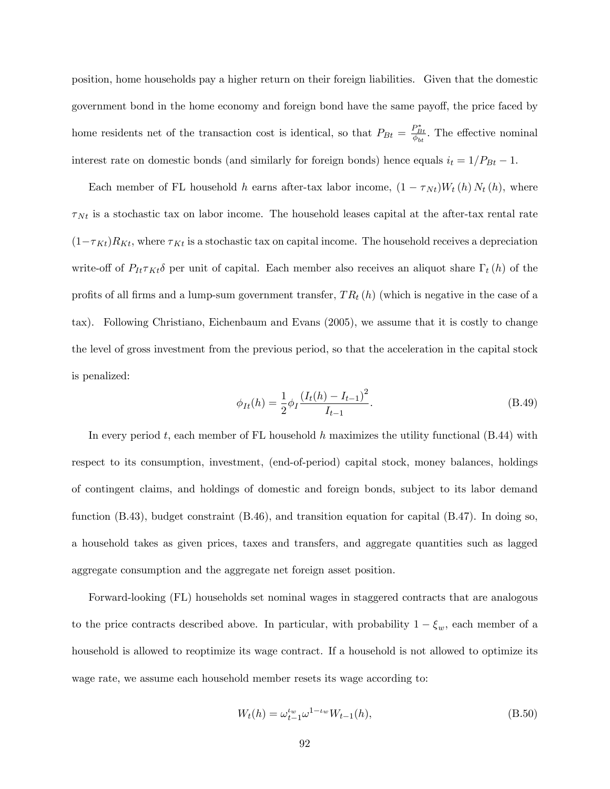position, home households pay a higher return on their foreign liabilities. Given that the domestic government bond in the home economy and foreign bond have the same payoff, the price faced by home residents net of the transaction cost is identical, so that  $P_{Bt} = \frac{P_{Bt}^*}{\phi_{bt}}$ . The effective nominal interest rate on domestic bonds (and similarly for foreign bonds) hence equals  $i_t = 1/P_{Bt} - 1$ .

Each member of FL household h earns after-tax labor income,  $(1 - \tau_{Nt})W_t(h) N_t(h)$ , where  $\tau_{Nt}$  is a stochastic tax on labor income. The household leases capital at the after-tax rental rate  $(1 - \tau_{Kt})R_{Kt}$ , where  $\tau_{Kt}$  is a stochastic tax on capital income. The household receives a depreciation write-off of  $P_{It} \tau_{Kt} \delta$  per unit of capital. Each member also receives an aliquot share  $\Gamma_t(h)$  of the profits of all firms and a lump-sum government transfer,  $TR_t(h)$  (which is negative in the case of a tax). Following Christiano, Eichenbaum and Evans (2005), we assume that it is costly to change the level of gross investment from the previous period, so that the acceleration in the capital stock is penalized:

$$
\phi_{It}(h) = \frac{1}{2} \phi_I \frac{\left(I_t(h) - I_{t-1}\right)^2}{I_{t-1}}.
$$
\n(B.49)

In every period t, each member of FL household h maximizes the utility functional  $(B.44)$  with respect to its consumption, investment, (end-of-period) capital stock, money balances, holdings of contingent claims, and holdings of domestic and foreign bonds, subject to its labor demand function (B.43), budget constraint (B.46), and transition equation for capital (B.47). In doing so, a household takes as given prices, taxes and transfers, and aggregate quantities such as lagged aggregate consumption and the aggregate net foreign asset position.

Forward-looking (FL) households set nominal wages in staggered contracts that are analogous to the price contracts described above. In particular, with probability  $1 - \xi_w$ , each member of a household is allowed to reoptimize its wage contract. If a household is not allowed to optimize its wage rate, we assume each household member resets its wage according to:

$$
W_t(h) = \omega_{t-1}^{\iota_w} \omega^{1-\iota_w} W_{t-1}(h), \tag{B.50}
$$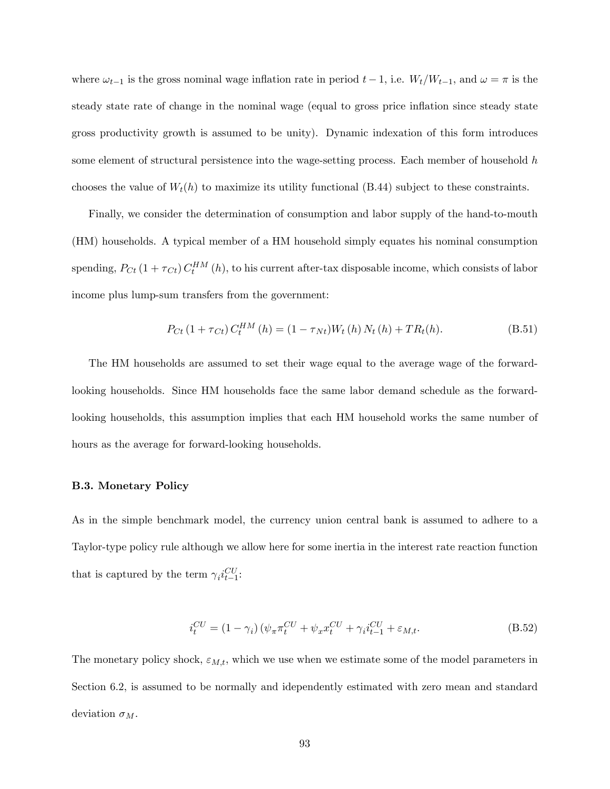where  $\omega_{t-1}$  is the gross nominal wage inflation rate in period  $t-1$ , i.e.  $W_t/W_{t-1}$ , and  $\omega = \pi$  is the steady state rate of change in the nominal wage (equal to gross price inflation since steady state gross productivity growth is assumed to be unity). Dynamic indexation of this form introduces some element of structural persistence into the wage-setting process. Each member of household h chooses the value of  $W_t(h)$  to maximize its utility functional (B.44) subject to these constraints.

Finally, we consider the determination of consumption and labor supply of the hand-to-mouth (HM) households. A typical member of a HM household simply equates his nominal consumption spending,  $P_{C_t}(1+\tau_{C_t})C_t^{HM}(h)$ , to his current after-tax disposable income, which consists of labor income plus lump-sum transfers from the government:

$$
P_{Ct} (1 + \tau_{Ct}) C_t^{HM} (h) = (1 - \tau_{Nt}) W_t (h) N_t (h) + T R_t (h).
$$
 (B.51)

The HM households are assumed to set their wage equal to the average wage of the forwardlooking households. Since HM households face the same labor demand schedule as the forwardlooking households, this assumption implies that each HM household works the same number of hours as the average for forward-looking households.

#### B.3. Monetary Policy

As in the simple benchmark model, the currency union central bank is assumed to adhere to a Taylor-type policy rule although we allow here for some inertia in the interest rate reaction function that is captured by the term  $\gamma_i i_{t-1}^{CU}$ :

$$
i_t^{CU} = (1 - \gamma_i) \left( \psi_\pi \pi_t^{CU} + \psi_x x_t^{CU} + \gamma_i i_{t-1}^{CU} + \varepsilon_{M,t}.\right)
$$
 (B.52)

The monetary policy shock,  $\varepsilon_{M,t}$ , which we use when we estimate some of the model parameters in Section 6.2, is assumed to be normally and idependently estimated with zero mean and standard deviation  $\sigma_M$ .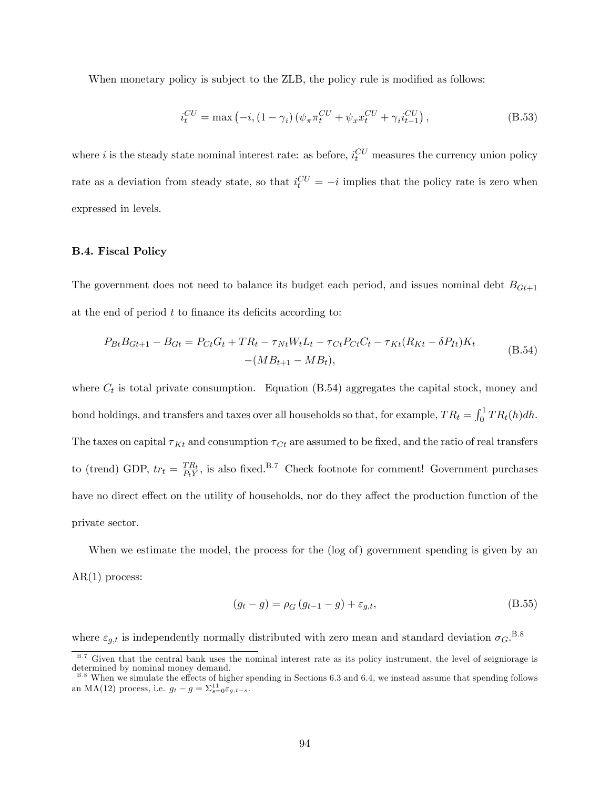When monetary policy is subject to the ZLB, the policy rule is modified as follows:

$$
i_t^{CU} = \max(-i, (1 - \gamma_i) \left( \psi_\pi \pi_t^{CU} + \psi_x x_t^{CU} + \gamma_i i_{t-1}^{CU} \right), \tag{B.53}
$$

where i is the steady state nominal interest rate: as before,  $i_t^{CU}$  measures the currency union policy rate as a deviation from steady state, so that  $i_t^{CU} = -i$  implies that the policy rate is zero when expressed in levels.

## B.4. Fiscal Policy

The government does not need to balance its budget each period, and issues nominal debt  $B_{Gt+1}$ at the end of period  $t$  to finance its deficits according to:

$$
P_{Bt}B_{Gt+1} - B_{Gt} = P_{Ct}G_t + TR_t - \tau_{Nt}W_t L_t - \tau_{Ct}P_{Ct}C_t - \tau_{Kt}(R_{Kt} - \delta P_{It})K_t
$$
  
-( $MB_{t+1} - MB_t$ ), (B.54)

where  $C_t$  is total private consumption. Equation (B.54) aggregates the capital stock, money and bond holdings, and transfers and taxes over all households so that, for example,  $TR_t = \int_0^1 TR_t(h)dh$ . The taxes on capital  $\tau_{Kt}$  and consumption  $\tau_{Ct}$  are assumed to be fixed, and the ratio of real transfers to (trend) GDP,  $tr_t = \frac{TR_t}{P_tY}$  $\frac{TR_t}{PrY}$ , is also fixed.<sup>B.7</sup> Check footnote for comment! Government purchases have no direct effect on the utility of households, nor do they affect the production function of the private sector.

When we estimate the model, the process for the (log of) government spending is given by an  $AR(1)$  process:

$$
(g_t - g) = \rho_G (g_{t-1} - g) + \varepsilon_{g,t},
$$
\n(B.55)

where  $\varepsilon_{g,t}$  is independently normally distributed with zero mean and standard deviation  $\sigma_G$ .<sup>B.8</sup>

B.7 Given that the central bank uses the nominal interest rate as its policy instrument, the level of seigniorage is determined by nominal money demand.

<sup>&</sup>lt;sup>B.8</sup> When we simulate the effects of higher spending in Sections 6.3 and 6.4, we instead assume that spending follows an MA(12) process, i.e.  $g_t - g = \sum_{s=0}^{11} \varepsilon_{g,t-s}$ .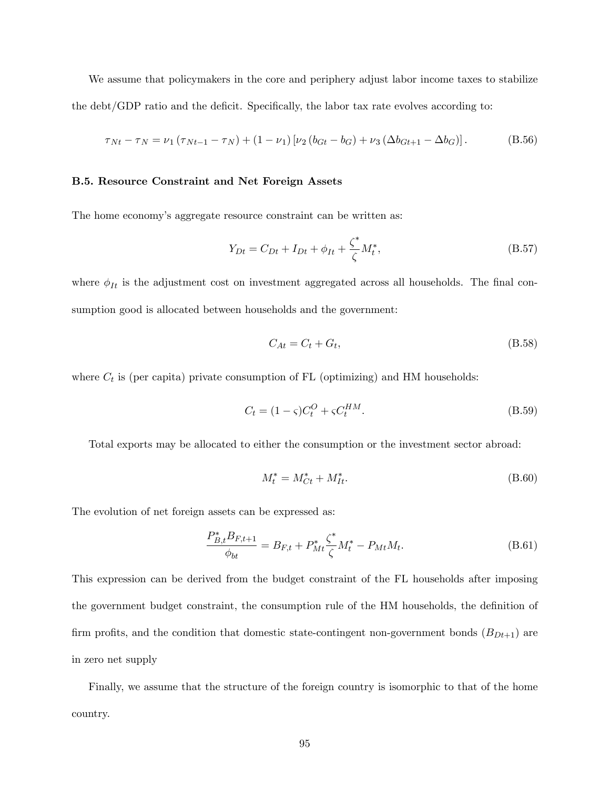We assume that policymakers in the core and periphery adjust labor income taxes to stabilize the debt/GDP ratio and the deficit. Specifically, the labor tax rate evolves according to:

$$
\tau_{Nt} - \tau_N = \nu_1 (\tau_{Nt-1} - \tau_N) + (1 - \nu_1) [\nu_2 (b_{Gt} - b_G) + \nu_3 (\Delta b_{Gt+1} - \Delta b_G)].
$$
 (B.56)

#### B.5. Resource Constraint and Net Foreign Assets

The home economy's aggregate resource constraint can be written as:

$$
Y_{Dt} = C_{Dt} + I_{Dt} + \phi_{It} + \frac{\zeta^*}{\zeta} M_t^*,
$$
\n(B.57)

where  $\phi_{It}$  is the adjustment cost on investment aggregated across all households. The final consumption good is allocated between households and the government:

$$
C_{At} = C_t + G_t,\tag{B.58}
$$

where  $C_t$  is (per capita) private consumption of FL (optimizing) and HM households:

$$
C_t = (1 - \varsigma)C_t^O + \varsigma C_t^{HM}.\tag{B.59}
$$

Total exports may be allocated to either the consumption or the investment sector abroad:

$$
M_t^* = M_{Ct}^* + M_{It}^*.
$$
\n(B.60)

The evolution of net foreign assets can be expressed as:

$$
\frac{P_{B,t}^* B_{F,t+1}}{\phi_{bt}} = B_{F,t} + P_{Mt}^* \frac{\zeta^*}{\zeta} M_t^* - P_{Mt} M_t.
$$
\n(B.61)

This expression can be derived from the budget constraint of the FL households after imposing the government budget constraint, the consumption rule of the HM households, the definition of firm profits, and the condition that domestic state-contingent non-government bonds  $(B_{Dt+1})$  are in zero net supply

Finally, we assume that the structure of the foreign country is isomorphic to that of the home country.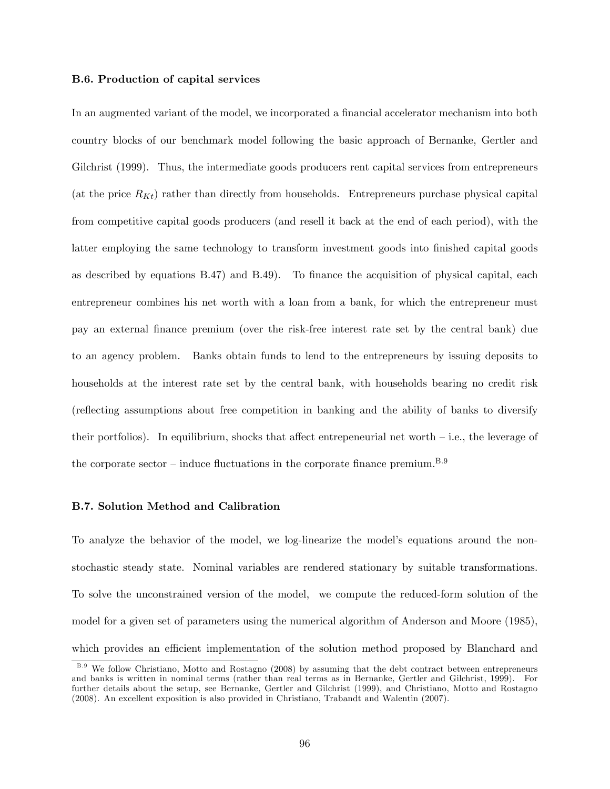#### B.6. Production of capital services

In an augmented variant of the model, we incorporated a financial accelerator mechanism into both country blocks of our benchmark model following the basic approach of Bernanke, Gertler and Gilchrist (1999). Thus, the intermediate goods producers rent capital services from entrepreneurs (at the price  $R_{Kt}$ ) rather than directly from households. Entrepreneurs purchase physical capital from competitive capital goods producers (and resell it back at the end of each period), with the latter employing the same technology to transform investment goods into finished capital goods as described by equations  $B.47$  and  $B.49$ ). To finance the acquisition of physical capital, each entrepreneur combines his net worth with a loan from a bank, for which the entrepreneur must pay an external Önance premium (over the risk-free interest rate set by the central bank) due to an agency problem. Banks obtain funds to lend to the entrepreneurs by issuing deposits to households at the interest rate set by the central bank, with households bearing no credit risk (reflecting assumptions about free competition in banking and the ability of banks to diversify their portfolios). In equilibrium, shocks that affect entrepeneurial net worth  $-$  i.e., the leverage of the corporate sector – induce fluctuations in the corporate finance premium.<sup>B.9</sup>

### B.7. Solution Method and Calibration

To analyze the behavior of the model, we log-linearize the model's equations around the nonstochastic steady state. Nominal variables are rendered stationary by suitable transformations. To solve the unconstrained version of the model, we compute the reduced-form solution of the model for a given set of parameters using the numerical algorithm of Anderson and Moore (1985), which provides an efficient implementation of the solution method proposed by Blanchard and

<sup>&</sup>lt;sup>B.9</sup> We follow Christiano, Motto and Rostagno (2008) by assuming that the debt contract between entrepreneurs and banks is written in nominal terms (rather than real terms as in Bernanke, Gertler and Gilchrist, 1999). For further details about the setup, see Bernanke, Gertler and Gilchrist (1999), and Christiano, Motto and Rostagno (2008). An excellent exposition is also provided in Christiano, Trabandt and Walentin (2007).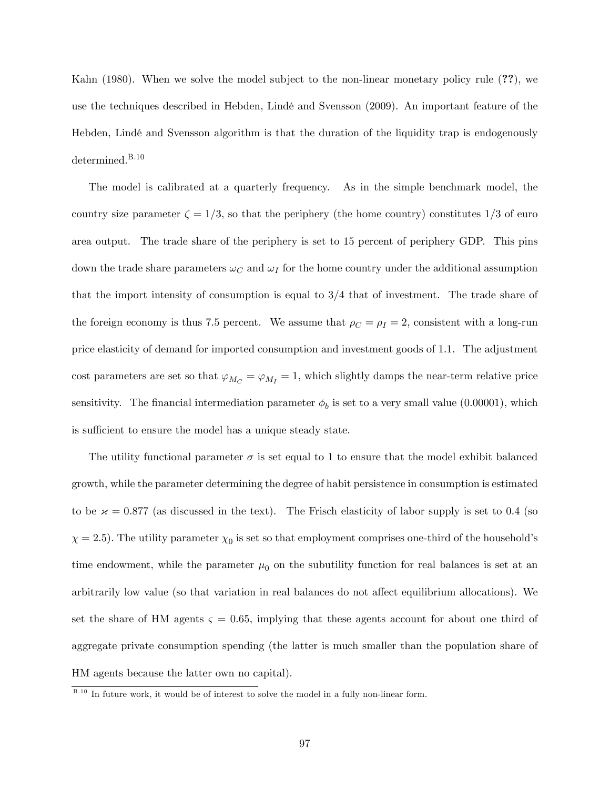Kahn (1980). When we solve the model subject to the non-linear monetary policy rule (??), we use the techniques described in Hebden, Lindé and Svensson (2009). An important feature of the Hebden, LindÈ and Svensson algorithm is that the duration of the liquidity trap is endogenously determined.<sup>B.10</sup>

The model is calibrated at a quarterly frequency. As in the simple benchmark model, the country size parameter  $\zeta = 1/3$ , so that the periphery (the home country) constitutes 1/3 of euro area output. The trade share of the periphery is set to 15 percent of periphery GDP. This pins down the trade share parameters  $\omega_C$  and  $\omega_I$  for the home country under the additional assumption that the import intensity of consumption is equal to 3/4 that of investment. The trade share of the foreign economy is thus 7.5 percent. We assume that  $\rho_C = \rho_I = 2$ , consistent with a long-run price elasticity of demand for imported consumption and investment goods of 1:1. The adjustment cost parameters are set so that  $\varphi_{M_C} = \varphi_{M_I} = 1$ , which slightly damps the near-term relative price sensitivity. The financial intermediation parameter  $\phi_b$  is set to a very small value (0.00001), which is sufficient to ensure the model has a unique steady state.

The utility functional parameter  $\sigma$  is set equal to 1 to ensure that the model exhibit balanced growth, while the parameter determining the degree of habit persistence in consumption is estimated to be  $\alpha = 0.877$  (as discussed in the text). The Frisch elasticity of labor supply is set to 0.4 (so  $\chi = 2.5$ ). The utility parameter  $\chi_0$  is set so that employment comprises one-third of the household's time endowment, while the parameter  $\mu_0$  on the subutility function for real balances is set at an arbitrarily low value (so that variation in real balances do not affect equilibrium allocations). We set the share of HM agents  $\zeta = 0.65$ , implying that these agents account for about one third of aggregate private consumption spending (the latter is much smaller than the population share of HM agents because the latter own no capital).

B.10 In future work, it would be of interest to solve the model in a fully non-linear form.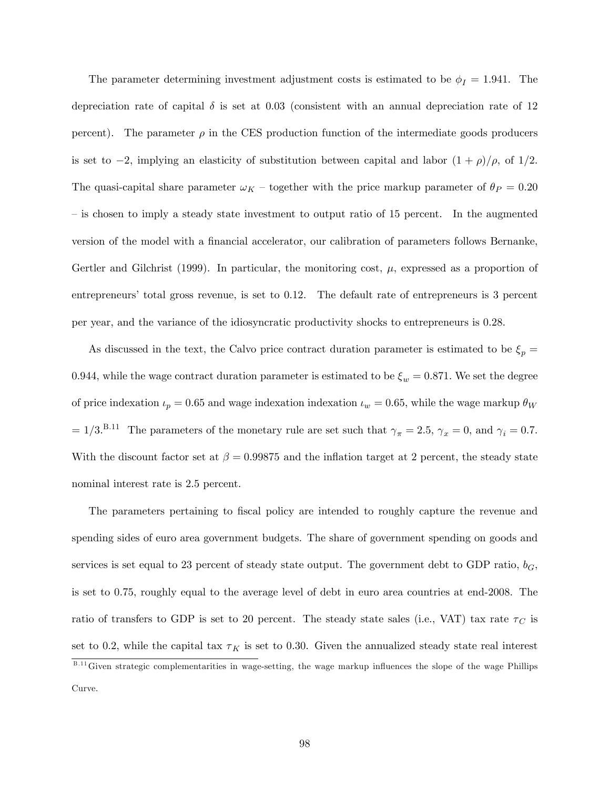The parameter determining investment adjustment costs is estimated to be  $\phi_I = 1.941$ . The depreciation rate of capital  $\delta$  is set at 0.03 (consistent with an annual depreciation rate of 12 percent). The parameter  $\rho$  in the CES production function of the intermediate goods producers is set to -2, implying an elasticity of substitution between capital and labor  $(1 + \rho)/\rho$ , of  $1/2$ . The quasi-capital share parameter  $\omega_K$  – together with the price markup parameter of  $\theta_P = 0.20$  $\overline{\phantom{a}}$  is chosen to imply a steady state investment to output ratio of 15 percent. In the augmented version of the model with a financial accelerator, our calibration of parameters follows Bernanke, Gertler and Gilchrist (1999). In particular, the monitoring cost,  $\mu$ , expressed as a proportion of entrepreneurs' total gross revenue, is set to 0.12. The default rate of entrepreneurs is 3 percent per year, and the variance of the idiosyncratic productivity shocks to entrepreneurs is 0:28:

As discussed in the text, the Calvo price contract duration parameter is estimated to be  $\xi_p =$ 0.944, while the wage contract duration parameter is estimated to be  $\xi_w = 0.871$ . We set the degree of price indexation  $u_p = 0.65$  and wage indexation indexation  $u_w = 0.65$ , while the wage markup  $\theta_W$  $= 1/3$ .<sup>B.11</sup> The parameters of the monetary rule are set such that  $\gamma_{\pi} = 2.5$ ,  $\gamma_{x} = 0$ , and  $\gamma_{i} = 0.7$ . With the discount factor set at  $\beta = 0.99875$  and the inflation target at 2 percent, the steady state nominal interest rate is 2.5 percent.

The parameters pertaining to fiscal policy are intended to roughly capture the revenue and spending sides of euro area government budgets. The share of government spending on goods and services is set equal to 23 percent of steady state output. The government debt to GDP ratio,  $b_G$ , is set to 0.75, roughly equal to the average level of debt in euro area countries at end-2008. The ratio of transfers to GDP is set to 20 percent. The steady state sales (i.e., VAT) tax rate  $\tau_C$  is set to 0.2, while the capital tax  $\tau_K$  is set to 0.30. Given the annualized steady state real interest B.11 Given strategic complementarities in wage-setting, the wage markup influences the slope of the wage Phillips

Curve.